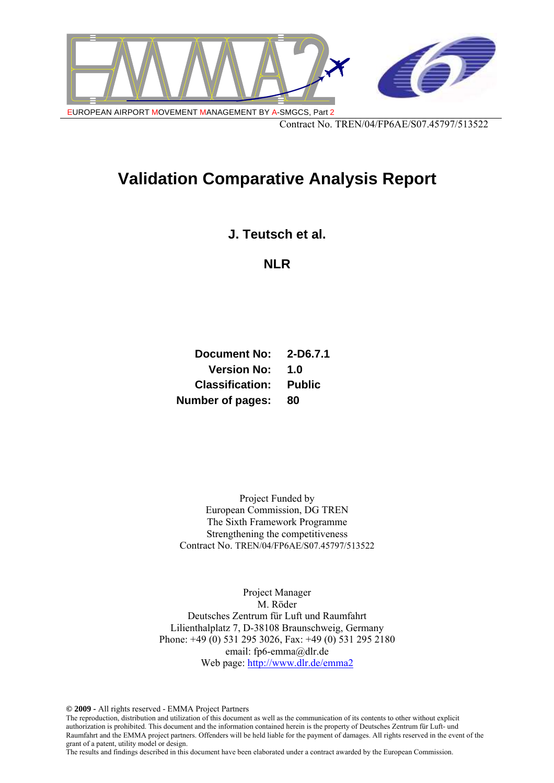

# **Validation Comparative Analysis Report**

## **J. Teutsch et al.**

**NLR** 

| <b>Document No:</b>     | $2-D6.7.1$    |
|-------------------------|---------------|
| <b>Version No:</b>      | 1.0           |
| <b>Classification:</b>  | <b>Public</b> |
| <b>Number of pages:</b> | 80            |

Project Funded by European Commission, DG TREN The Sixth Framework Programme Strengthening the competitiveness Contract No. TREN/04/FP6AE/S07.45797/513522

Project Manager M. Röder Deutsches Zentrum für Luft und Raumfahrt Lilienthalplatz 7, D-38108 Braunschweig, Germany Phone: +49 (0) 531 295 3026, Fax: +49 (0) 531 295 2180 email: fp6-emma@dlr.de Web page: http://www.dlr.de/emma2

**© 2009 -** All rights reserved - EMMA Project Partners The reproduction, distribution and utilization of this document as well as the communication of its contents to other without explicit authorization is prohibited. This document and the information contained herein is the property of Deutsches Zentrum für Luft- und Raumfahrt and the EMMA project partners. Offenders will be held liable for the payment of damages. All rights reserved in the event of the grant of a patent, utility model or design.

The results and findings described in this document have been elaborated under a contract awarded by the European Commission.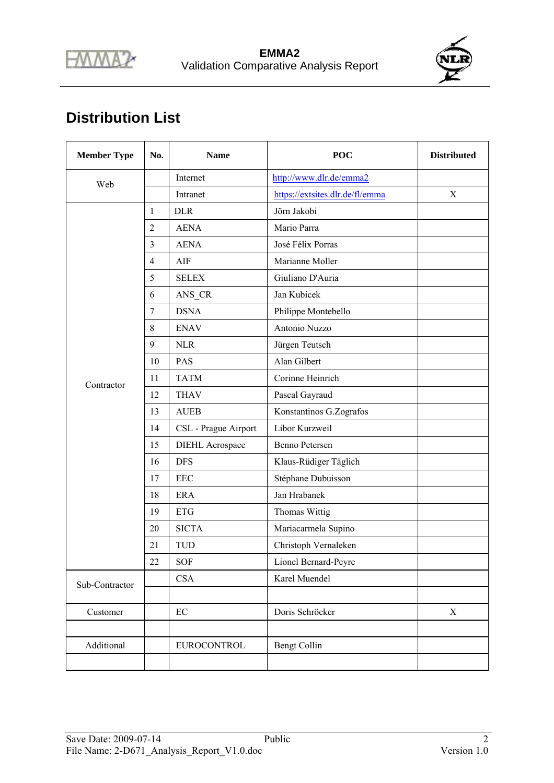



# **Distribution List**

| <b>Member Type</b> | No.            | <b>Name</b>            | <b>POC</b>                      | <b>Distributed</b> |  |
|--------------------|----------------|------------------------|---------------------------------|--------------------|--|
| Web                |                | Internet               | http://www.dlr.de/emma2         |                    |  |
|                    |                | Intranet               | https://extsites.dlr.de/fl/emma | X                  |  |
| 1                  |                | <b>DLR</b>             | Jörn Jakobi                     |                    |  |
|                    | $\overline{2}$ | <b>AENA</b>            | Mario Parra                     |                    |  |
|                    | 3              | <b>AENA</b>            | José Félix Porras               |                    |  |
|                    | $\overline{4}$ | AIF                    | Marianne Moller                 |                    |  |
|                    | 5              | <b>SELEX</b>           | Giuliano D'Auria                |                    |  |
|                    | 6              | ANS_CR                 | Jan Kubicek                     |                    |  |
|                    | $\overline{7}$ | <b>DSNA</b>            | Philippe Montebello             |                    |  |
|                    | 8              | <b>ENAV</b>            | Antonio Nuzzo                   |                    |  |
|                    | 9              | <b>NLR</b>             | Jürgen Teutsch                  |                    |  |
|                    | 10             | PAS                    | Alan Gilbert                    |                    |  |
| Contractor         | 11             | <b>TATM</b>            | Corinne Heinrich                |                    |  |
|                    | 12             | <b>THAV</b>            | Pascal Gayraud                  |                    |  |
|                    | 13             | <b>AUEB</b>            | Konstantinos G.Zografos         |                    |  |
|                    | 14             | CSL - Prague Airport   | Libor Kurzweil                  |                    |  |
|                    | 15             | <b>DIEHL</b> Aerospace | <b>Benno Petersen</b>           |                    |  |
|                    | 16             | <b>DFS</b>             | Klaus-Rüdiger Täglich           |                    |  |
|                    | 17             | <b>EEC</b>             | Stéphane Dubuisson              |                    |  |
|                    | 18             | <b>ERA</b>             | Jan Hrabanek                    |                    |  |
|                    | 19             | <b>ETG</b>             | Thomas Wittig                   |                    |  |
|                    | 20             | <b>SICTA</b>           | Mariacarmela Supino             |                    |  |
|                    | 21             | <b>TUD</b>             | Christoph Vernaleken            |                    |  |
|                    | $22\,$         | <b>SOF</b>             | Lionel Bernard-Peyre            |                    |  |
| Sub-Contractor     |                | <b>CSA</b>             | Karel Muendel                   |                    |  |
|                    |                |                        |                                 |                    |  |
| Customer           |                | $\rm EC$               | Doris Schröcker                 | X                  |  |
|                    |                |                        |                                 |                    |  |
| Additional         |                | <b>EUROCONTROL</b>     | <b>Bengt Collin</b>             |                    |  |
|                    |                |                        |                                 |                    |  |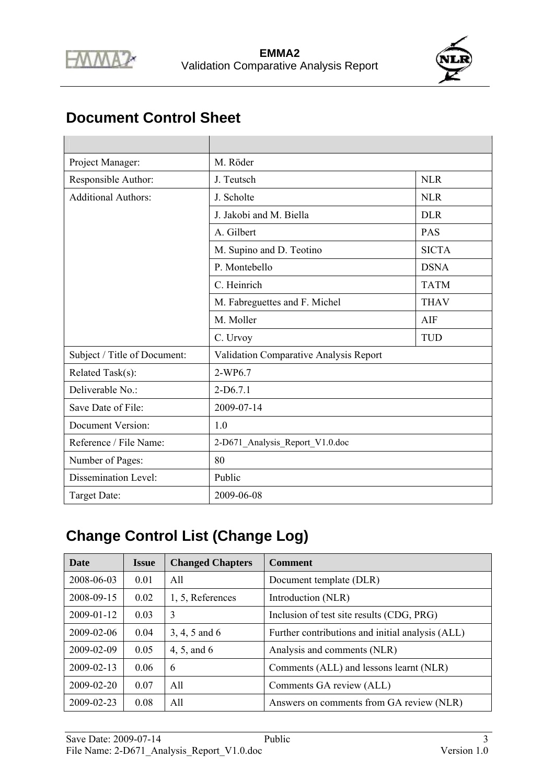



## **Document Control Sheet**

| Project Manager:             | M. Röder                               |              |
|------------------------------|----------------------------------------|--------------|
| Responsible Author:          | J. Teutsch                             | <b>NLR</b>   |
| <b>Additional Authors:</b>   | J. Scholte                             | <b>NLR</b>   |
|                              | J. Jakobi and M. Biella                | <b>DLR</b>   |
|                              | A. Gilbert                             | <b>PAS</b>   |
|                              | M. Supino and D. Teotino               | <b>SICTA</b> |
|                              | P. Montebello                          | <b>DSNA</b>  |
|                              | C. Heinrich                            | <b>TATM</b>  |
|                              | M. Fabreguettes and F. Michel          | <b>THAV</b>  |
|                              | M. Moller                              | AIF          |
|                              | C. Urvoy                               | <b>TUD</b>   |
| Subject / Title of Document: | Validation Comparative Analysis Report |              |
| Related Task(s):             | 2-WP6.7                                |              |
| Deliverable No.:             | $2-D6.7.1$                             |              |
| Save Date of File:           | 2009-07-14                             |              |
| Document Version:            | 1.0                                    |              |
| Reference / File Name:       | 2-D671_Analysis_Report_V1.0.doc        |              |
| Number of Pages:             | 80                                     |              |
| Dissemination Level:         | Public                                 |              |
| Target Date:                 | 2009-06-08                             |              |

# **Change Control List (Change Log)**

| <b>Date</b>      | <b>Issue</b> | <b>Changed Chapters</b> | <b>Comment</b>                                   |
|------------------|--------------|-------------------------|--------------------------------------------------|
| 2008-06-03       | 0.01         | All                     | Document template (DLR)                          |
| 2008-09-15       | 0.02         | 1, 5, References        | Introduction (NLR)                               |
| $2009 - 01 - 12$ | 0.03         | 3                       | Inclusion of test site results (CDG, PRG)        |
| 2009-02-06       | 0.04         | 3, 4, 5 and 6           | Further contributions and initial analysis (ALL) |
| 2009-02-09       | 0.05         | 4, 5, and $6$           | Analysis and comments (NLR)                      |
| 2009-02-13       | 0.06         | 6                       | Comments (ALL) and lessons learnt (NLR)          |
| 2009-02-20       | 0.07         | All                     | Comments GA review (ALL)                         |
| 2009-02-23       | 0.08         | All                     | Answers on comments from GA review (NLR)         |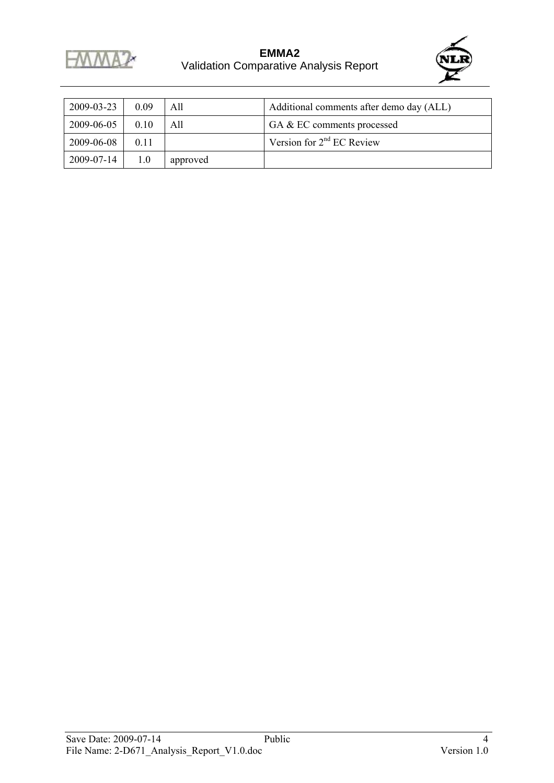

## **EMMA2**  Validation Comparative Analysis Report



| 2009-03-23 | 0.09 | All      | Additional comments after demo day (ALL) |
|------------|------|----------|------------------------------------------|
| 2009-06-05 | 010  | All      | GA & EC comments processed               |
| 2009-06-08 | 0.11 |          | Version for $2nd$ EC Review              |
| 2009-07-14 | 1.0  | approved |                                          |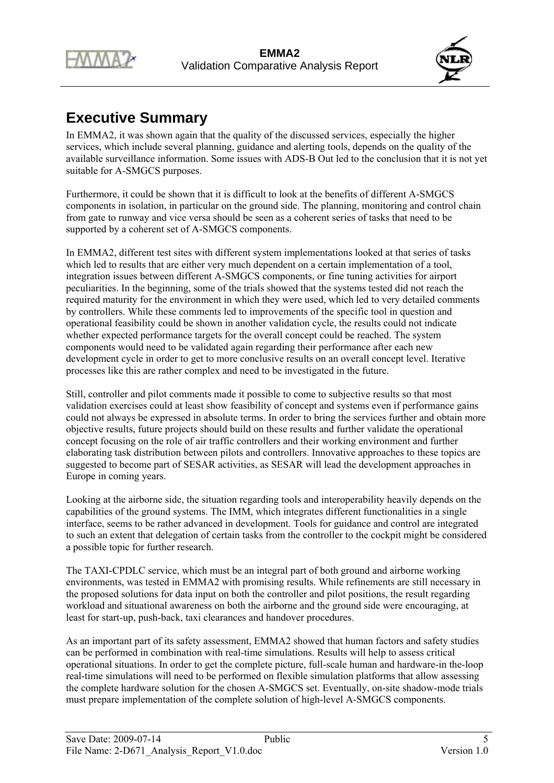



## **Executive Summary**

In EMMA2, it was shown again that the quality of the discussed services, especially the higher services, which include several planning, guidance and alerting tools, depends on the quality of the available surveillance information. Some issues with ADS-B Out led to the conclusion that it is not yet suitable for A-SMGCS purposes.

Furthermore, it could be shown that it is difficult to look at the benefits of different A-SMGCS components in isolation, in particular on the ground side. The planning, monitoring and control chain from gate to runway and vice versa should be seen as a coherent series of tasks that need to be supported by a coherent set of A-SMGCS components.

In EMMA2, different test sites with different system implementations looked at that series of tasks which led to results that are either very much dependent on a certain implementation of a tool, integration issues between different A-SMGCS components, or fine tuning activities for airport peculiarities. In the beginning, some of the trials showed that the systems tested did not reach the required maturity for the environment in which they were used, which led to very detailed comments by controllers. While these comments led to improvements of the specific tool in question and operational feasibility could be shown in another validation cycle, the results could not indicate whether expected performance targets for the overall concept could be reached. The system components would need to be validated again regarding their performance after each new development cycle in order to get to more conclusive results on an overall concept level. Iterative processes like this are rather complex and need to be investigated in the future.

Still, controller and pilot comments made it possible to come to subjective results so that most validation exercises could at least show feasibility of concept and systems even if performance gains could not always be expressed in absolute terms. In order to bring the services further and obtain more objective results, future projects should build on these results and further validate the operational concept focusing on the role of air traffic controllers and their working environment and further elaborating task distribution between pilots and controllers. Innovative approaches to these topics are suggested to become part of SESAR activities, as SESAR will lead the development approaches in Europe in coming years.

Looking at the airborne side, the situation regarding tools and interoperability heavily depends on the capabilities of the ground systems. The IMM, which integrates different functionalities in a single interface, seems to be rather advanced in development. Tools for guidance and control are integrated to such an extent that delegation of certain tasks from the controller to the cockpit might be considered a possible topic for further research.

The TAXI-CPDLC service, which must be an integral part of both ground and airborne working environments, was tested in EMMA2 with promising results. While refinements are still necessary in the proposed solutions for data input on both the controller and pilot positions, the result regarding workload and situational awareness on both the airborne and the ground side were encouraging, at least for start-up, push-back, taxi clearances and handover procedures.

As an important part of its safety assessment, EMMA2 showed that human factors and safety studies can be performed in combination with real-time simulations. Results will help to assess critical operational situations. In order to get the complete picture, full-scale human and hardware-in the-loop real-time simulations will need to be performed on flexible simulation platforms that allow assessing the complete hardware solution for the chosen A-SMGCS set. Eventually, on-site shadow-mode trials must prepare implementation of the complete solution of high-level A-SMGCS components.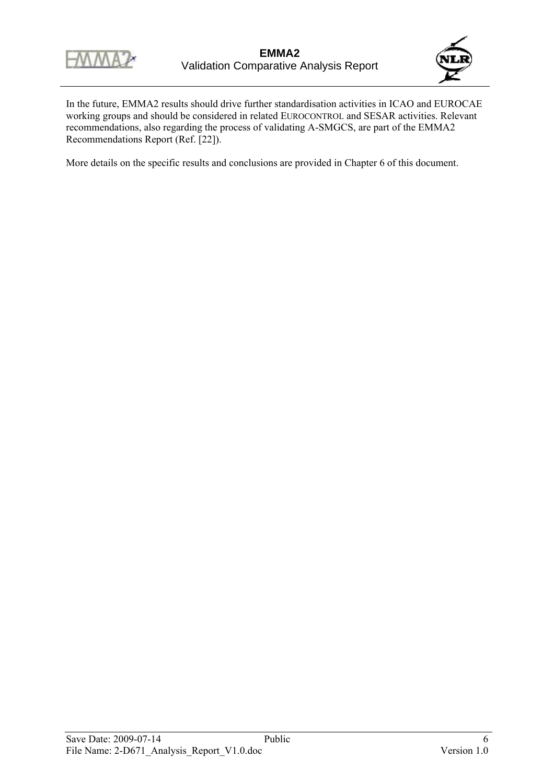



In the future, EMMA2 results should drive further standardisation activities in ICAO and EUROCAE working groups and should be considered in related EUROCONTROL and SESAR activities. Relevant recommendations, also regarding the process of validating A-SMGCS, are part of the EMMA2 Recommendations Report (Ref. [22]).

More details on the specific results and conclusions are provided in Chapter 6 of this document.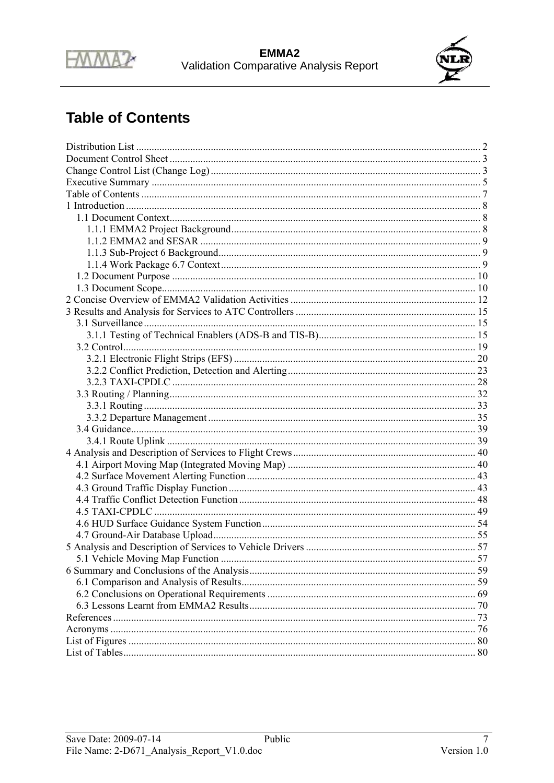



# **Table of Contents**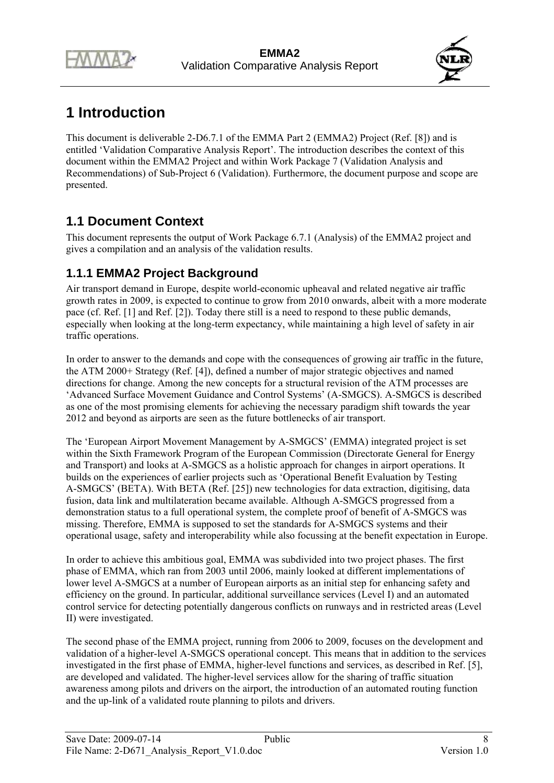



# **1 Introduction**

This document is deliverable 2-D6.7.1 of the EMMA Part 2 (EMMA2) Project (Ref. [8]) and is entitled 'Validation Comparative Analysis Report'. The introduction describes the context of this document within the EMMA2 Project and within Work Package 7 (Validation Analysis and Recommendations) of Sub-Project 6 (Validation). Furthermore, the document purpose and scope are presented.

## **1.1 Document Context**

This document represents the output of Work Package 6.7.1 (Analysis) of the EMMA2 project and gives a compilation and an analysis of the validation results.

## **1.1.1 EMMA2 Project Background**

Air transport demand in Europe, despite world-economic upheaval and related negative air traffic growth rates in 2009, is expected to continue to grow from 2010 onwards, albeit with a more moderate pace (cf. Ref. [1] and Ref. [2]). Today there still is a need to respond to these public demands, especially when looking at the long-term expectancy, while maintaining a high level of safety in air traffic operations.

In order to answer to the demands and cope with the consequences of growing air traffic in the future, the ATM 2000+ Strategy (Ref. [4]), defined a number of major strategic objectives and named directions for change. Among the new concepts for a structural revision of the ATM processes are 'Advanced Surface Movement Guidance and Control Systems' (A-SMGCS). A-SMGCS is described as one of the most promising elements for achieving the necessary paradigm shift towards the year 2012 and beyond as airports are seen as the future bottlenecks of air transport.

The 'European Airport Movement Management by A-SMGCS' (EMMA) integrated project is set within the Sixth Framework Program of the European Commission (Directorate General for Energy and Transport) and looks at A-SMGCS as a holistic approach for changes in airport operations. It builds on the experiences of earlier projects such as 'Operational Benefit Evaluation by Testing A-SMGCS' (BETA). With BETA (Ref. [25]) new technologies for data extraction, digitising, data fusion, data link and multilateration became available. Although A-SMGCS progressed from a demonstration status to a full operational system, the complete proof of benefit of A-SMGCS was missing. Therefore, EMMA is supposed to set the standards for A-SMGCS systems and their operational usage, safety and interoperability while also focussing at the benefit expectation in Europe.

In order to achieve this ambitious goal, EMMA was subdivided into two project phases. The first phase of EMMA, which ran from 2003 until 2006, mainly looked at different implementations of lower level A-SMGCS at a number of European airports as an initial step for enhancing safety and efficiency on the ground. In particular, additional surveillance services (Level I) and an automated control service for detecting potentially dangerous conflicts on runways and in restricted areas (Level II) were investigated.

The second phase of the EMMA project, running from 2006 to 2009, focuses on the development and validation of a higher-level A-SMGCS operational concept. This means that in addition to the services investigated in the first phase of EMMA, higher-level functions and services, as described in Ref. [5], are developed and validated. The higher-level services allow for the sharing of traffic situation awareness among pilots and drivers on the airport, the introduction of an automated routing function and the up-link of a validated route planning to pilots and drivers.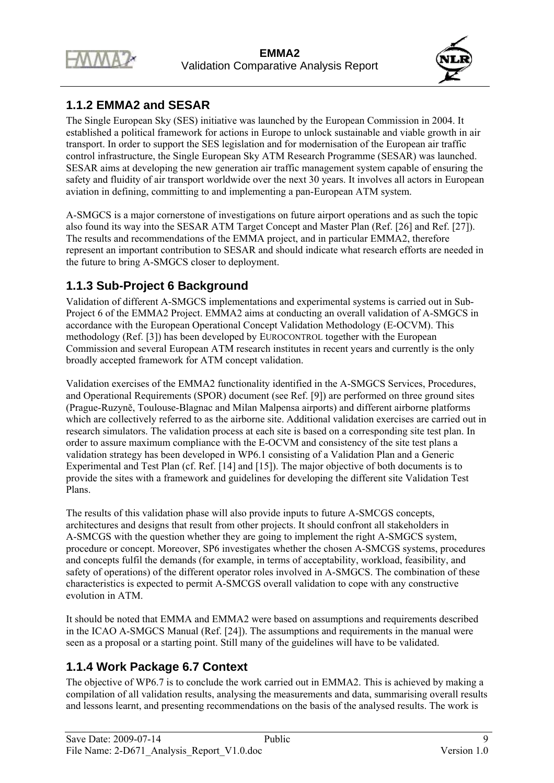



## **1.1.2 EMMA2 and SESAR**

The Single European Sky (SES) initiative was launched by the European Commission in 2004. It established a political framework for actions in Europe to unlock sustainable and viable growth in air transport. In order to support the SES legislation and for modernisation of the European air traffic control infrastructure, the Single European Sky ATM Research Programme (SESAR) was launched. SESAR aims at developing the new generation air traffic management system capable of ensuring the safety and fluidity of air transport worldwide over the next 30 years. It involves all actors in European aviation in defining, committing to and implementing a pan-European ATM system.

A-SMGCS is a major cornerstone of investigations on future airport operations and as such the topic also found its way into the SESAR ATM Target Concept and Master Plan (Ref. [26] and Ref. [27]). The results and recommendations of the EMMA project, and in particular EMMA2, therefore represent an important contribution to SESAR and should indicate what research efforts are needed in the future to bring A-SMGCS closer to deployment.

## **1.1.3 Sub-Project 6 Background**

Validation of different A-SMGCS implementations and experimental systems is carried out in Sub-Project 6 of the EMMA2 Project. EMMA2 aims at conducting an overall validation of A-SMGCS in accordance with the European Operational Concept Validation Methodology (E-OCVM). This methodology (Ref. [3]) has been developed by EUROCONTROL together with the European Commission and several European ATM research institutes in recent years and currently is the only broadly accepted framework for ATM concept validation.

Validation exercises of the EMMA2 functionality identified in the A-SMGCS Services, Procedures, and Operational Requirements (SPOR) document (see Ref. [9]) are performed on three ground sites (Prague-Ruzynĕ, Toulouse-Blagnac and Milan Malpensa airports) and different airborne platforms which are collectively referred to as the airborne site. Additional validation exercises are carried out in research simulators. The validation process at each site is based on a corresponding site test plan. In order to assure maximum compliance with the E-OCVM and consistency of the site test plans a validation strategy has been developed in WP6.1 consisting of a Validation Plan and a Generic Experimental and Test Plan (cf. Ref. [14] and [15]). The major objective of both documents is to provide the sites with a framework and guidelines for developing the different site Validation Test Plans.

The results of this validation phase will also provide inputs to future A-SMCGS concepts, architectures and designs that result from other projects. It should confront all stakeholders in A-SMCGS with the question whether they are going to implement the right A-SMGCS system, procedure or concept. Moreover, SP6 investigates whether the chosen A-SMCGS systems, procedures and concepts fulfil the demands (for example, in terms of acceptability, workload, feasibility, and safety of operations) of the different operator roles involved in A-SMGCS. The combination of these characteristics is expected to permit A-SMCGS overall validation to cope with any constructive evolution in ATM.

It should be noted that EMMA and EMMA2 were based on assumptions and requirements described in the ICAO A-SMGCS Manual (Ref. [24]). The assumptions and requirements in the manual were seen as a proposal or a starting point. Still many of the guidelines will have to be validated.

## **1.1.4 Work Package 6.7 Context**

The objective of WP6.7 is to conclude the work carried out in EMMA2. This is achieved by making a compilation of all validation results, analysing the measurements and data, summarising overall results and lessons learnt, and presenting recommendations on the basis of the analysed results. The work is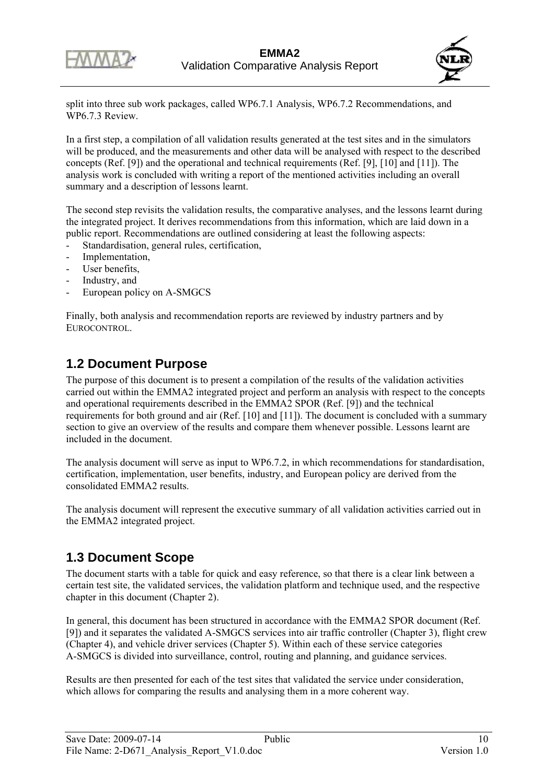



split into three sub work packages, called WP6.7.1 Analysis, WP6.7.2 Recommendations, and WP6.7.3 Review.

In a first step, a compilation of all validation results generated at the test sites and in the simulators will be produced, and the measurements and other data will be analysed with respect to the described concepts (Ref. [9]) and the operational and technical requirements (Ref. [9], [10] and [11]). The analysis work is concluded with writing a report of the mentioned activities including an overall summary and a description of lessons learnt.

The second step revisits the validation results, the comparative analyses, and the lessons learnt during the integrated project. It derives recommendations from this information, which are laid down in a public report. Recommendations are outlined considering at least the following aspects:

- Standardisation, general rules, certification,
- Implementation,
- User benefits,
- Industry, and
- European policy on A-SMGCS

Finally, both analysis and recommendation reports are reviewed by industry partners and by EUROCONTROL.

## **1.2 Document Purpose**

The purpose of this document is to present a compilation of the results of the validation activities carried out within the EMMA2 integrated project and perform an analysis with respect to the concepts and operational requirements described in the EMMA2 SPOR (Ref. [9]) and the technical requirements for both ground and air (Ref. [10] and [11]). The document is concluded with a summary section to give an overview of the results and compare them whenever possible. Lessons learnt are included in the document.

The analysis document will serve as input to WP6.7.2, in which recommendations for standardisation, certification, implementation, user benefits, industry, and European policy are derived from the consolidated EMMA2 results.

The analysis document will represent the executive summary of all validation activities carried out in the EMMA2 integrated project.

## **1.3 Document Scope**

The document starts with a table for quick and easy reference, so that there is a clear link between a certain test site, the validated services, the validation platform and technique used, and the respective chapter in this document (Chapter 2).

In general, this document has been structured in accordance with the EMMA2 SPOR document (Ref. [9]) and it separates the validated A-SMGCS services into air traffic controller (Chapter 3), flight crew (Chapter 4), and vehicle driver services (Chapter 5). Within each of these service categories A-SMGCS is divided into surveillance, control, routing and planning, and guidance services.

Results are then presented for each of the test sites that validated the service under consideration, which allows for comparing the results and analysing them in a more coherent way.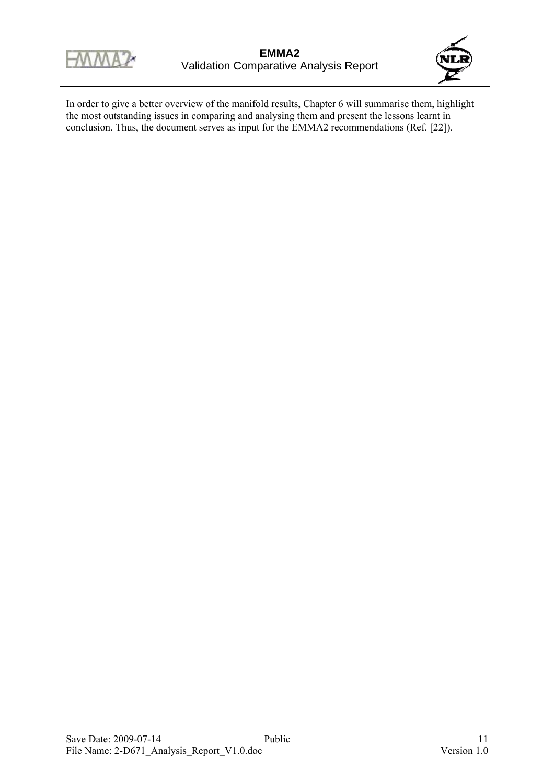



In order to give a better overview of the manifold results, Chapter 6 will summarise them, highlight the most outstanding issues in comparing and analysing them and present the lessons learnt in conclusion. Thus, the document serves as input for the EMMA2 recommendations (Ref. [22]).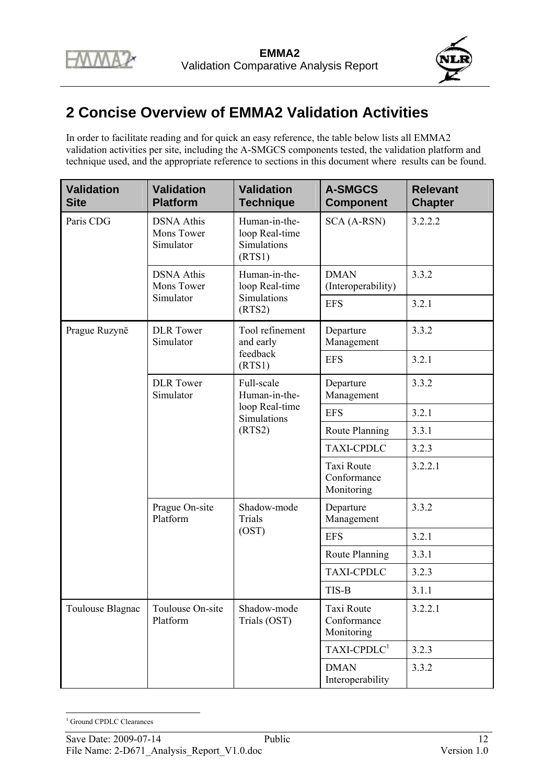



# **2 Concise Overview of EMMA2 Validation Activities**

In order to facilitate reading and for quick an easy reference, the table below lists all EMMA2 validation activities per site, including the A-SMGCS components tested, the validation platform and technique used, and the appropriate reference to sections in this document where results can be found.

| <b>Validation</b><br><b>Site</b> | <b>Validation</b><br><b>Platform</b>         | <b>Validation</b><br><b>Technique</b>                    | <b>A-SMGCS</b><br><b>Component</b>      | <b>Relevant</b><br><b>Chapter</b> |
|----------------------------------|----------------------------------------------|----------------------------------------------------------|-----------------------------------------|-----------------------------------|
| Paris CDG                        | <b>DSNA</b> Athis<br>Mons Tower<br>Simulator | Human-in-the-<br>loop Real-time<br>Simulations<br>(RTS1) | SCA (A-RSN)                             | 3.2.2.2                           |
|                                  | <b>DSNA Athis</b><br>Mons Tower<br>Simulator | Human-in-the-<br>loop Real-time<br>Simulations<br>(RTS2) | <b>DMAN</b><br>(Interoperability)       | 3.3.2                             |
|                                  |                                              |                                                          | <b>EFS</b>                              | 3.2.1                             |
| Prague Ruzyně                    | <b>DLR</b> Tower<br>Simulator                | Tool refinement<br>and early<br>feedback<br>(RTS1)       | Departure<br>Management                 | 3.3.2                             |
|                                  |                                              |                                                          | <b>EFS</b>                              | 3.2.1                             |
|                                  | <b>DLR</b> Tower<br>Simulator                | Full-scale<br>Human-in-the-                              | Departure<br>Management                 | 3.3.2                             |
|                                  |                                              | loop Real-time<br>Simulations                            | <b>EFS</b>                              | 3.2.1                             |
|                                  |                                              | (RTS2)                                                   | Route Planning                          | 3.3.1                             |
|                                  |                                              |                                                          | <b>TAXI-CPDLC</b>                       | 3.2.3                             |
|                                  |                                              |                                                          | Taxi Route<br>Conformance<br>Monitoring | 3.2.2.1                           |
|                                  | Prague On-site<br>Platform                   | Shadow-mode<br>Trials                                    | Departure<br>Management                 | 3.3.2                             |
|                                  |                                              | (OST)                                                    | <b>EFS</b>                              | 3.2.1                             |
|                                  |                                              |                                                          | Route Planning                          | 3.3.1                             |
|                                  |                                              |                                                          | <b>TAXI-CPDLC</b>                       | 3.2.3                             |
|                                  |                                              |                                                          | TIS-B                                   | 3.1.1                             |
| Toulouse Blagnac                 | Toulouse On-site<br>Platform                 | Shadow-mode<br>Trials (OST)                              | Taxi Route<br>Conformance<br>Monitoring | 3.2.2.1                           |
|                                  |                                              |                                                          | TAXI-CPDLC <sup>1</sup>                 | 3.2.3                             |
|                                  |                                              |                                                          | <b>DMAN</b><br>Interoperability         | 3.3.2                             |

<sup>&</sup>lt;sup>1</sup> Ground CPDLC Clearances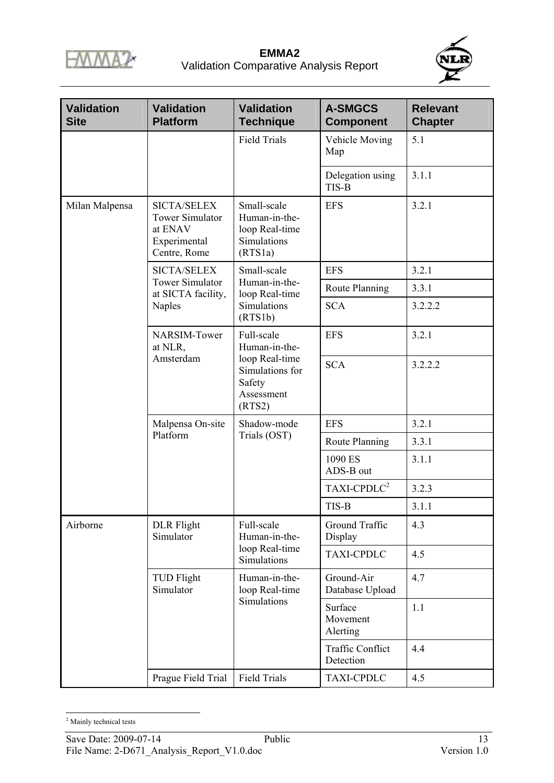

## **EMMA2**  Validation Comparative Analysis Report



| <b>Validation</b><br><b>Site</b> | <b>Validation</b><br><b>Platform</b>                                                    | <b>Validation</b><br><b>Technique</b>                                                              | <b>A-SMGCS</b><br><b>Component</b>   | <b>Relevant</b><br><b>Chapter</b> |
|----------------------------------|-----------------------------------------------------------------------------------------|----------------------------------------------------------------------------------------------------|--------------------------------------|-----------------------------------|
|                                  |                                                                                         | <b>Field Trials</b>                                                                                | Vehicle Moving<br>Map                | 5.1                               |
|                                  |                                                                                         |                                                                                                    | Delegation using<br>TIS-B            | 3.1.1                             |
| Milan Malpensa                   | <b>SICTA/SELEX</b><br><b>Tower Simulator</b><br>at ENAV<br>Experimental<br>Centre, Rome | Small-scale<br>Human-in-the-<br>loop Real-time<br>Simulations<br>(RTS1a)                           | <b>EFS</b>                           | 3.2.1                             |
|                                  | <b>SICTA/SELEX</b>                                                                      | Small-scale<br>Human-in-the-<br>loop Real-time<br>Simulations<br>(RTS1b)                           | <b>EFS</b>                           | 3.2.1                             |
|                                  | <b>Tower Simulator</b><br>at SICTA facility,                                            |                                                                                                    | Route Planning                       | 3.3.1                             |
|                                  | <b>Naples</b>                                                                           |                                                                                                    | <b>SCA</b>                           | 3.2.2.2                           |
|                                  | NARSIM-Tower<br>at NLR,<br>Amsterdam                                                    | Full-scale<br>Human-in-the-<br>loop Real-time<br>Simulations for<br>Safety<br>Assessment<br>(RTS2) | <b>EFS</b>                           | 3.2.1                             |
|                                  |                                                                                         |                                                                                                    | <b>SCA</b>                           | 3.2.2.2                           |
|                                  | Malpensa On-site                                                                        | Shadow-mode                                                                                        | <b>EFS</b>                           | 3.2.1                             |
|                                  | Platform                                                                                | Trials (OST)                                                                                       | Route Planning                       | 3.3.1                             |
|                                  |                                                                                         |                                                                                                    | 1090 ES<br>ADS-B out                 | 3.1.1                             |
|                                  |                                                                                         |                                                                                                    | TAXI-CPDLC <sup>2</sup>              | 3.2.3                             |
|                                  |                                                                                         |                                                                                                    | TIS-B                                | 3.1.1                             |
| Airborne                         | <b>DLR</b> Flight<br>Simulator                                                          | Full-scale<br>Human-in-the-<br>loop Real-time<br>Simulations                                       | Ground Traffic<br>Display            | 4.3                               |
|                                  |                                                                                         |                                                                                                    | <b>TAXI-CPDLC</b>                    | 4.5                               |
|                                  | <b>TUD Flight</b><br>Simulator                                                          | Human-in-the-<br>loop Real-time<br>Simulations                                                     | Ground-Air<br>Database Upload        | 4.7                               |
|                                  |                                                                                         |                                                                                                    | Surface<br>Movement<br>Alerting      | 1.1                               |
|                                  |                                                                                         |                                                                                                    | <b>Traffic Conflict</b><br>Detection | 4.4                               |
|                                  | Prague Field Trial                                                                      | <b>Field Trials</b>                                                                                | <b>TAXI-CPDLC</b>                    | 4.5                               |

<sup>&</sup>lt;sup>2</sup> Mainly technical tests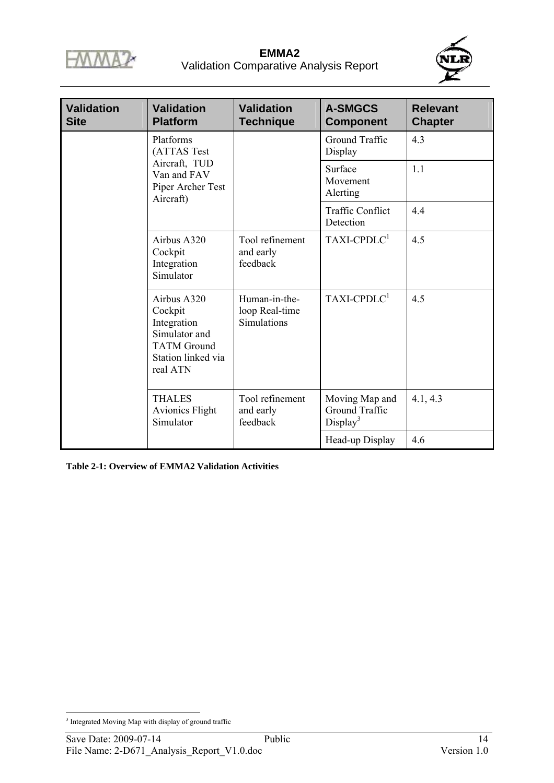

**EMMA2**  Validation Comparative Analysis Report



| <b>Validation</b><br><b>Site</b> | <b>Validation</b><br><b>Platform</b>                                                                           | <b>Validation</b><br><b>Technique</b>                 | <b>A-SMGCS</b><br><b>Component</b>                       | <b>Relevant</b><br><b>Chapter</b> |
|----------------------------------|----------------------------------------------------------------------------------------------------------------|-------------------------------------------------------|----------------------------------------------------------|-----------------------------------|
|                                  | Platforms<br>(ATTAS Test<br>Aircraft, TUD<br>Van and FAV<br>Piper Archer Test<br>Aircraft)                     |                                                       | Ground Traffic<br>Display                                | 4.3                               |
|                                  |                                                                                                                |                                                       | Surface<br>Movement<br>Alerting                          | 1.1                               |
|                                  |                                                                                                                |                                                       | <b>Traffic Conflict</b><br>Detection                     | 4.4                               |
|                                  | Airbus A320<br>Cockpit<br>Integration<br>Simulator                                                             | Tool refinement<br>and early<br>feedback              | TAXI-CPDLC <sup>1</sup>                                  | 4.5                               |
|                                  | Airbus A320<br>Cockpit<br>Integration<br>Simulator and<br><b>TATM</b> Ground<br>Station linked via<br>real ATN | Human-in-the-<br>loop Real-time<br><b>Simulations</b> | TAXI-CPDLC <sup>1</sup>                                  | 4.5                               |
|                                  | <b>THALES</b><br><b>Avionics Flight</b><br>Simulator                                                           | Tool refinement<br>and early<br>feedback              | Moving Map and<br>Ground Traffic<br>Display <sup>3</sup> | 4.1, 4.3                          |
|                                  |                                                                                                                |                                                       | Head-up Display                                          | 4.6                               |

**Table 2-1: Overview of EMMA2 Validation Activities** 

<sup>&</sup>lt;sup>3</sup> Integrated Moving Map with display of ground traffic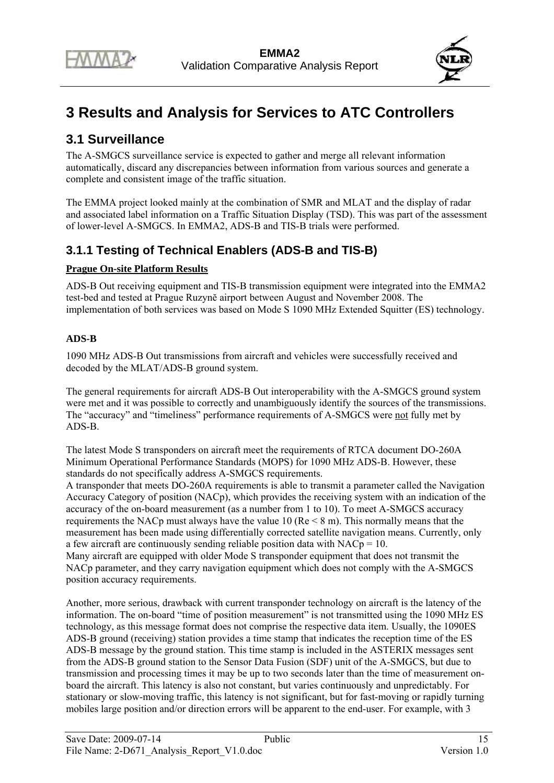



# **3 Results and Analysis for Services to ATC Controllers**

## **3.1 Surveillance**

The A-SMGCS surveillance service is expected to gather and merge all relevant information automatically, discard any discrepancies between information from various sources and generate a complete and consistent image of the traffic situation.

The EMMA project looked mainly at the combination of SMR and MLAT and the display of radar and associated label information on a Traffic Situation Display (TSD). This was part of the assessment of lower-level A-SMGCS. In EMMA2, ADS-B and TIS-B trials were performed.

## **3.1.1 Testing of Technical Enablers (ADS-B and TIS-B)**

### **Prague On-site Platform Results**

ADS-B Out receiving equipment and TIS-B transmission equipment were integrated into the EMMA2 test-bed and tested at Prague Ruzynĕ airport between August and November 2008. The implementation of both services was based on Mode S 1090 MHz Extended Squitter (ES) technology.

## **ADS-B**

1090 MHz ADS-B Out transmissions from aircraft and vehicles were successfully received and decoded by the MLAT/ADS-B ground system.

The general requirements for aircraft ADS-B Out interoperability with the A-SMGCS ground system were met and it was possible to correctly and unambiguously identify the sources of the transmissions. The "accuracy" and "timeliness" performance requirements of A-SMGCS were not fully met by ADS-B.

The latest Mode S transponders on aircraft meet the requirements of RTCA document DO-260A Minimum Operational Performance Standards (MOPS) for 1090 MHz ADS-B. However, these standards do not specifically address A-SMGCS requirements.

A transponder that meets DO-260A requirements is able to transmit a parameter called the Navigation Accuracy Category of position (NACp), which provides the receiving system with an indication of the accuracy of the on-board measurement (as a number from 1 to 10). To meet A-SMGCS accuracy requirements the NACp must always have the value 10 ( $Re < 8$  m). This normally means that the measurement has been made using differentially corrected satellite navigation means. Currently, only a few aircraft are continuously sending reliable position data with  $NACp = 10$ .

Many aircraft are equipped with older Mode S transponder equipment that does not transmit the NACp parameter, and they carry navigation equipment which does not comply with the A-SMGCS position accuracy requirements.

Another, more serious, drawback with current transponder technology on aircraft is the latency of the information. The on-board "time of position measurement" is not transmitted using the 1090 MHz ES technology, as this message format does not comprise the respective data item. Usually, the 1090ES ADS-B ground (receiving) station provides a time stamp that indicates the reception time of the ES ADS-B message by the ground station. This time stamp is included in the ASTERIX messages sent from the ADS-B ground station to the Sensor Data Fusion (SDF) unit of the A-SMGCS, but due to transmission and processing times it may be up to two seconds later than the time of measurement onboard the aircraft. This latency is also not constant, but varies continuously and unpredictably. For stationary or slow-moving traffic, this latency is not significant, but for fast-moving or rapidly turning mobiles large position and/or direction errors will be apparent to the end-user. For example, with 3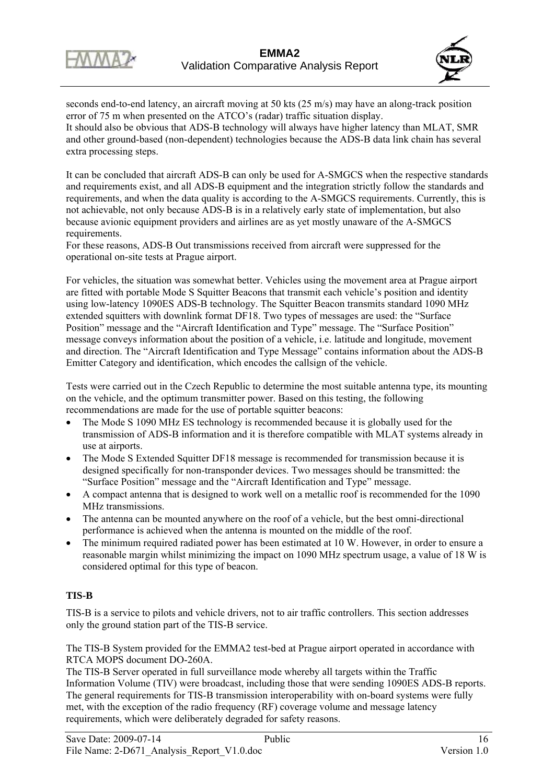



seconds end-to-end latency, an aircraft moving at 50 kts (25 m/s) may have an along-track position error of 75 m when presented on the ATCO's (radar) traffic situation display. It should also be obvious that ADS-B technology will always have higher latency than MLAT, SMR and other ground-based (non-dependent) technologies because the ADS-B data link chain has several extra processing steps.

It can be concluded that aircraft ADS-B can only be used for A-SMGCS when the respective standards and requirements exist, and all ADS-B equipment and the integration strictly follow the standards and requirements, and when the data quality is according to the A-SMGCS requirements. Currently, this is not achievable, not only because ADS-B is in a relatively early state of implementation, but also because avionic equipment providers and airlines are as yet mostly unaware of the A-SMGCS requirements.

For these reasons, ADS-B Out transmissions received from aircraft were suppressed for the operational on-site tests at Prague airport.

For vehicles, the situation was somewhat better. Vehicles using the movement area at Prague airport are fitted with portable Mode S Squitter Beacons that transmit each vehicle's position and identity using low-latency 1090ES ADS-B technology. The Squitter Beacon transmits standard 1090 MHz extended squitters with downlink format DF18. Two types of messages are used: the "Surface Position" message and the "Aircraft Identification and Type" message. The "Surface Position" message conveys information about the position of a vehicle, i.e. latitude and longitude, movement and direction. The "Aircraft Identification and Type Message" contains information about the ADS-B Emitter Category and identification, which encodes the callsign of the vehicle.

Tests were carried out in the Czech Republic to determine the most suitable antenna type, its mounting on the vehicle, and the optimum transmitter power. Based on this testing, the following recommendations are made for the use of portable squitter beacons:

- The Mode S 1090 MHz ES technology is recommended because it is globally used for the transmission of ADS-B information and it is therefore compatible with MLAT systems already in use at airports.
- The Mode S Extended Squitter DF18 message is recommended for transmission because it is designed specifically for non-transponder devices. Two messages should be transmitted: the "Surface Position" message and the "Aircraft Identification and Type" message.
- A compact antenna that is designed to work well on a metallic roof is recommended for the 1090 MHz transmissions.
- The antenna can be mounted anywhere on the roof of a vehicle, but the best omni-directional performance is achieved when the antenna is mounted on the middle of the roof.
- The minimum required radiated power has been estimated at 10 W. However, in order to ensure a reasonable margin whilst minimizing the impact on 1090 MHz spectrum usage, a value of 18 W is considered optimal for this type of beacon.

### **TIS-B**

TIS-B is a service to pilots and vehicle drivers, not to air traffic controllers. This section addresses only the ground station part of the TIS-B service.

The TIS-B System provided for the EMMA2 test-bed at Prague airport operated in accordance with RTCA MOPS document DO-260A.

The TIS-B Server operated in full surveillance mode whereby all targets within the Traffic Information Volume (TIV) were broadcast, including those that were sending 1090ES ADS-B reports. The general requirements for TIS-B transmission interoperability with on-board systems were fully met, with the exception of the radio frequency (RF) coverage volume and message latency requirements, which were deliberately degraded for safety reasons.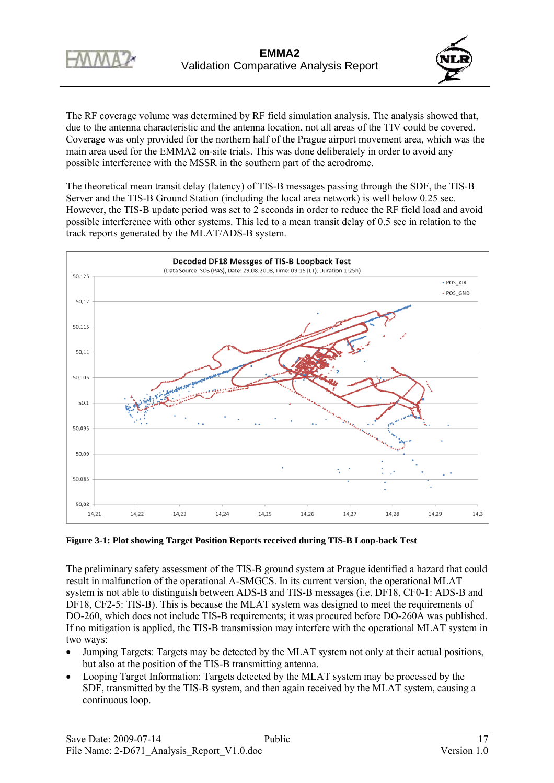



The RF coverage volume was determined by RF field simulation analysis. The analysis showed that, due to the antenna characteristic and the antenna location, not all areas of the TIV could be covered. Coverage was only provided for the northern half of the Prague airport movement area, which was the main area used for the EMMA2 on-site trials. This was done deliberately in order to avoid any possible interference with the MSSR in the southern part of the aerodrome.

The theoretical mean transit delay (latency) of TIS-B messages passing through the SDF, the TIS-B Server and the TIS-B Ground Station (including the local area network) is well below 0.25 sec. However, the TIS-B update period was set to 2 seconds in order to reduce the RF field load and avoid possible interference with other systems. This led to a mean transit delay of 0.5 sec in relation to the track reports generated by the MLAT/ADS-B system.



**Figure 3-1: Plot showing Target Position Reports received during TIS-B Loop-back Test** 

The preliminary safety assessment of the TIS-B ground system at Prague identified a hazard that could result in malfunction of the operational A-SMGCS. In its current version, the operational MLAT system is not able to distinguish between ADS-B and TIS-B messages (i.e. DF18, CF0-1: ADS-B and DF18, CF2-5: TIS-B). This is because the MLAT system was designed to meet the requirements of DO-260, which does not include TIS-B requirements; it was procured before DO-260A was published. If no mitigation is applied, the TIS-B transmission may interfere with the operational MLAT system in two ways:

- Jumping Targets: Targets may be detected by the MLAT system not only at their actual positions, but also at the position of the TIS-B transmitting antenna.
- Looping Target Information: Targets detected by the MLAT system may be processed by the SDF, transmitted by the TIS-B system, and then again received by the MLAT system, causing a continuous loop.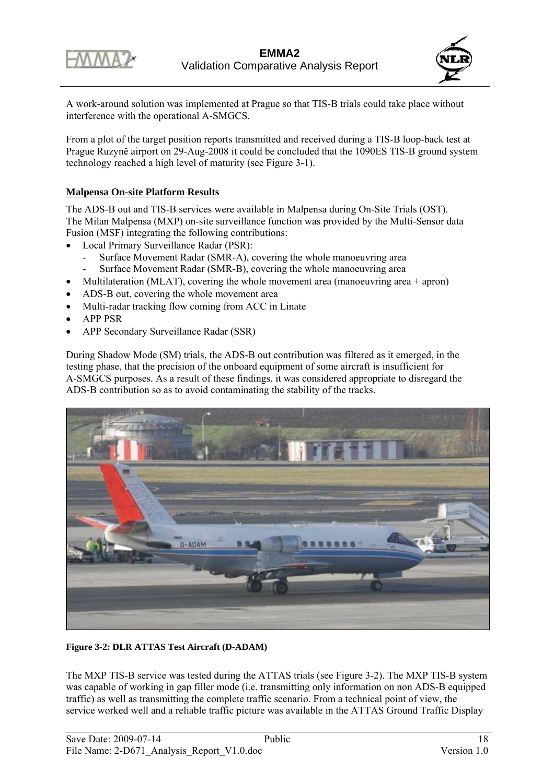



A work-around solution was implemented at Prague so that TIS-B trials could take place without interference with the operational A-SMGCS.

From a plot of the target position reports transmitted and received during a TIS-B loop-back test at Prague Ruzynĕ airport on 29-Aug-2008 it could be concluded that the 1090ES TIS-B ground system technology reached a high level of maturity (see Figure 3-1).

### **Malpensa On-site Platform Results**

The ADS-B out and TIS-B services were available in Malpensa during On-Site Trials (OST). The Milan Malpensa (MXP) on-site surveillance function was provided by the Multi-Sensor data Fusion (MSF) integrating the following contributions:

- Local Primary Surveillance Radar (PSR):
	- Surface Movement Radar (SMR-A), covering the whole manoeuvring area
	- Surface Movement Radar (SMR-B), covering the whole manoeuvring area
- Multilateration (MLAT), covering the whole movement area (manoeuvring area  $+$  apron)
- ADS-B out, covering the whole movement area
- Multi-radar tracking flow coming from ACC in Linate
- APP PSR
- APP Secondary Surveillance Radar (SSR)

During Shadow Mode (SM) trials, the ADS-B out contribution was filtered as it emerged, in the testing phase, that the precision of the onboard equipment of some aircraft is insufficient for A-SMGCS purposes. As a result of these findings, it was considered appropriate to disregard the ADS-B contribution so as to avoid contaminating the stability of the tracks.



#### **Figure 3-2: DLR ATTAS Test Aircraft (D-ADAM)**

The MXP TIS-B service was tested during the ATTAS trials (see Figure 3-2). The MXP TIS-B system was capable of working in gap filler mode (i.e. transmitting only information on non ADS-B equipped traffic) as well as transmitting the complete traffic scenario. From a technical point of view, the service worked well and a reliable traffic picture was available in the ATTAS Ground Traffic Display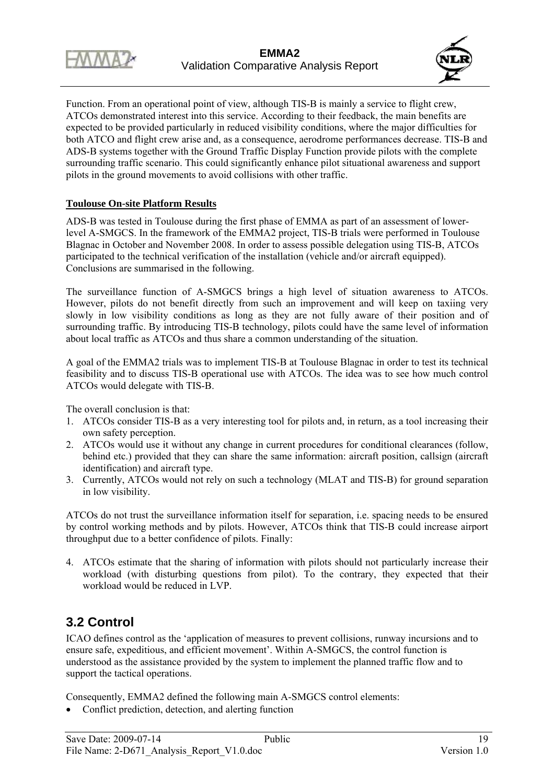



Function. From an operational point of view, although TIS-B is mainly a service to flight crew, ATCOs demonstrated interest into this service. According to their feedback, the main benefits are expected to be provided particularly in reduced visibility conditions, where the major difficulties for both ATCO and flight crew arise and, as a consequence, aerodrome performances decrease. TIS-B and ADS-B systems together with the Ground Traffic Display Function provide pilots with the complete surrounding traffic scenario. This could significantly enhance pilot situational awareness and support pilots in the ground movements to avoid collisions with other traffic.

#### **Toulouse On-site Platform Results**

ADS-B was tested in Toulouse during the first phase of EMMA as part of an assessment of lowerlevel A-SMGCS. In the framework of the EMMA2 project, TIS-B trials were performed in Toulouse Blagnac in October and November 2008. In order to assess possible delegation using TIS-B, ATCOs participated to the technical verification of the installation (vehicle and/or aircraft equipped). Conclusions are summarised in the following.

The surveillance function of A-SMGCS brings a high level of situation awareness to ATCOs. However, pilots do not benefit directly from such an improvement and will keep on taxiing very slowly in low visibility conditions as long as they are not fully aware of their position and of surrounding traffic. By introducing TIS-B technology, pilots could have the same level of information about local traffic as ATCOs and thus share a common understanding of the situation.

A goal of the EMMA2 trials was to implement TIS-B at Toulouse Blagnac in order to test its technical feasibility and to discuss TIS-B operational use with ATCOs. The idea was to see how much control ATCOs would delegate with TIS-B.

The overall conclusion is that:

- 1. ATCOs consider TIS-B as a very interesting tool for pilots and, in return, as a tool increasing their own safety perception.
- 2. ATCOs would use it without any change in current procedures for conditional clearances (follow, behind etc.) provided that they can share the same information: aircraft position, callsign (aircraft identification) and aircraft type.
- 3. Currently, ATCOs would not rely on such a technology (MLAT and TIS-B) for ground separation in low visibility.

ATCOs do not trust the surveillance information itself for separation, i.e. spacing needs to be ensured by control working methods and by pilots. However, ATCOs think that TIS-B could increase airport throughput due to a better confidence of pilots. Finally:

4. ATCOs estimate that the sharing of information with pilots should not particularly increase their workload (with disturbing questions from pilot). To the contrary, they expected that their workload would be reduced in LVP.

## **3.2 Control**

ICAO defines control as the 'application of measures to prevent collisions, runway incursions and to ensure safe, expeditious, and efficient movement'. Within A-SMGCS, the control function is understood as the assistance provided by the system to implement the planned traffic flow and to support the tactical operations.

Consequently, EMMA2 defined the following main A-SMGCS control elements:

• Conflict prediction, detection, and alerting function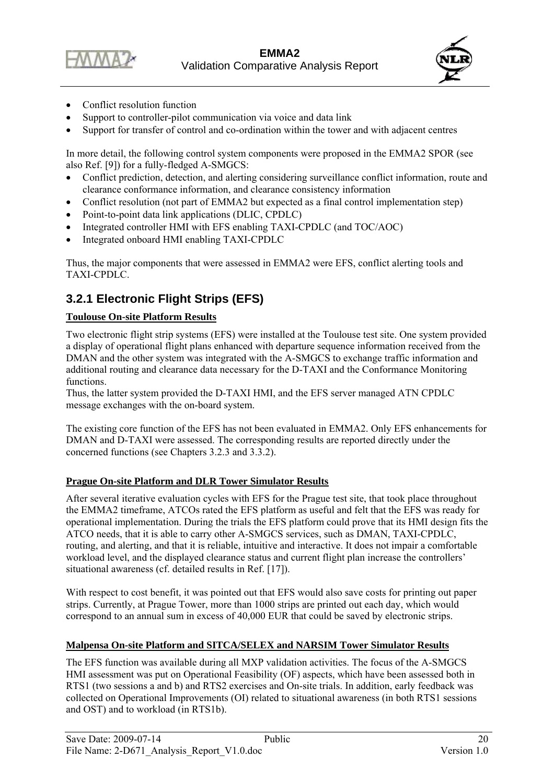



- Conflict resolution function
- Support to controller-pilot communication via voice and data link
- Support for transfer of control and co-ordination within the tower and with adjacent centres

In more detail, the following control system components were proposed in the EMMA2 SPOR (see also Ref. [9]) for a fully-fledged A-SMGCS:

- Conflict prediction, detection, and alerting considering surveillance conflict information, route and clearance conformance information, and clearance consistency information
- Conflict resolution (not part of EMMA2 but expected as a final control implementation step)
- Point-to-point data link applications (DLIC, CPDLC)
- Integrated controller HMI with EFS enabling TAXI-CPDLC (and TOC/AOC)
- Integrated onboard HMI enabling TAXI-CPDLC

Thus, the major components that were assessed in EMMA2 were EFS, conflict alerting tools and TAXI-CPDLC.

## **3.2.1 Electronic Flight Strips (EFS)**

#### **Toulouse On-site Platform Results**

Two electronic flight strip systems (EFS) were installed at the Toulouse test site. One system provided a display of operational flight plans enhanced with departure sequence information received from the DMAN and the other system was integrated with the A-SMGCS to exchange traffic information and additional routing and clearance data necessary for the D-TAXI and the Conformance Monitoring functions.

Thus, the latter system provided the D-TAXI HMI, and the EFS server managed ATN CPDLC message exchanges with the on-board system.

The existing core function of the EFS has not been evaluated in EMMA2. Only EFS enhancements for DMAN and D-TAXI were assessed. The corresponding results are reported directly under the concerned functions (see Chapters 3.2.3 and 3.3.2).

#### **Prague On-site Platform and DLR Tower Simulator Results**

After several iterative evaluation cycles with EFS for the Prague test site, that took place throughout the EMMA2 timeframe, ATCOs rated the EFS platform as useful and felt that the EFS was ready for operational implementation. During the trials the EFS platform could prove that its HMI design fits the ATCO needs, that it is able to carry other A-SMGCS services, such as DMAN, TAXI-CPDLC, routing, and alerting, and that it is reliable, intuitive and interactive. It does not impair a comfortable workload level, and the displayed clearance status and current flight plan increase the controllers' situational awareness (cf. detailed results in Ref. [17]).

With respect to cost benefit, it was pointed out that EFS would also save costs for printing out paper strips. Currently, at Prague Tower, more than 1000 strips are printed out each day, which would correspond to an annual sum in excess of 40,000 EUR that could be saved by electronic strips.

#### **Malpensa On-site Platform and SITCA/SELEX and NARSIM Tower Simulator Results**

The EFS function was available during all MXP validation activities. The focus of the A-SMGCS HMI assessment was put on Operational Feasibility (OF) aspects, which have been assessed both in RTS1 (two sessions a and b) and RTS2 exercises and On-site trials. In addition, early feedback was collected on Operational Improvements (OI) related to situational awareness (in both RTS1 sessions and OST) and to workload (in RTS1b).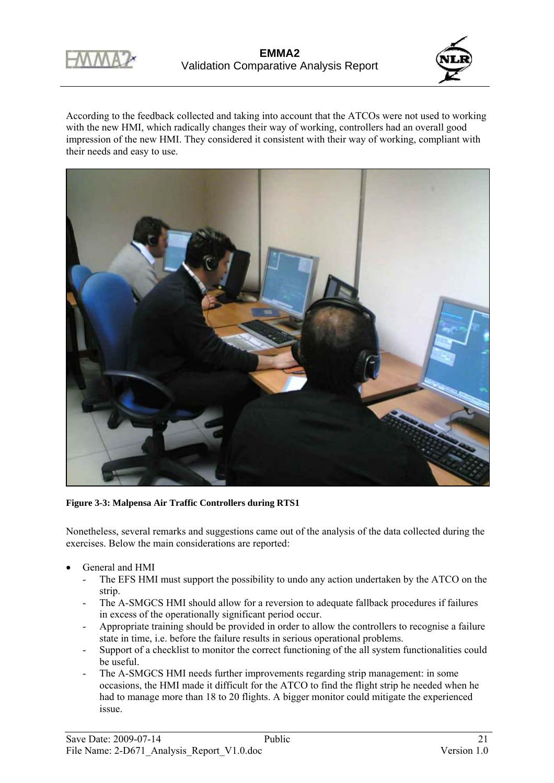



According to the feedback collected and taking into account that the ATCOs were not used to working with the new HMI, which radically changes their way of working, controllers had an overall good impression of the new HMI. They considered it consistent with their way of working, compliant with their needs and easy to use.



**Figure 3-3: Malpensa Air Traffic Controllers during RTS1** 

Nonetheless, several remarks and suggestions came out of the analysis of the data collected during the exercises. Below the main considerations are reported:

- General and HMI
	- The EFS HMI must support the possibility to undo any action undertaken by the ATCO on the strip.
	- The A-SMGCS HMI should allow for a reversion to adequate fallback procedures if failures in excess of the operationally significant period occur.
	- Appropriate training should be provided in order to allow the controllers to recognise a failure state in time, i.e. before the failure results in serious operational problems.
	- Support of a checklist to monitor the correct functioning of the all system functionalities could be useful.
	- The A-SMGCS HMI needs further improvements regarding strip management: in some occasions, the HMI made it difficult for the ATCO to find the flight strip he needed when he had to manage more than 18 to 20 flights. A bigger monitor could mitigate the experienced issue.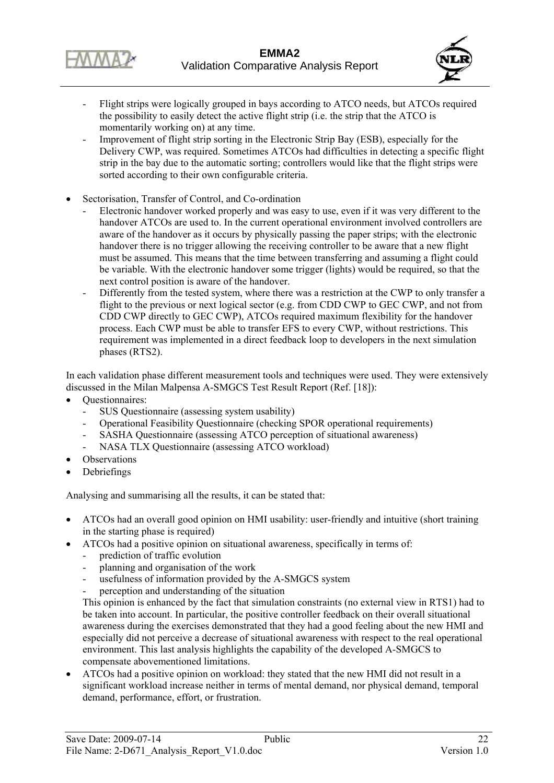



- Flight strips were logically grouped in bays according to ATCO needs, but ATCOs required the possibility to easily detect the active flight strip (i.e. the strip that the ATCO is momentarily working on) at any time.
- Improvement of flight strip sorting in the Electronic Strip Bay (ESB), especially for the Delivery CWP, was required. Sometimes ATCOs had difficulties in detecting a specific flight strip in the bay due to the automatic sorting; controllers would like that the flight strips were sorted according to their own configurable criteria.
- Sectorisation, Transfer of Control, and Co-ordination
	- Electronic handover worked properly and was easy to use, even if it was very different to the handover ATCOs are used to. In the current operational environment involved controllers are aware of the handover as it occurs by physically passing the paper strips; with the electronic handover there is no trigger allowing the receiving controller to be aware that a new flight must be assumed. This means that the time between transferring and assuming a flight could be variable. With the electronic handover some trigger (lights) would be required, so that the next control position is aware of the handover.
	- Differently from the tested system, where there was a restriction at the CWP to only transfer a flight to the previous or next logical sector (e.g. from CDD CWP to GEC CWP, and not from CDD CWP directly to GEC CWP), ATCOs required maximum flexibility for the handover process. Each CWP must be able to transfer EFS to every CWP, without restrictions. This requirement was implemented in a direct feedback loop to developers in the next simulation phases (RTS2).

In each validation phase different measurement tools and techniques were used. They were extensively discussed in the Milan Malpensa A-SMGCS Test Result Report (Ref. [18]):

- Ouestionnaires:
	- SUS Questionnaire (assessing system usability)
	- Operational Feasibility Questionnaire (checking SPOR operational requirements)
	- SASHA Questionnaire (assessing ATCO perception of situational awareness)
	- NASA TLX Questionnaire (assessing ATCO workload)
- Observations
- Debriefings

Analysing and summarising all the results, it can be stated that:

- ATCOs had an overall good opinion on HMI usability: user-friendly and intuitive (short training in the starting phase is required)
- ATCOs had a positive opinion on situational awareness, specifically in terms of:
	- prediction of traffic evolution
	- planning and organisation of the work
	- usefulness of information provided by the A-SMGCS system
	- perception and understanding of the situation

This opinion is enhanced by the fact that simulation constraints (no external view in RTS1) had to be taken into account. In particular, the positive controller feedback on their overall situational awareness during the exercises demonstrated that they had a good feeling about the new HMI and especially did not perceive a decrease of situational awareness with respect to the real operational environment. This last analysis highlights the capability of the developed A-SMGCS to compensate abovementioned limitations.

• ATCOs had a positive opinion on workload: they stated that the new HMI did not result in a significant workload increase neither in terms of mental demand, nor physical demand, temporal demand, performance, effort, or frustration.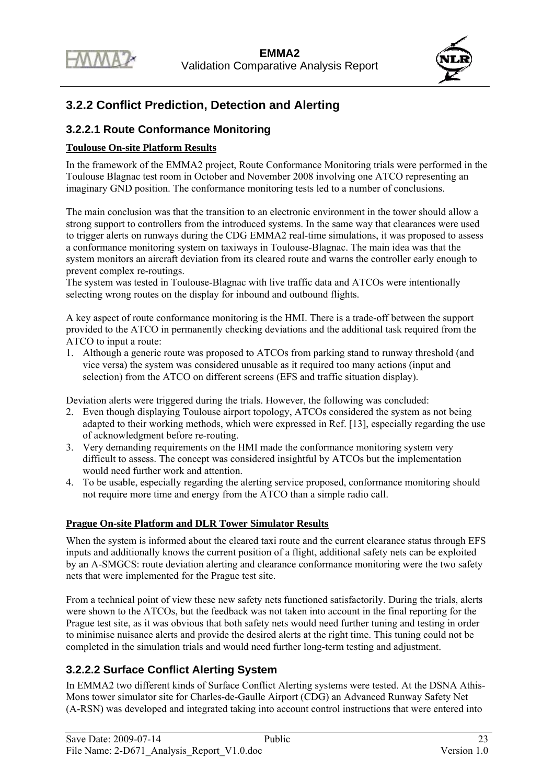



## **3.2.2 Conflict Prediction, Detection and Alerting**

## **3.2.2.1 Route Conformance Monitoring**

### **Toulouse On-site Platform Results**

In the framework of the EMMA2 project, Route Conformance Monitoring trials were performed in the Toulouse Blagnac test room in October and November 2008 involving one ATCO representing an imaginary GND position. The conformance monitoring tests led to a number of conclusions.

The main conclusion was that the transition to an electronic environment in the tower should allow a strong support to controllers from the introduced systems. In the same way that clearances were used to trigger alerts on runways during the CDG EMMA2 real-time simulations, it was proposed to assess a conformance monitoring system on taxiways in Toulouse-Blagnac. The main idea was that the system monitors an aircraft deviation from its cleared route and warns the controller early enough to prevent complex re-routings.

The system was tested in Toulouse-Blagnac with live traffic data and ATCOs were intentionally selecting wrong routes on the display for inbound and outbound flights.

A key aspect of route conformance monitoring is the HMI. There is a trade-off between the support provided to the ATCO in permanently checking deviations and the additional task required from the ATCO to input a route:

1. Although a generic route was proposed to ATCOs from parking stand to runway threshold (and vice versa) the system was considered unusable as it required too many actions (input and selection) from the ATCO on different screens (EFS and traffic situation display).

Deviation alerts were triggered during the trials. However, the following was concluded:

- 2. Even though displaying Toulouse airport topology, ATCOs considered the system as not being adapted to their working methods, which were expressed in Ref. [13], especially regarding the use of acknowledgment before re-routing.
- 3. Very demanding requirements on the HMI made the conformance monitoring system very difficult to assess. The concept was considered insightful by ATCOs but the implementation would need further work and attention.
- 4. To be usable, especially regarding the alerting service proposed, conformance monitoring should not require more time and energy from the ATCO than a simple radio call.

### **Prague On-site Platform and DLR Tower Simulator Results**

When the system is informed about the cleared taxi route and the current clearance status through EFS inputs and additionally knows the current position of a flight, additional safety nets can be exploited by an A-SMGCS: route deviation alerting and clearance conformance monitoring were the two safety nets that were implemented for the Prague test site.

From a technical point of view these new safety nets functioned satisfactorily. During the trials, alerts were shown to the ATCOs, but the feedback was not taken into account in the final reporting for the Prague test site, as it was obvious that both safety nets would need further tuning and testing in order to minimise nuisance alerts and provide the desired alerts at the right time. This tuning could not be completed in the simulation trials and would need further long-term testing and adjustment.

## **3.2.2.2 Surface Conflict Alerting System**

In EMMA2 two different kinds of Surface Conflict Alerting systems were tested. At the DSNA Athis-Mons tower simulator site for Charles-de-Gaulle Airport (CDG) an Advanced Runway Safety Net (A-RSN) was developed and integrated taking into account control instructions that were entered into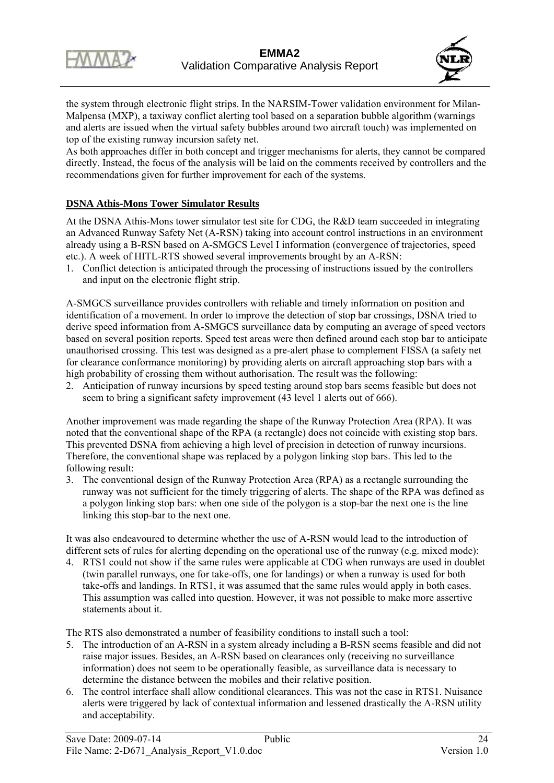



the system through electronic flight strips. In the NARSIM-Tower validation environment for Milan-Malpensa (MXP), a taxiway conflict alerting tool based on a separation bubble algorithm (warnings and alerts are issued when the virtual safety bubbles around two aircraft touch) was implemented on top of the existing runway incursion safety net.

As both approaches differ in both concept and trigger mechanisms for alerts, they cannot be compared directly. Instead, the focus of the analysis will be laid on the comments received by controllers and the recommendations given for further improvement for each of the systems.

### **DSNA Athis-Mons Tower Simulator Results**

At the DSNA Athis-Mons tower simulator test site for CDG, the R&D team succeeded in integrating an Advanced Runway Safety Net (A-RSN) taking into account control instructions in an environment already using a B-RSN based on A-SMGCS Level I information (convergence of trajectories, speed etc.). A week of HITL-RTS showed several improvements brought by an A-RSN:

1. Conflict detection is anticipated through the processing of instructions issued by the controllers and input on the electronic flight strip.

A-SMGCS surveillance provides controllers with reliable and timely information on position and identification of a movement. In order to improve the detection of stop bar crossings, DSNA tried to derive speed information from A-SMGCS surveillance data by computing an average of speed vectors based on several position reports. Speed test areas were then defined around each stop bar to anticipate unauthorised crossing. This test was designed as a pre-alert phase to complement FISSA (a safety net for clearance conformance monitoring) by providing alerts on aircraft approaching stop bars with a high probability of crossing them without authorisation. The result was the following:

2. Anticipation of runway incursions by speed testing around stop bars seems feasible but does not seem to bring a significant safety improvement (43 level 1 alerts out of 666).

Another improvement was made regarding the shape of the Runway Protection Area (RPA). It was noted that the conventional shape of the RPA (a rectangle) does not coincide with existing stop bars. This prevented DSNA from achieving a high level of precision in detection of runway incursions. Therefore, the conventional shape was replaced by a polygon linking stop bars. This led to the following result:

3. The conventional design of the Runway Protection Area (RPA) as a rectangle surrounding the runway was not sufficient for the timely triggering of alerts. The shape of the RPA was defined as a polygon linking stop bars: when one side of the polygon is a stop-bar the next one is the line linking this stop-bar to the next one.

It was also endeavoured to determine whether the use of A-RSN would lead to the introduction of different sets of rules for alerting depending on the operational use of the runway (e.g. mixed mode):

4. RTS1 could not show if the same rules were applicable at CDG when runways are used in doublet (twin parallel runways, one for take-offs, one for landings) or when a runway is used for both take-offs and landings. In RTS1, it was assumed that the same rules would apply in both cases. This assumption was called into question. However, it was not possible to make more assertive statements about it.

The RTS also demonstrated a number of feasibility conditions to install such a tool:

- 5. The introduction of an A-RSN in a system already including a B-RSN seems feasible and did not raise major issues. Besides, an A-RSN based on clearances only (receiving no surveillance information) does not seem to be operationally feasible, as surveillance data is necessary to determine the distance between the mobiles and their relative position.
- 6. The control interface shall allow conditional clearances. This was not the case in RTS1. Nuisance alerts were triggered by lack of contextual information and lessened drastically the A-RSN utility and acceptability.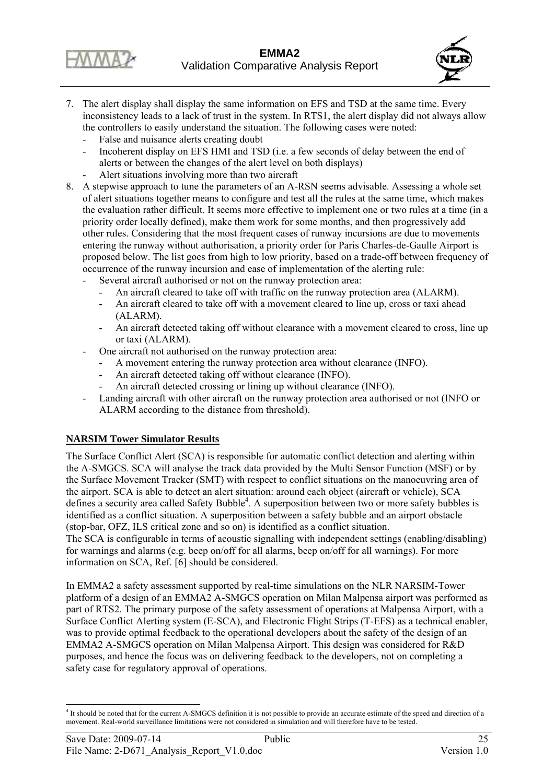



- 7. The alert display shall display the same information on EFS and TSD at the same time. Every inconsistency leads to a lack of trust in the system. In RTS1, the alert display did not always allow the controllers to easily understand the situation. The following cases were noted:
	- False and nuisance alerts creating doubt
	- Incoherent display on EFS HMI and TSD (i.e. a few seconds of delay between the end of alerts or between the changes of the alert level on both displays)
	- Alert situations involving more than two aircraft
- 8. A stepwise approach to tune the parameters of an A-RSN seems advisable. Assessing a whole set of alert situations together means to configure and test all the rules at the same time, which makes the evaluation rather difficult. It seems more effective to implement one or two rules at a time (in a priority order locally defined), make them work for some months, and then progressively add other rules. Considering that the most frequent cases of runway incursions are due to movements entering the runway without authorisation, a priority order for Paris Charles-de-Gaulle Airport is proposed below. The list goes from high to low priority, based on a trade-off between frequency of occurrence of the runway incursion and ease of implementation of the alerting rule:
	- Several aircraft authorised or not on the runway protection area:
		- An aircraft cleared to take off with traffic on the runway protection area (ALARM).
		- An aircraft cleared to take off with a movement cleared to line up, cross or taxi ahead (ALARM).
		- An aircraft detected taking off without clearance with a movement cleared to cross, line up or taxi (ALARM).
	- One aircraft not authorised on the runway protection area:
		- A movement entering the runway protection area without clearance (INFO).
		- An aircraft detected taking off without clearance (INFO).
		- An aircraft detected crossing or lining up without clearance (INFO).
	- Landing aircraft with other aircraft on the runway protection area authorised or not (INFO or ALARM according to the distance from threshold).

### **NARSIM Tower Simulator Results**

The Surface Conflict Alert (SCA) is responsible for automatic conflict detection and alerting within the A-SMGCS. SCA will analyse the track data provided by the Multi Sensor Function (MSF) or by the Surface Movement Tracker (SMT) with respect to conflict situations on the manoeuvring area of the airport. SCA is able to detect an alert situation: around each object (aircraft or vehicle), SCA defines a security area called Safety Bubble<sup>4</sup>. A superposition between two or more safety bubbles is identified as a conflict situation. A superposition between a safety bubble and an airport obstacle (stop-bar, OFZ, ILS critical zone and so on) is identified as a conflict situation.

The SCA is configurable in terms of acoustic signalling with independent settings (enabling/disabling) for warnings and alarms (e.g. beep on/off for all alarms, beep on/off for all warnings). For more information on SCA, Ref. [6] should be considered.

In EMMA2 a safety assessment supported by real-time simulations on the NLR NARSIM-Tower platform of a design of an EMMA2 A-SMGCS operation on Milan Malpensa airport was performed as part of RTS2. The primary purpose of the safety assessment of operations at Malpensa Airport, with a Surface Conflict Alerting system (E-SCA), and Electronic Flight Strips (T-EFS) as a technical enabler, was to provide optimal feedback to the operational developers about the safety of the design of an EMMA2 A-SMGCS operation on Milan Malpensa Airport. This design was considered for R&D purposes, and hence the focus was on delivering feedback to the developers, not on completing a safety case for regulatory approval of operations.

l <sup>4</sup> It should be noted that for the current A-SMGCS definition it is not possible to provide an accurate estimate of the speed and direction of a movement. Real-world surveillance limitations were not considered in simulation and will therefore have to be tested.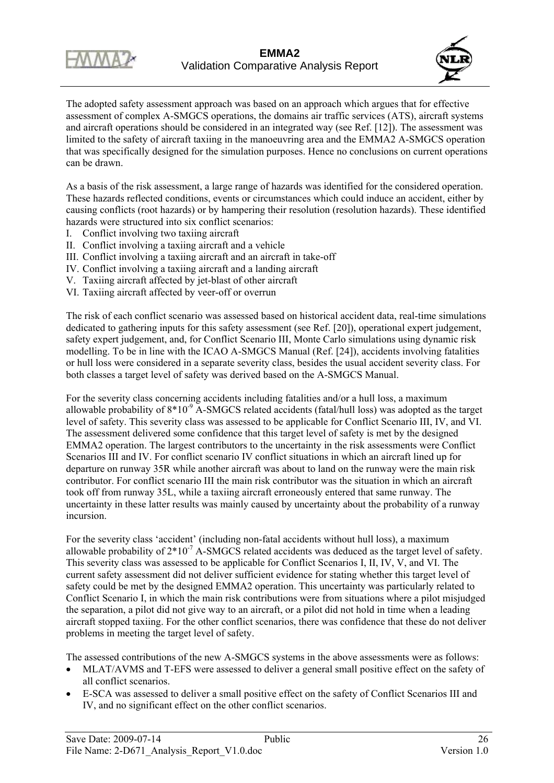



The adopted safety assessment approach was based on an approach which argues that for effective assessment of complex A-SMGCS operations, the domains air traffic services (ATS), aircraft systems and aircraft operations should be considered in an integrated way (see Ref. [12]). The assessment was limited to the safety of aircraft taxiing in the manoeuvring area and the EMMA2 A-SMGCS operation that was specifically designed for the simulation purposes. Hence no conclusions on current operations can be drawn.

As a basis of the risk assessment, a large range of hazards was identified for the considered operation. These hazards reflected conditions, events or circumstances which could induce an accident, either by causing conflicts (root hazards) or by hampering their resolution (resolution hazards). These identified hazards were structured into six conflict scenarios:

- I. Conflict involving two taxiing aircraft
- II. Conflict involving a taxiing aircraft and a vehicle
- III. Conflict involving a taxiing aircraft and an aircraft in take-off
- IV. Conflict involving a taxiing aircraft and a landing aircraft
- V. Taxiing aircraft affected by jet-blast of other aircraft
- VI. Taxiing aircraft affected by veer-off or overrun

The risk of each conflict scenario was assessed based on historical accident data, real-time simulations dedicated to gathering inputs for this safety assessment (see Ref. [20]), operational expert judgement, safety expert judgement, and, for Conflict Scenario III, Monte Carlo simulations using dynamic risk modelling. To be in line with the ICAO A-SMGCS Manual (Ref. [24]), accidents involving fatalities or hull loss were considered in a separate severity class, besides the usual accident severity class. For both classes a target level of safety was derived based on the A-SMGCS Manual.

For the severity class concerning accidents including fatalities and/or a hull loss, a maximum allowable probability of  $8*10^{-9}$  A-SMGCS related accidents (fatal/hull loss) was adopted as the target level of safety. This severity class was assessed to be applicable for Conflict Scenario III, IV, and VI. The assessment delivered some confidence that this target level of safety is met by the designed EMMA2 operation. The largest contributors to the uncertainty in the risk assessments were Conflict Scenarios III and IV. For conflict scenario IV conflict situations in which an aircraft lined up for departure on runway 35R while another aircraft was about to land on the runway were the main risk contributor. For conflict scenario III the main risk contributor was the situation in which an aircraft took off from runway 35L, while a taxiing aircraft erroneously entered that same runway. The uncertainty in these latter results was mainly caused by uncertainty about the probability of a runway incursion.

For the severity class 'accident' (including non-fatal accidents without hull loss), a maximum allowable probability of  $2*10^{-7}$  A-SMGCS related accidents was deduced as the target level of safety. This severity class was assessed to be applicable for Conflict Scenarios I, II, IV, V, and VI. The current safety assessment did not deliver sufficient evidence for stating whether this target level of safety could be met by the designed EMMA2 operation. This uncertainty was particularly related to Conflict Scenario I, in which the main risk contributions were from situations where a pilot misjudged the separation, a pilot did not give way to an aircraft, or a pilot did not hold in time when a leading aircraft stopped taxiing. For the other conflict scenarios, there was confidence that these do not deliver problems in meeting the target level of safety.

The assessed contributions of the new A-SMGCS systems in the above assessments were as follows:

- MLAT/AVMS and T-EFS were assessed to deliver a general small positive effect on the safety of all conflict scenarios.
- E-SCA was assessed to deliver a small positive effect on the safety of Conflict Scenarios III and IV, and no significant effect on the other conflict scenarios.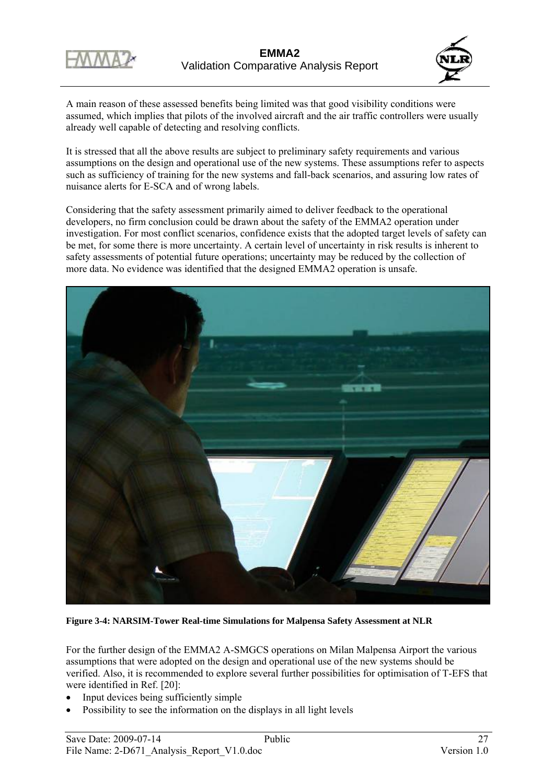



A main reason of these assessed benefits being limited was that good visibility conditions were assumed, which implies that pilots of the involved aircraft and the air traffic controllers were usually already well capable of detecting and resolving conflicts.

It is stressed that all the above results are subject to preliminary safety requirements and various assumptions on the design and operational use of the new systems. These assumptions refer to aspects such as sufficiency of training for the new systems and fall-back scenarios, and assuring low rates of nuisance alerts for E-SCA and of wrong labels.

Considering that the safety assessment primarily aimed to deliver feedback to the operational developers, no firm conclusion could be drawn about the safety of the EMMA2 operation under investigation. For most conflict scenarios, confidence exists that the adopted target levels of safety can be met, for some there is more uncertainty. A certain level of uncertainty in risk results is inherent to safety assessments of potential future operations; uncertainty may be reduced by the collection of more data. No evidence was identified that the designed EMMA2 operation is unsafe.



**Figure 3-4: NARSIM-Tower Real-time Simulations for Malpensa Safety Assessment at NLR** 

For the further design of the EMMA2 A-SMGCS operations on Milan Malpensa Airport the various assumptions that were adopted on the design and operational use of the new systems should be verified. Also, it is recommended to explore several further possibilities for optimisation of T-EFS that were identified in Ref. [20]:

- Input devices being sufficiently simple
- Possibility to see the information on the displays in all light levels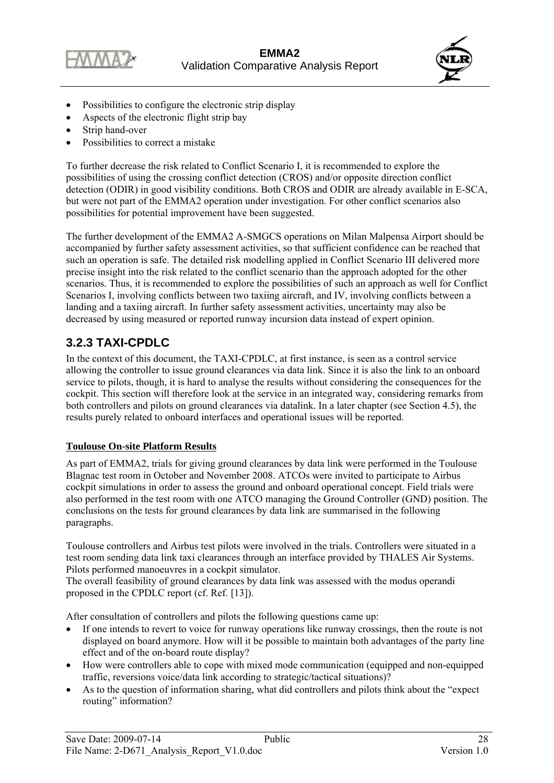



- Possibilities to configure the electronic strip display
- Aspects of the electronic flight strip bay
- Strip hand-over
- Possibilities to correct a mistake

To further decrease the risk related to Conflict Scenario I, it is recommended to explore the possibilities of using the crossing conflict detection (CROS) and/or opposite direction conflict detection (ODIR) in good visibility conditions. Both CROS and ODIR are already available in E-SCA, but were not part of the EMMA2 operation under investigation. For other conflict scenarios also possibilities for potential improvement have been suggested.

The further development of the EMMA2 A-SMGCS operations on Milan Malpensa Airport should be accompanied by further safety assessment activities, so that sufficient confidence can be reached that such an operation is safe. The detailed risk modelling applied in Conflict Scenario III delivered more precise insight into the risk related to the conflict scenario than the approach adopted for the other scenarios. Thus, it is recommended to explore the possibilities of such an approach as well for Conflict Scenarios I, involving conflicts between two taxiing aircraft, and IV, involving conflicts between a landing and a taxiing aircraft. In further safety assessment activities, uncertainty may also be decreased by using measured or reported runway incursion data instead of expert opinion.

## **3.2.3 TAXI-CPDLC**

In the context of this document, the TAXI-CPDLC, at first instance, is seen as a control service allowing the controller to issue ground clearances via data link. Since it is also the link to an onboard service to pilots, though, it is hard to analyse the results without considering the consequences for the cockpit. This section will therefore look at the service in an integrated way, considering remarks from both controllers and pilots on ground clearances via datalink. In a later chapter (see Section 4.5), the results purely related to onboard interfaces and operational issues will be reported.

### **Toulouse On-site Platform Results**

As part of EMMA2, trials for giving ground clearances by data link were performed in the Toulouse Blagnac test room in October and November 2008. ATCOs were invited to participate to Airbus cockpit simulations in order to assess the ground and onboard operational concept. Field trials were also performed in the test room with one ATCO managing the Ground Controller (GND) position. The conclusions on the tests for ground clearances by data link are summarised in the following paragraphs.

Toulouse controllers and Airbus test pilots were involved in the trials. Controllers were situated in a test room sending data link taxi clearances through an interface provided by THALES Air Systems. Pilots performed manoeuvres in a cockpit simulator.

The overall feasibility of ground clearances by data link was assessed with the modus operandi proposed in the CPDLC report (cf. Ref. [13]).

After consultation of controllers and pilots the following questions came up:

- If one intends to revert to voice for runway operations like runway crossings, then the route is not displayed on board anymore. How will it be possible to maintain both advantages of the party line effect and of the on-board route display?
- How were controllers able to cope with mixed mode communication (equipped and non-equipped traffic, reversions voice/data link according to strategic/tactical situations)?
- As to the question of information sharing, what did controllers and pilots think about the "expect" routing" information?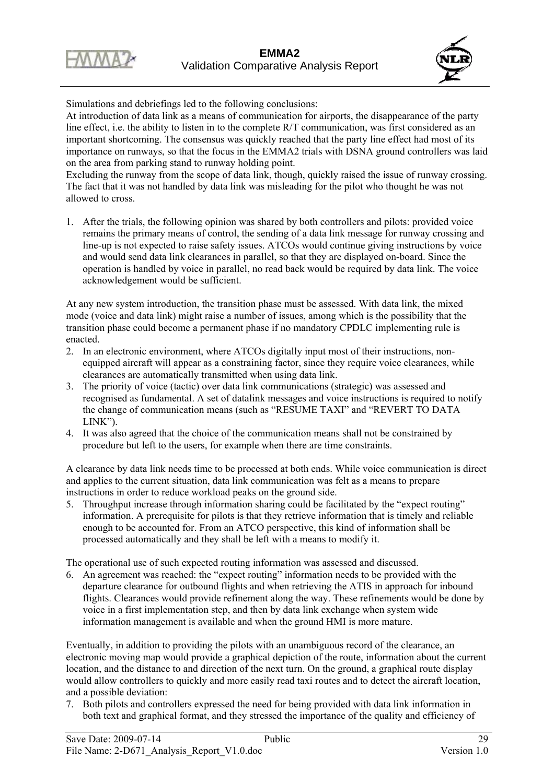



Simulations and debriefings led to the following conclusions:

At introduction of data link as a means of communication for airports, the disappearance of the party line effect, i.e. the ability to listen in to the complete R/T communication, was first considered as an important shortcoming. The consensus was quickly reached that the party line effect had most of its importance on runways, so that the focus in the EMMA2 trials with DSNA ground controllers was laid on the area from parking stand to runway holding point.

Excluding the runway from the scope of data link, though, quickly raised the issue of runway crossing. The fact that it was not handled by data link was misleading for the pilot who thought he was not allowed to cross.

1. After the trials, the following opinion was shared by both controllers and pilots: provided voice remains the primary means of control, the sending of a data link message for runway crossing and line-up is not expected to raise safety issues. ATCOs would continue giving instructions by voice and would send data link clearances in parallel, so that they are displayed on-board. Since the operation is handled by voice in parallel, no read back would be required by data link. The voice acknowledgement would be sufficient.

At any new system introduction, the transition phase must be assessed. With data link, the mixed mode (voice and data link) might raise a number of issues, among which is the possibility that the transition phase could become a permanent phase if no mandatory CPDLC implementing rule is enacted.

- 2. In an electronic environment, where ATCOs digitally input most of their instructions, nonequipped aircraft will appear as a constraining factor, since they require voice clearances, while clearances are automatically transmitted when using data link.
- 3. The priority of voice (tactic) over data link communications (strategic) was assessed and recognised as fundamental. A set of datalink messages and voice instructions is required to notify the change of communication means (such as "RESUME TAXI" and "REVERT TO DATA LINK").
- 4. It was also agreed that the choice of the communication means shall not be constrained by procedure but left to the users, for example when there are time constraints.

A clearance by data link needs time to be processed at both ends. While voice communication is direct and applies to the current situation, data link communication was felt as a means to prepare instructions in order to reduce workload peaks on the ground side.

5. Throughput increase through information sharing could be facilitated by the "expect routing" information. A prerequisite for pilots is that they retrieve information that is timely and reliable enough to be accounted for. From an ATCO perspective, this kind of information shall be processed automatically and they shall be left with a means to modify it.

The operational use of such expected routing information was assessed and discussed.

6. An agreement was reached: the "expect routing" information needs to be provided with the departure clearance for outbound flights and when retrieving the ATIS in approach for inbound flights. Clearances would provide refinement along the way. These refinements would be done by voice in a first implementation step, and then by data link exchange when system wide information management is available and when the ground HMI is more mature.

Eventually, in addition to providing the pilots with an unambiguous record of the clearance, an electronic moving map would provide a graphical depiction of the route, information about the current location, and the distance to and direction of the next turn. On the ground, a graphical route display would allow controllers to quickly and more easily read taxi routes and to detect the aircraft location, and a possible deviation:

7. Both pilots and controllers expressed the need for being provided with data link information in both text and graphical format, and they stressed the importance of the quality and efficiency of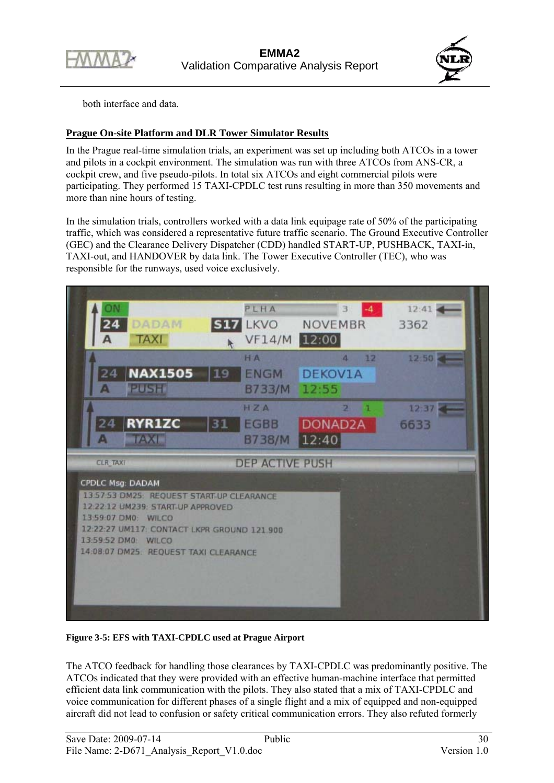



both interface and data.

### **Prague On-site Platform and DLR Tower Simulator Results**

In the Prague real-time simulation trials, an experiment was set up including both ATCOs in a tower and pilots in a cockpit environment. The simulation was run with three ATCOs from ANS-CR, a cockpit crew, and five pseudo-pilots. In total six ATCOs and eight commercial pilots were participating. They performed 15 TAXI-CPDLC test runs resulting in more than 350 movements and more than nine hours of testing.

In the simulation trials, controllers worked with a data link equipage rate of 50% of the participating traffic, which was considered a representative future traffic scenario. The Ground Executive Controller (GEC) and the Clearance Delivery Dispatcher (CDD) handled START-UP, PUSHBACK, TAXI-in, TAXI-out, and HANDOVER by data link. The Tower Executive Controller (TEC), who was responsible for the runways, used voice exclusively.



#### **Figure 3-5: EFS with TAXI-CPDLC used at Prague Airport**

The ATCO feedback for handling those clearances by TAXI-CPDLC was predominantly positive. The ATCOs indicated that they were provided with an effective human-machine interface that permitted efficient data link communication with the pilots. They also stated that a mix of TAXI-CPDLC and voice communication for different phases of a single flight and a mix of equipped and non-equipped aircraft did not lead to confusion or safety critical communication errors. They also refuted formerly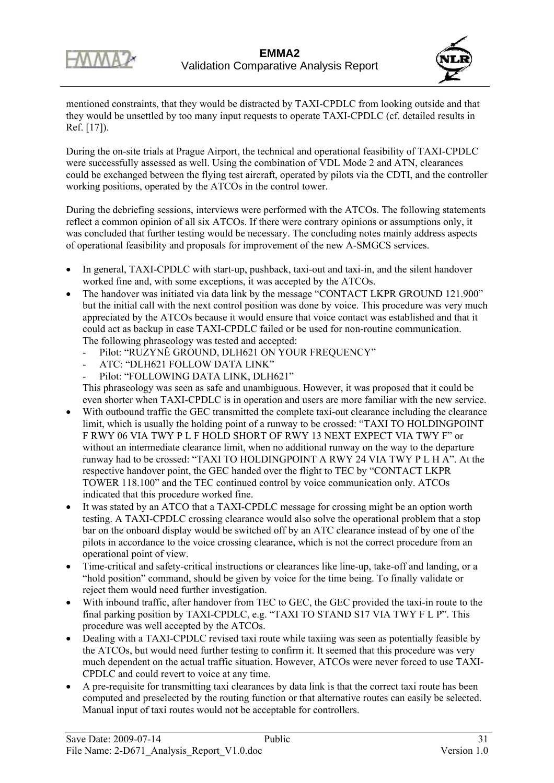



mentioned constraints, that they would be distracted by TAXI-CPDLC from looking outside and that they would be unsettled by too many input requests to operate TAXI-CPDLC (cf. detailed results in Ref. [17]).

During the on-site trials at Prague Airport, the technical and operational feasibility of TAXI-CPDLC were successfully assessed as well. Using the combination of VDL Mode 2 and ATN, clearances could be exchanged between the flying test aircraft, operated by pilots via the CDTI, and the controller working positions, operated by the ATCOs in the control tower.

During the debriefing sessions, interviews were performed with the ATCOs. The following statements reflect a common opinion of all six ATCOs. If there were contrary opinions or assumptions only, it was concluded that further testing would be necessary. The concluding notes mainly address aspects of operational feasibility and proposals for improvement of the new A-SMGCS services.

- In general, TAXI-CPDLC with start-up, pushback, taxi-out and taxi-in, and the silent handover worked fine and, with some exceptions, it was accepted by the ATCOs.
- The handover was initiated via data link by the message "CONTACT LKPR GROUND 121.900" but the initial call with the next control position was done by voice. This procedure was very much appreciated by the ATCOs because it would ensure that voice contact was established and that it could act as backup in case TAXI-CPDLC failed or be used for non-routine communication. The following phraseology was tested and accepted:
	- Pilot: "RUZYNĚ GROUND, DLH621 ON YOUR FREQUENCY"
	- ATC: "DLH621 FOLLOW DATA LINK"
	- Pilot: "FOLLOWING DATA LINK, DLH621"

This phraseology was seen as safe and unambiguous. However, it was proposed that it could be even shorter when TAXI-CPDLC is in operation and users are more familiar with the new service.

- With outbound traffic the GEC transmitted the complete taxi-out clearance including the clearance limit, which is usually the holding point of a runway to be crossed: "TAXI TO HOLDINGPOINT F RWY 06 VIA TWY P L F HOLD SHORT OF RWY 13 NEXT EXPECT VIA TWY F" or without an intermediate clearance limit, when no additional runway on the way to the departure runway had to be crossed: "TAXI TO HOLDINGPOINT A RWY 24 VIA TWY P L H A". At the respective handover point, the GEC handed over the flight to TEC by "CONTACT LKPR TOWER 118.100" and the TEC continued control by voice communication only. ATCOs indicated that this procedure worked fine.
- It was stated by an ATCO that a TAXI-CPDLC message for crossing might be an option worth testing. A TAXI-CPDLC crossing clearance would also solve the operational problem that a stop bar on the onboard display would be switched off by an ATC clearance instead of by one of the pilots in accordance to the voice crossing clearance, which is not the correct procedure from an operational point of view.
- Time-critical and safety-critical instructions or clearances like line-up, take-off and landing, or a "hold position" command, should be given by voice for the time being. To finally validate or reject them would need further investigation.
- With inbound traffic, after handover from TEC to GEC, the GEC provided the taxi-in route to the final parking position by TAXI-CPDLC, e.g. "TAXI TO STAND S17 VIA TWY F L P". This procedure was well accepted by the ATCOs.
- Dealing with a TAXI-CPDLC revised taxi route while taxiing was seen as potentially feasible by the ATCOs, but would need further testing to confirm it. It seemed that this procedure was very much dependent on the actual traffic situation. However, ATCOs were never forced to use TAXI-CPDLC and could revert to voice at any time.
- A pre-requisite for transmitting taxi clearances by data link is that the correct taxi route has been computed and preselected by the routing function or that alternative routes can easily be selected. Manual input of taxi routes would not be acceptable for controllers.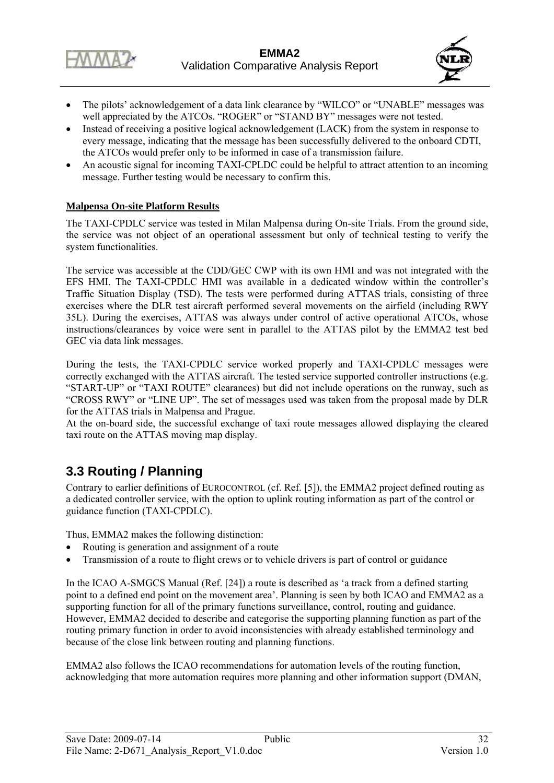



- The pilots' acknowledgement of a data link clearance by "WILCO" or "UNABLE" messages was well appreciated by the ATCOs. "ROGER" or "STAND BY" messages were not tested.
- Instead of receiving a positive logical acknowledgement (LACK) from the system in response to every message, indicating that the message has been successfully delivered to the onboard CDTI, the ATCOs would prefer only to be informed in case of a transmission failure.
- An acoustic signal for incoming TAXI-CPLDC could be helpful to attract attention to an incoming message. Further testing would be necessary to confirm this.

#### **Malpensa On-site Platform Results**

The TAXI-CPDLC service was tested in Milan Malpensa during On-site Trials. From the ground side, the service was not object of an operational assessment but only of technical testing to verify the system functionalities.

The service was accessible at the CDD/GEC CWP with its own HMI and was not integrated with the EFS HMI. The TAXI-CPDLC HMI was available in a dedicated window within the controller's Traffic Situation Display (TSD). The tests were performed during ATTAS trials, consisting of three exercises where the DLR test aircraft performed several movements on the airfield (including RWY 35L). During the exercises, ATTAS was always under control of active operational ATCOs, whose instructions/clearances by voice were sent in parallel to the ATTAS pilot by the EMMA2 test bed GEC via data link messages.

During the tests, the TAXI-CPDLC service worked properly and TAXI-CPDLC messages were correctly exchanged with the ATTAS aircraft. The tested service supported controller instructions (e.g. "START-UP" or "TAXI ROUTE" clearances) but did not include operations on the runway, such as "CROSS RWY" or "LINE UP". The set of messages used was taken from the proposal made by DLR for the ATTAS trials in Malpensa and Prague.

At the on-board side, the successful exchange of taxi route messages allowed displaying the cleared taxi route on the ATTAS moving map display.

## **3.3 Routing / Planning**

Contrary to earlier definitions of EUROCONTROL (cf. Ref. [5]), the EMMA2 project defined routing as a dedicated controller service, with the option to uplink routing information as part of the control or guidance function (TAXI-CPDLC).

Thus, EMMA2 makes the following distinction:

- Routing is generation and assignment of a route
- Transmission of a route to flight crews or to vehicle drivers is part of control or guidance

In the ICAO A-SMGCS Manual (Ref. [24]) a route is described as 'a track from a defined starting point to a defined end point on the movement area'. Planning is seen by both ICAO and EMMA2 as a supporting function for all of the primary functions surveillance, control, routing and guidance. However, EMMA2 decided to describe and categorise the supporting planning function as part of the routing primary function in order to avoid inconsistencies with already established terminology and because of the close link between routing and planning functions.

EMMA2 also follows the ICAO recommendations for automation levels of the routing function, acknowledging that more automation requires more planning and other information support (DMAN,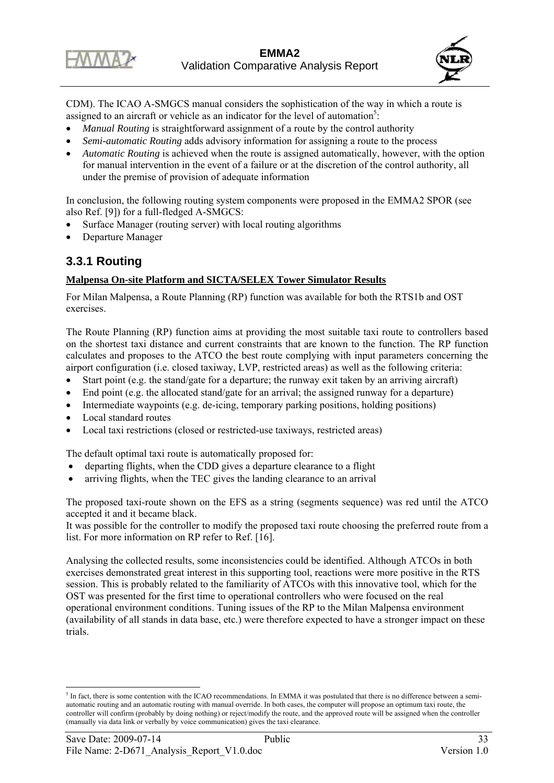



CDM). The ICAO A-SMGCS manual considers the sophistication of the way in which a route is assigned to an aircraft or vehicle as an indicator for the level of automation<sup>5</sup>:

- *Manual Routing* is straightforward assignment of a route by the control authority
- *Semi-automatic Routing* adds advisory information for assigning a route to the process
- *Automatic Routing* is achieved when the route is assigned automatically, however, with the option for manual intervention in the event of a failure or at the discretion of the control authority, all under the premise of provision of adequate information

In conclusion, the following routing system components were proposed in the EMMA2 SPOR (see also Ref. [9]) for a full-fledged A-SMGCS:

- Surface Manager (routing server) with local routing algorithms
- Departure Manager

## **3.3.1 Routing**

### **Malpensa On-site Platform and SICTA/SELEX Tower Simulator Results**

For Milan Malpensa, a Route Planning (RP) function was available for both the RTS1b and OST exercises.

The Route Planning (RP) function aims at providing the most suitable taxi route to controllers based on the shortest taxi distance and current constraints that are known to the function. The RP function calculates and proposes to the ATCO the best route complying with input parameters concerning the airport configuration (i.e. closed taxiway, LVP, restricted areas) as well as the following criteria:

- Start point (e.g. the stand/gate for a departure; the runway exit taken by an arriving aircraft)
- End point (e.g. the allocated stand/gate for an arrival; the assigned runway for a departure)
- Intermediate waypoints (e.g. de-icing, temporary parking positions, holding positions)
- Local standard routes
- Local taxi restrictions (closed or restricted-use taxiways, restricted areas)

The default optimal taxi route is automatically proposed for:

- departing flights, when the CDD gives a departure clearance to a flight
- arriving flights, when the TEC gives the landing clearance to an arrival

The proposed taxi-route shown on the EFS as a string (segments sequence) was red until the ATCO accepted it and it became black.

It was possible for the controller to modify the proposed taxi route choosing the preferred route from a list. For more information on RP refer to Ref. [16].

Analysing the collected results, some inconsistencies could be identified. Although ATCOs in both exercises demonstrated great interest in this supporting tool, reactions were more positive in the RTS session. This is probably related to the familiarity of ATCOs with this innovative tool, which for the OST was presented for the first time to operational controllers who were focused on the real operational environment conditions. Tuning issues of the RP to the Milan Malpensa environment (availability of all stands in data base, etc.) were therefore expected to have a stronger impact on these trials.

l  $<sup>5</sup>$  In fact, there is some contention with the ICAO recommendations. In EMMA it was postulated that there is no difference between a semi-</sup> automatic routing and an automatic routing with manual override. In both cases, the computer will propose an optimum taxi route, the controller will confirm (probably by doing nothing) or reject/modify the route, and the approved route will be assigned when the controller (manually via data link or verbally by voice communication) gives the taxi clearance.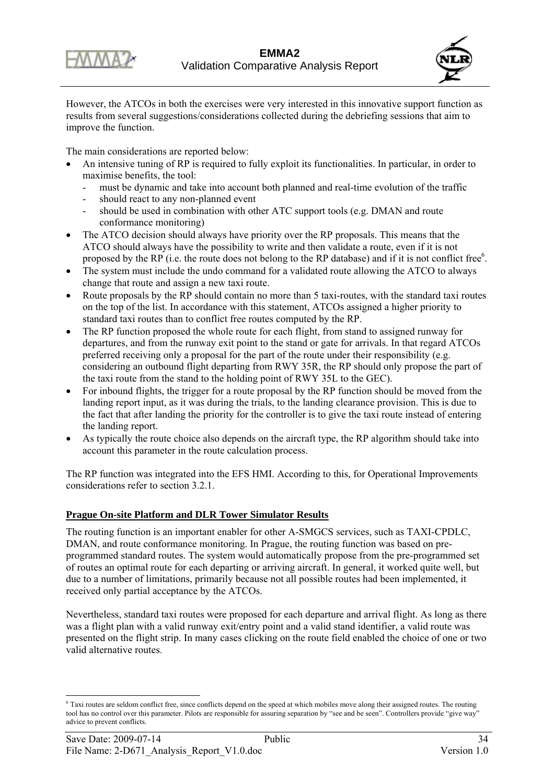



However, the ATCOs in both the exercises were very interested in this innovative support function as results from several suggestions/considerations collected during the debriefing sessions that aim to improve the function.

The main considerations are reported below:

- An intensive tuning of RP is required to fully exploit its functionalities. In particular, in order to maximise benefits, the tool:
	- must be dynamic and take into account both planned and real-time evolution of the traffic
	- should react to any non-planned event
	- should be used in combination with other ATC support tools (e.g. DMAN and route conformance monitoring)
- The ATCO decision should always have priority over the RP proposals. This means that the ATCO should always have the possibility to write and then validate a route, even if it is not proposed by the RP (i.e. the route does not belong to the RP database) and if it is not conflict free.
- The system must include the undo command for a validated route allowing the ATCO to always change that route and assign a new taxi route.
- Route proposals by the RP should contain no more than 5 taxi-routes, with the standard taxi routes on the top of the list. In accordance with this statement, ATCOs assigned a higher priority to standard taxi routes than to conflict free routes computed by the RP.
- The RP function proposed the whole route for each flight, from stand to assigned runway for departures, and from the runway exit point to the stand or gate for arrivals. In that regard ATCOs preferred receiving only a proposal for the part of the route under their responsibility (e.g. considering an outbound flight departing from RWY 35R, the RP should only propose the part of the taxi route from the stand to the holding point of RWY 35L to the GEC).
- For inbound flights, the trigger for a route proposal by the RP function should be moved from the landing report input, as it was during the trials, to the landing clearance provision. This is due to the fact that after landing the priority for the controller is to give the taxi route instead of entering the landing report.
- As typically the route choice also depends on the aircraft type, the RP algorithm should take into account this parameter in the route calculation process.

The RP function was integrated into the EFS HMI. According to this, for Operational Improvements considerations refer to section 3.2.1.

#### **Prague On-site Platform and DLR Tower Simulator Results**

The routing function is an important enabler for other A-SMGCS services, such as TAXI-CPDLC, DMAN, and route conformance monitoring. In Prague, the routing function was based on preprogrammed standard routes. The system would automatically propose from the pre-programmed set of routes an optimal route for each departing or arriving aircraft. In general, it worked quite well, but due to a number of limitations, primarily because not all possible routes had been implemented, it received only partial acceptance by the ATCOs.

Nevertheless, standard taxi routes were proposed for each departure and arrival flight. As long as there was a flight plan with a valid runway exit/entry point and a valid stand identifier, a valid route was presented on the flight strip. In many cases clicking on the route field enabled the choice of one or two valid alternative routes.

l

<sup>&</sup>lt;sup>6</sup> Taxi routes are seldom conflict free, since conflicts depend on the speed at which mobiles move along their assigned routes. The routing tool has no control over this parameter. Pilots are responsible for assuring separation by "see and be seen". Controllers provide "give way" advice to prevent conflicts.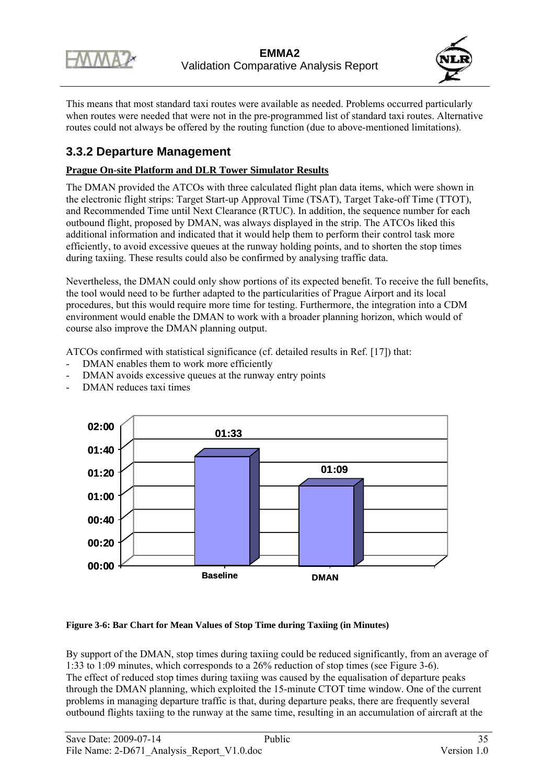



This means that most standard taxi routes were available as needed. Problems occurred particularly when routes were needed that were not in the pre-programmed list of standard taxi routes. Alternative routes could not always be offered by the routing function (due to above-mentioned limitations).

## **3.3.2 Departure Management**

### **Prague On-site Platform and DLR Tower Simulator Results**

The DMAN provided the ATCOs with three calculated flight plan data items, which were shown in the electronic flight strips: Target Start-up Approval Time (TSAT), Target Take-off Time (TTOT), and Recommended Time until Next Clearance (RTUC). In addition, the sequence number for each outbound flight, proposed by DMAN, was always displayed in the strip. The ATCOs liked this additional information and indicated that it would help them to perform their control task more efficiently, to avoid excessive queues at the runway holding points, and to shorten the stop times during taxiing. These results could also be confirmed by analysing traffic data.

Nevertheless, the DMAN could only show portions of its expected benefit. To receive the full benefits, the tool would need to be further adapted to the particularities of Prague Airport and its local procedures, but this would require more time for testing. Furthermore, the integration into a CDM environment would enable the DMAN to work with a broader planning horizon, which would of course also improve the DMAN planning output.

ATCOs confirmed with statistical significance (cf. detailed results in Ref. [17]) that:

- DMAN enables them to work more efficiently
- DMAN avoids excessive queues at the runway entry points
- DMAN reduces taxi times



#### **Figure 3-6: Bar Chart for Mean Values of Stop Time during Taxiing (in Minutes)**

By support of the DMAN, stop times during taxiing could be reduced significantly, from an average of 1:33 to 1:09 minutes, which corresponds to a 26% reduction of stop times (see Figure 3-6). The effect of reduced stop times during taxiing was caused by the equalisation of departure peaks through the DMAN planning, which exploited the 15-minute CTOT time window. One of the current problems in managing departure traffic is that, during departure peaks, there are frequently several outbound flights taxiing to the runway at the same time, resulting in an accumulation of aircraft at the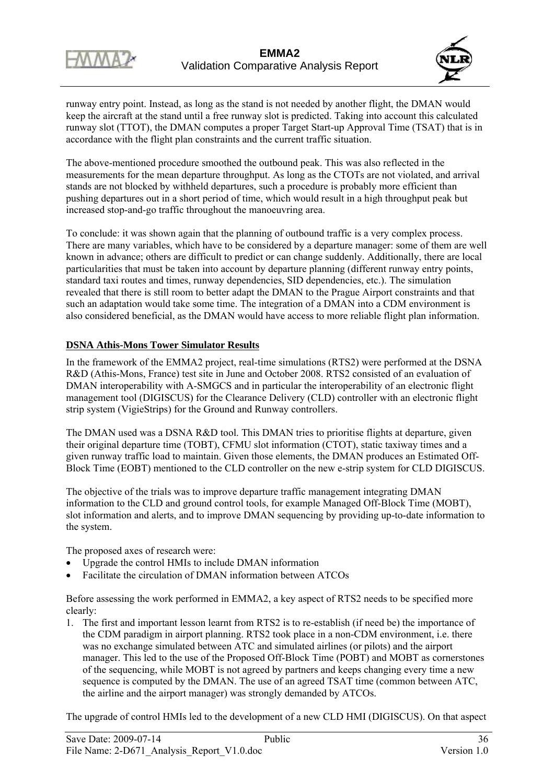



runway entry point. Instead, as long as the stand is not needed by another flight, the DMAN would keep the aircraft at the stand until a free runway slot is predicted. Taking into account this calculated runway slot (TTOT), the DMAN computes a proper Target Start-up Approval Time (TSAT) that is in accordance with the flight plan constraints and the current traffic situation.

The above-mentioned procedure smoothed the outbound peak. This was also reflected in the measurements for the mean departure throughput. As long as the CTOTs are not violated, and arrival stands are not blocked by withheld departures, such a procedure is probably more efficient than pushing departures out in a short period of time, which would result in a high throughput peak but increased stop-and-go traffic throughout the manoeuvring area.

To conclude: it was shown again that the planning of outbound traffic is a very complex process. There are many variables, which have to be considered by a departure manager: some of them are well known in advance; others are difficult to predict or can change suddenly. Additionally, there are local particularities that must be taken into account by departure planning (different runway entry points, standard taxi routes and times, runway dependencies, SID dependencies, etc.). The simulation revealed that there is still room to better adapt the DMAN to the Prague Airport constraints and that such an adaptation would take some time. The integration of a DMAN into a CDM environment is also considered beneficial, as the DMAN would have access to more reliable flight plan information.

### **DSNA Athis-Mons Tower Simulator Results**

In the framework of the EMMA2 project, real-time simulations (RTS2) were performed at the DSNA R&D (Athis-Mons, France) test site in June and October 2008. RTS2 consisted of an evaluation of DMAN interoperability with A-SMGCS and in particular the interoperability of an electronic flight management tool (DIGISCUS) for the Clearance Delivery (CLD) controller with an electronic flight strip system (VigieStrips) for the Ground and Runway controllers.

The DMAN used was a DSNA R&D tool. This DMAN tries to prioritise flights at departure, given their original departure time (TOBT), CFMU slot information (CTOT), static taxiway times and a given runway traffic load to maintain. Given those elements, the DMAN produces an Estimated Off-Block Time (EOBT) mentioned to the CLD controller on the new e-strip system for CLD DIGISCUS.

The objective of the trials was to improve departure traffic management integrating DMAN information to the CLD and ground control tools, for example Managed Off-Block Time (MOBT), slot information and alerts, and to improve DMAN sequencing by providing up-to-date information to the system.

The proposed axes of research were:

- Upgrade the control HMIs to include DMAN information
- Facilitate the circulation of DMAN information between ATCOs

Before assessing the work performed in EMMA2, a key aspect of RTS2 needs to be specified more clearly:

1. The first and important lesson learnt from RTS2 is to re-establish (if need be) the importance of the CDM paradigm in airport planning. RTS2 took place in a non-CDM environment, i.e. there was no exchange simulated between ATC and simulated airlines (or pilots) and the airport manager. This led to the use of the Proposed Off-Block Time (POBT) and MOBT as cornerstones of the sequencing, while MOBT is not agreed by partners and keeps changing every time a new sequence is computed by the DMAN. The use of an agreed TSAT time (common between ATC, the airline and the airport manager) was strongly demanded by ATCOs.

The upgrade of control HMIs led to the development of a new CLD HMI (DIGISCUS). On that aspect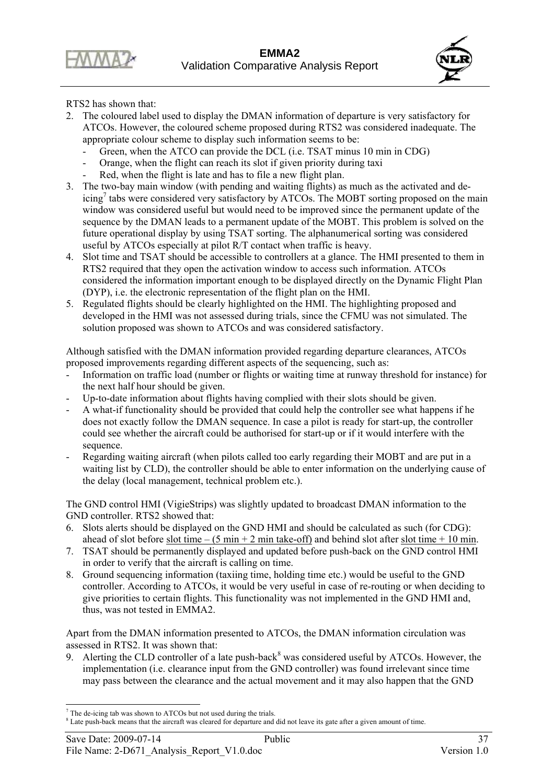



RTS2 has shown that:

- 2. The coloured label used to display the DMAN information of departure is very satisfactory for ATCOs. However, the coloured scheme proposed during RTS2 was considered inadequate. The appropriate colour scheme to display such information seems to be:
	- Green, when the ATCO can provide the DCL (i.e. TSAT minus 10 min in CDG)
	- Orange, when the flight can reach its slot if given priority during taxi
	- Red, when the flight is late and has to file a new flight plan.
- 3. The two-bay main window (with pending and waiting flights) as much as the activated and de- $\frac{1}{2}$  tabs were considered very satisfactory by ATCOs. The MOBT sorting proposed on the main window was considered useful but would need to be improved since the permanent update of the sequence by the DMAN leads to a permanent update of the MOBT. This problem is solved on the future operational display by using TSAT sorting. The alphanumerical sorting was considered useful by ATCOs especially at pilot R/T contact when traffic is heavy.
- 4. Slot time and TSAT should be accessible to controllers at a glance. The HMI presented to them in RTS2 required that they open the activation window to access such information. ATCOs considered the information important enough to be displayed directly on the Dynamic Flight Plan (DYP), i.e. the electronic representation of the flight plan on the HMI.
- 5. Regulated flights should be clearly highlighted on the HMI. The highlighting proposed and developed in the HMI was not assessed during trials, since the CFMU was not simulated. The solution proposed was shown to ATCOs and was considered satisfactory.

Although satisfied with the DMAN information provided regarding departure clearances, ATCOs proposed improvements regarding different aspects of the sequencing, such as:

- Information on traffic load (number or flights or waiting time at runway threshold for instance) for the next half hour should be given.
- Up-to-date information about flights having complied with their slots should be given.
- A what-if functionality should be provided that could help the controller see what happens if he does not exactly follow the DMAN sequence. In case a pilot is ready for start-up, the controller could see whether the aircraft could be authorised for start-up or if it would interfere with the sequence.
- Regarding waiting aircraft (when pilots called too early regarding their MOBT and are put in a waiting list by CLD), the controller should be able to enter information on the underlying cause of the delay (local management, technical problem etc.).

The GND control HMI (VigieStrips) was slightly updated to broadcast DMAN information to the GND controller. RTS2 showed that:

- 6. Slots alerts should be displayed on the GND HMI and should be calculated as such (for CDG): ahead of slot before slot time – (5 min + 2 min take-off) and behind slot after slot time + 10 min.
- 7. TSAT should be permanently displayed and updated before push-back on the GND control HMI in order to verify that the aircraft is calling on time.
- 8. Ground sequencing information (taxiing time, holding time etc.) would be useful to the GND controller. According to ATCOs, it would be very useful in case of re-routing or when deciding to give priorities to certain flights. This functionality was not implemented in the GND HMI and, thus, was not tested in EMMA2.

Apart from the DMAN information presented to ATCOs, the DMAN information circulation was assessed in RTS2. It was shown that:

9. Alerting the CLD controller of a late push-back<sup>8</sup> was considered useful by ATCOs. However, the implementation (i.e. clearance input from the GND controller) was found irrelevant since time may pass between the clearance and the actual movement and it may also happen that the GND

l <sup>7</sup> The de-icing tab was shown to ATCOs but not used during the trials.

<sup>&</sup>lt;sup>8</sup> Late push-back means that the aircraft was cleared for departure and did not leave its gate after a given amount of time.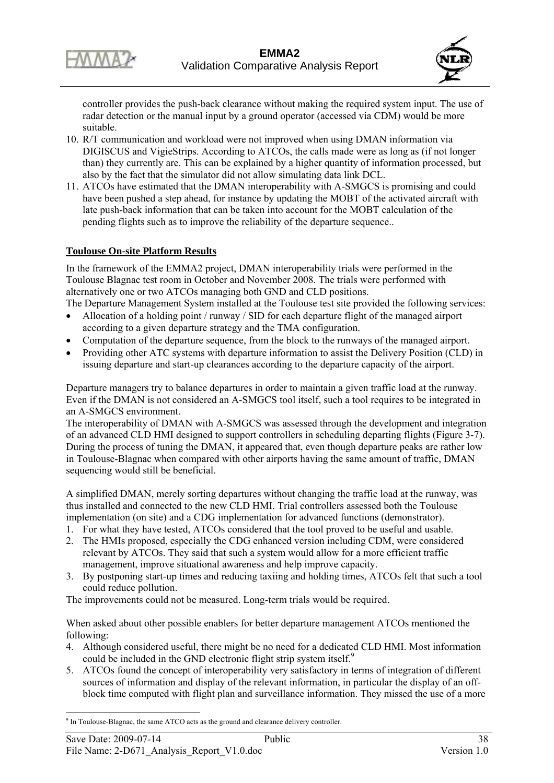



controller provides the push-back clearance without making the required system input. The use of radar detection or the manual input by a ground operator (accessed via CDM) would be more suitable.

- 10. R/T communication and workload were not improved when using DMAN information via DIGISCUS and VigieStrips. According to ATCOs, the calls made were as long as (if not longer than) they currently are. This can be explained by a higher quantity of information processed, but also by the fact that the simulator did not allow simulating data link DCL.
- 11. ATCOs have estimated that the DMAN interoperability with A-SMGCS is promising and could have been pushed a step ahead, for instance by updating the MOBT of the activated aircraft with late push-back information that can be taken into account for the MOBT calculation of the pending flights such as to improve the reliability of the departure sequence..

#### **Toulouse On-site Platform Results**

In the framework of the EMMA2 project, DMAN interoperability trials were performed in the Toulouse Blagnac test room in October and November 2008. The trials were performed with alternatively one or two ATCOs managing both GND and CLD positions.

The Departure Management System installed at the Toulouse test site provided the following services:

- Allocation of a holding point / runway / SID for each departure flight of the managed airport according to a given departure strategy and the TMA configuration.
- Computation of the departure sequence, from the block to the runways of the managed airport.
- Providing other ATC systems with departure information to assist the Delivery Position (CLD) in issuing departure and start-up clearances according to the departure capacity of the airport.

Departure managers try to balance departures in order to maintain a given traffic load at the runway. Even if the DMAN is not considered an A-SMGCS tool itself, such a tool requires to be integrated in an A-SMGCS environment.

The interoperability of DMAN with A-SMGCS was assessed through the development and integration of an advanced CLD HMI designed to support controllers in scheduling departing flights (Figure 3-7). During the process of tuning the DMAN, it appeared that, even though departure peaks are rather low in Toulouse-Blagnac when compared with other airports having the same amount of traffic, DMAN sequencing would still be beneficial.

A simplified DMAN, merely sorting departures without changing the traffic load at the runway, was thus installed and connected to the new CLD HMI. Trial controllers assessed both the Toulouse implementation (on site) and a CDG implementation for advanced functions (demonstrator).

- 1. For what they have tested, ATCOs considered that the tool proved to be useful and usable.
- 2. The HMIs proposed, especially the CDG enhanced version including CDM, were considered relevant by ATCOs. They said that such a system would allow for a more efficient traffic management, improve situational awareness and help improve capacity.
- 3. By postponing start-up times and reducing taxiing and holding times, ATCOs felt that such a tool could reduce pollution.

The improvements could not be measured. Long-term trials would be required.

When asked about other possible enablers for better departure management ATCOs mentioned the following:

- 4. Although considered useful, there might be no need for a dedicated CLD HMI. Most information could be included in the GND electronic flight strip system itself.<sup>9</sup>
- 5. ATCOs found the concept of interoperability very satisfactory in terms of integration of different sources of information and display of the relevant information, in particular the display of an offblock time computed with flight plan and surveillance information. They missed the use of a more

 9 In Toulouse-Blagnac, the same ATCO acts as the ground and clearance delivery controller.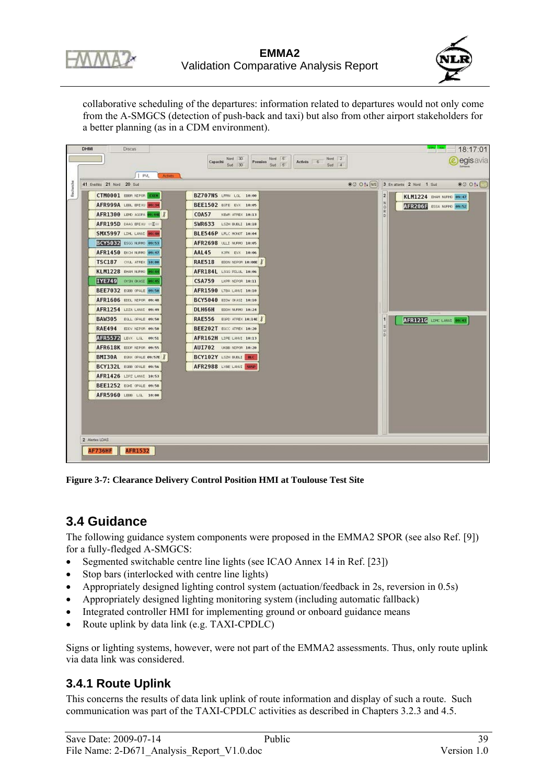



collaborative scheduling of the departures: information related to departures would not only come from the A-SMGCS (detection of push-back and taxi) but also from other airport stakeholders for a better planning (as in a CDM environment).

| <b>DHMI</b> | Discus                            |                                                                                                      | 18:17:01<br><b>STATE LINE</b>                                                                     |
|-------------|-----------------------------------|------------------------------------------------------------------------------------------------------|---------------------------------------------------------------------------------------------------|
|             |                                   | Nord $2$<br>Nord $5'$<br>Nord 30<br>Activés 6<br>Capaché<br>Pression.<br>Sud 30<br>Sud $6'$<br>Sud 4 | <b>egis</b> avia                                                                                  |
|             | JI PA<br><b>Actives</b>           |                                                                                                      |                                                                                                   |
| Recherche   | 41 Evellés 21 Nord 20 Sud         | $00001$ $(N3)$                                                                                       | 0001<br>3 En attente 2 Nord 1 Suit                                                                |
|             | CTM0001 EBBR NIPOR EXEM           | <b>BZ707NS LFFN LGL 10:00</b>                                                                        | KLM1224 EHAN NUFFIO 89:47                                                                         |
|             | <b>AFR999A LEEL SPORT 09:34</b>   | <b>BEE1502</b> EGTE EVX 10:05                                                                        | $\begin{array}{c} \mathbf{2} \\ \mathbf{3} \\ \mathbf{4} \end{array}$<br>AFR206F ESSA NURVO 09:52 |
|             | AFR1300 LEFO AGORA 09:441 X       | <b>COA57</b><br>KDJR ATPEX 10:13                                                                     | D                                                                                                 |
|             | AFR195D DAAG EFEXU INCOM          | <b>SWR633</b> LS2H BUBLE 10:18                                                                       |                                                                                                   |
|             | <b>SMX5997</b> LIPL LANT 09148    | BLE546P LAC MONOT 10:04                                                                              |                                                                                                   |
|             | BCY5032 ESSS NURHO 09:53          | AFR2698 ULLI NURMO 10:05                                                                             |                                                                                                   |
|             | AFR1450 BIGH NURNO 09:47          | AAL45<br>KJPK EVX 10:06                                                                              |                                                                                                   |
|             | TSC187 CIUL ATTEX 10:00           | <b>RAE518</b><br>EDDN NIPOR 10:000 %                                                                 |                                                                                                   |
|             | <b>KLM1228</b> EHAN NUFFIG 19244  | AFR184L LS00 PTLUL 10:06                                                                             |                                                                                                   |
|             | <b>IYE749</b><br>DISN OKASE 00:45 | CSA759 LKPR NIPOR 10:11                                                                              |                                                                                                   |
|             | <b>BEE7032</b> EGB OPALE 09:50    | AFR1590 LTBA LAWI 10:10                                                                              |                                                                                                   |
|             | <b>AFR1606</b> ECCL NEPOR 09:48   | <b>BCY5040</b> ETOW OKAST 10:10                                                                      |                                                                                                   |
|             | AFR1254 LDZA LANIT 09:49          | <b>DLH66H</b> EDDH 98, FPD 10:24                                                                     |                                                                                                   |
|             | <b>BAW305</b> EQL OPALE 09:50     | RAE556 EGFD ATREX 10:14E X                                                                           | $\vert$<br>AFRIZIC LINE LANGE 09:43                                                               |
|             | <b>RAE494</b><br>EDV NIPOR 09:50  | BEE202T EGCC ATREX 10:20                                                                             | s<br>D.                                                                                           |
|             | AFR5572 LEVX LGL 09:51            | <b>AFR162H LIFE LANT 10:13</b>                                                                       | D                                                                                                 |
|             | AFR618K ECCF NEPOR 09:55          | AUI702 USB NIPOR 10:20                                                                               |                                                                                                   |
|             | BMI30A EGG OPALE 09:57E &         | BCY102Y LS2H BUBLE MLC                                                                               |                                                                                                   |
|             | BCY132L EGEB OPALE 09:56          | AFR2988 LYBE LANT SUSP                                                                               |                                                                                                   |
|             | AFR1426 LIPZ LANT 10:53           |                                                                                                      |                                                                                                   |
|             | <b>BEE1252</b> EGHT OPALE 09:50   |                                                                                                      |                                                                                                   |
|             | AFR5960 LEEE LGL 10:00            |                                                                                                      |                                                                                                   |
|             |                                   |                                                                                                      |                                                                                                   |
|             |                                   |                                                                                                      |                                                                                                   |
|             |                                   |                                                                                                      |                                                                                                   |
|             |                                   |                                                                                                      |                                                                                                   |
|             | 2 Alertes LDAS                    |                                                                                                      |                                                                                                   |
|             | <b>AFR1532</b><br><b>AF736HF</b>  |                                                                                                      |                                                                                                   |
|             |                                   |                                                                                                      |                                                                                                   |

**Figure 3-7: Clearance Delivery Control Position HMI at Toulouse Test Site** 

# **3.4 Guidance**

The following guidance system components were proposed in the EMMA2 SPOR (see also Ref. [9]) for a fully-fledged A-SMGCS:

- Segmented switchable centre line lights (see ICAO Annex 14 in Ref. [23])
- Stop bars (interlocked with centre line lights)
- Appropriately designed lighting control system (actuation/feedback in 2s, reversion in 0.5s)
- Appropriately designed lighting monitoring system (including automatic fallback)
- Integrated controller HMI for implementing ground or onboard guidance means
- Route uplink by data link (e.g. TAXI-CPDLC)

Signs or lighting systems, however, were not part of the EMMA2 assessments. Thus, only route uplink via data link was considered.

## **3.4.1 Route Uplink**

This concerns the results of data link uplink of route information and display of such a route. Such communication was part of the TAXI-CPDLC activities as described in Chapters 3.2.3 and 4.5.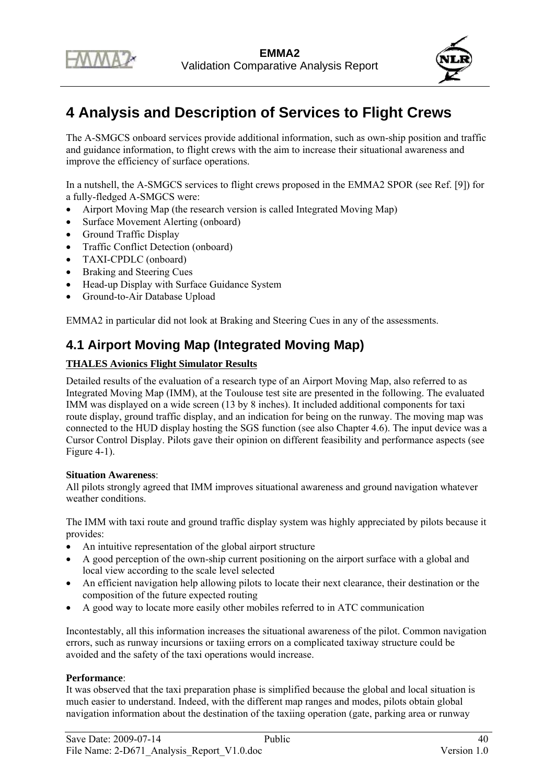



# **4 Analysis and Description of Services to Flight Crews**

The A-SMGCS onboard services provide additional information, such as own-ship position and traffic and guidance information, to flight crews with the aim to increase their situational awareness and improve the efficiency of surface operations.

In a nutshell, the A-SMGCS services to flight crews proposed in the EMMA2 SPOR (see Ref. [9]) for a fully-fledged A-SMGCS were:

- Airport Moving Map (the research version is called Integrated Moving Map)
- Surface Movement Alerting (onboard)
- Ground Traffic Display
- Traffic Conflict Detection (onboard)
- TAXI-CPDLC (onboard)
- Braking and Steering Cues
- Head-up Display with Surface Guidance System
- Ground-to-Air Database Upload

EMMA2 in particular did not look at Braking and Steering Cues in any of the assessments.

# **4.1 Airport Moving Map (Integrated Moving Map)**

### **THALES Avionics Flight Simulator Results**

Detailed results of the evaluation of a research type of an Airport Moving Map, also referred to as Integrated Moving Map (IMM), at the Toulouse test site are presented in the following. The evaluated IMM was displayed on a wide screen (13 by 8 inches). It included additional components for taxi route display, ground traffic display, and an indication for being on the runway. The moving map was connected to the HUD display hosting the SGS function (see also Chapter 4.6). The input device was a Cursor Control Display. Pilots gave their opinion on different feasibility and performance aspects (see Figure 4-1).

#### **Situation Awareness**:

All pilots strongly agreed that IMM improves situational awareness and ground navigation whatever weather conditions.

The IMM with taxi route and ground traffic display system was highly appreciated by pilots because it provides:

- An intuitive representation of the global airport structure
- A good perception of the own-ship current positioning on the airport surface with a global and local view according to the scale level selected
- An efficient navigation help allowing pilots to locate their next clearance, their destination or the composition of the future expected routing
- A good way to locate more easily other mobiles referred to in ATC communication

Incontestably, all this information increases the situational awareness of the pilot. Common navigation errors, such as runway incursions or taxiing errors on a complicated taxiway structure could be avoided and the safety of the taxi operations would increase.

#### **Performance**:

It was observed that the taxi preparation phase is simplified because the global and local situation is much easier to understand. Indeed, with the different map ranges and modes, pilots obtain global navigation information about the destination of the taxiing operation (gate, parking area or runway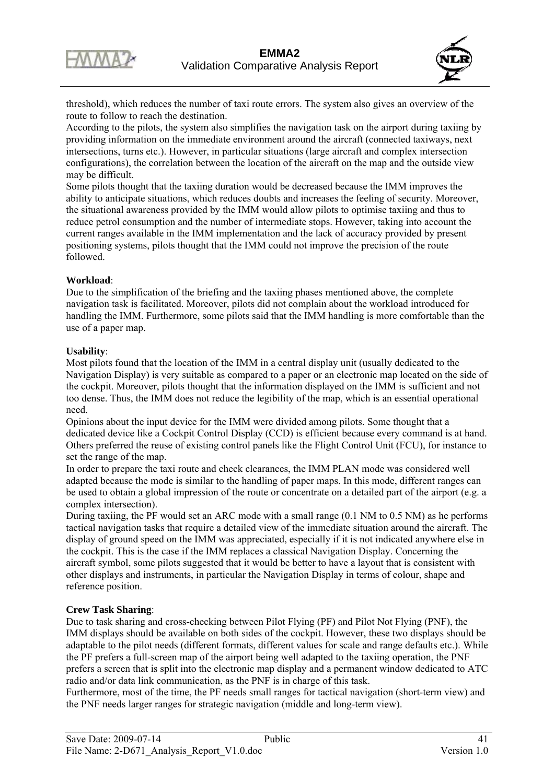



threshold), which reduces the number of taxi route errors. The system also gives an overview of the route to follow to reach the destination.

According to the pilots, the system also simplifies the navigation task on the airport during taxiing by providing information on the immediate environment around the aircraft (connected taxiways, next intersections, turns etc.). However, in particular situations (large aircraft and complex intersection configurations), the correlation between the location of the aircraft on the map and the outside view may be difficult.

Some pilots thought that the taxiing duration would be decreased because the IMM improves the ability to anticipate situations, which reduces doubts and increases the feeling of security. Moreover, the situational awareness provided by the IMM would allow pilots to optimise taxiing and thus to reduce petrol consumption and the number of intermediate stops. However, taking into account the current ranges available in the IMM implementation and the lack of accuracy provided by present positioning systems, pilots thought that the IMM could not improve the precision of the route followed.

#### **Workload**:

Due to the simplification of the briefing and the taxiing phases mentioned above, the complete navigation task is facilitated. Moreover, pilots did not complain about the workload introduced for handling the IMM. Furthermore, some pilots said that the IMM handling is more comfortable than the use of a paper map.

#### **Usability**:

Most pilots found that the location of the IMM in a central display unit (usually dedicated to the Navigation Display) is very suitable as compared to a paper or an electronic map located on the side of the cockpit. Moreover, pilots thought that the information displayed on the IMM is sufficient and not too dense. Thus, the IMM does not reduce the legibility of the map, which is an essential operational need.

Opinions about the input device for the IMM were divided among pilots. Some thought that a dedicated device like a Cockpit Control Display (CCD) is efficient because every command is at hand. Others preferred the reuse of existing control panels like the Flight Control Unit (FCU), for instance to set the range of the map.

In order to prepare the taxi route and check clearances, the IMM PLAN mode was considered well adapted because the mode is similar to the handling of paper maps. In this mode, different ranges can be used to obtain a global impression of the route or concentrate on a detailed part of the airport (e.g. a complex intersection).

During taxiing, the PF would set an ARC mode with a small range (0.1 NM to 0.5 NM) as he performs tactical navigation tasks that require a detailed view of the immediate situation around the aircraft. The display of ground speed on the IMM was appreciated, especially if it is not indicated anywhere else in the cockpit. This is the case if the IMM replaces a classical Navigation Display. Concerning the aircraft symbol, some pilots suggested that it would be better to have a layout that is consistent with other displays and instruments, in particular the Navigation Display in terms of colour, shape and reference position.

#### **Crew Task Sharing**:

Due to task sharing and cross-checking between Pilot Flying (PF) and Pilot Not Flying (PNF), the IMM displays should be available on both sides of the cockpit. However, these two displays should be adaptable to the pilot needs (different formats, different values for scale and range defaults etc.). While the PF prefers a full-screen map of the airport being well adapted to the taxiing operation, the PNF prefers a screen that is split into the electronic map display and a permanent window dedicated to ATC radio and/or data link communication, as the PNF is in charge of this task.

Furthermore, most of the time, the PF needs small ranges for tactical navigation (short-term view) and the PNF needs larger ranges for strategic navigation (middle and long-term view).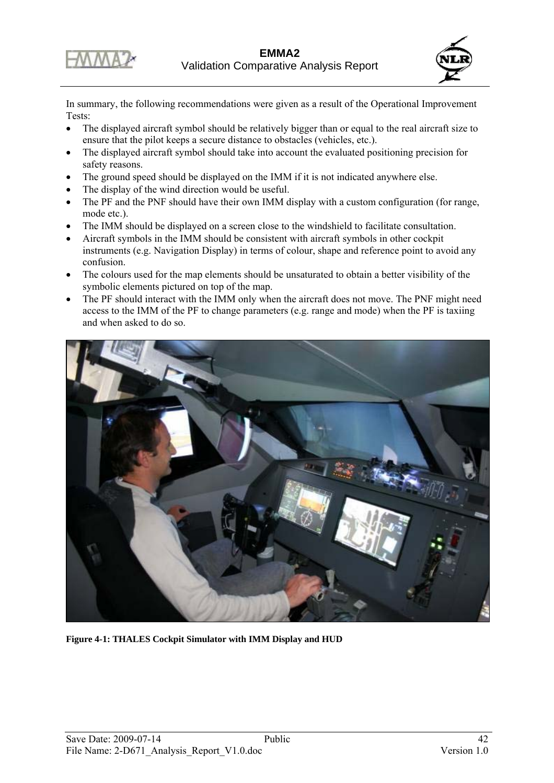



In summary, the following recommendations were given as a result of the Operational Improvement Tests:

- The displayed aircraft symbol should be relatively bigger than or equal to the real aircraft size to ensure that the pilot keeps a secure distance to obstacles (vehicles, etc.).
- The displayed aircraft symbol should take into account the evaluated positioning precision for safety reasons.
- The ground speed should be displayed on the IMM if it is not indicated anywhere else.
- The display of the wind direction would be useful.
- The PF and the PNF should have their own IMM display with a custom configuration (for range, mode etc.).
- The IMM should be displayed on a screen close to the windshield to facilitate consultation.
- Aircraft symbols in the IMM should be consistent with aircraft symbols in other cockpit instruments (e.g. Navigation Display) in terms of colour, shape and reference point to avoid any confusion.
- The colours used for the map elements should be unsaturated to obtain a better visibility of the symbolic elements pictured on top of the map.
- The PF should interact with the IMM only when the aircraft does not move. The PNF might need access to the IMM of the PF to change parameters (e.g. range and mode) when the PF is taxiing and when asked to do so.



**Figure 4-1: THALES Cockpit Simulator with IMM Display and HUD**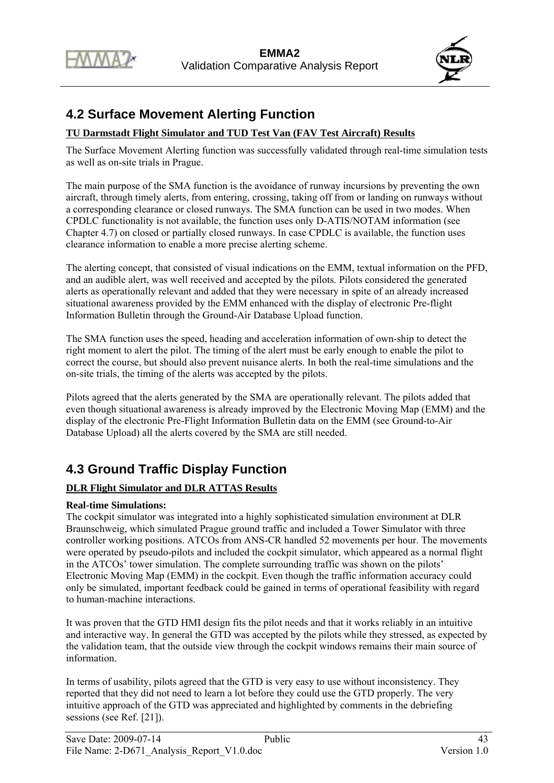



# **4.2 Surface Movement Alerting Function**

## **TU Darmstadt Flight Simulator and TUD Test Van (FAV Test Aircraft) Results**

The Surface Movement Alerting function was successfully validated through real-time simulation tests as well as on-site trials in Prague.

The main purpose of the SMA function is the avoidance of runway incursions by preventing the own aircraft, through timely alerts, from entering, crossing, taking off from or landing on runways without a corresponding clearance or closed runways. The SMA function can be used in two modes. When CPDLC functionality is not available, the function uses only D-ATIS/NOTAM information (see Chapter 4.7) on closed or partially closed runways. In case CPDLC is available, the function uses clearance information to enable a more precise alerting scheme.

The alerting concept, that consisted of visual indications on the EMM, textual information on the PFD, and an audible alert, was well received and accepted by the pilots. Pilots considered the generated alerts as operationally relevant and added that they were necessary in spite of an already increased situational awareness provided by the EMM enhanced with the display of electronic Pre-flight Information Bulletin through the Ground-Air Database Upload function.

The SMA function uses the speed, heading and acceleration information of own-ship to detect the right moment to alert the pilot. The timing of the alert must be early enough to enable the pilot to correct the course, but should also prevent nuisance alerts. In both the real-time simulations and the on-site trials, the timing of the alerts was accepted by the pilots.

Pilots agreed that the alerts generated by the SMA are operationally relevant. The pilots added that even though situational awareness is already improved by the Electronic Moving Map (EMM) and the display of the electronic Pre-Flight Information Bulletin data on the EMM (see Ground-to-Air Database Upload) all the alerts covered by the SMA are still needed.

# **4.3 Ground Traffic Display Function**

### **DLR Flight Simulator and DLR ATTAS Results**

### **Real-time Simulations:**

The cockpit simulator was integrated into a highly sophisticated simulation environment at DLR Braunschweig, which simulated Prague ground traffic and included a Tower Simulator with three controller working positions. ATCOs from ANS-CR handled 52 movements per hour. The movements were operated by pseudo-pilots and included the cockpit simulator, which appeared as a normal flight in the ATCOs' tower simulation. The complete surrounding traffic was shown on the pilots' Electronic Moving Map (EMM) in the cockpit. Even though the traffic information accuracy could only be simulated, important feedback could be gained in terms of operational feasibility with regard to human-machine interactions.

It was proven that the GTD HMI design fits the pilot needs and that it works reliably in an intuitive and interactive way. In general the GTD was accepted by the pilots while they stressed, as expected by the validation team, that the outside view through the cockpit windows remains their main source of information.

In terms of usability, pilots agreed that the GTD is very easy to use without inconsistency. They reported that they did not need to learn a lot before they could use the GTD properly. The very intuitive approach of the GTD was appreciated and highlighted by comments in the debriefing sessions (see Ref. [21]).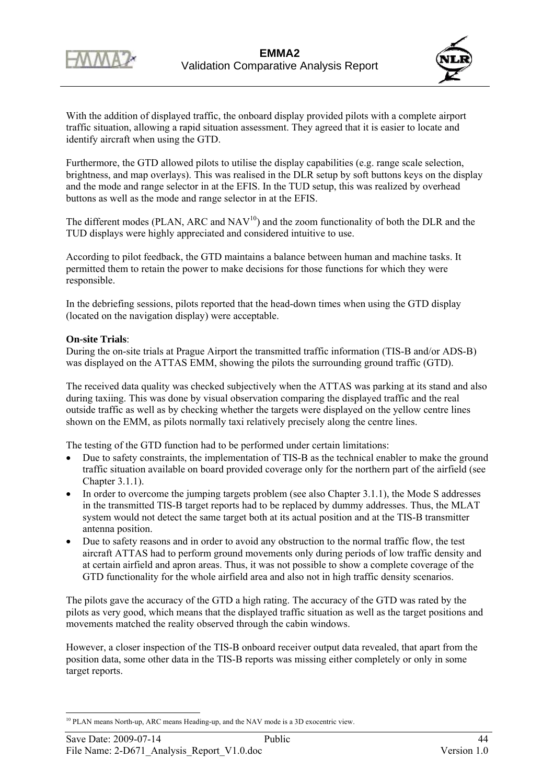



With the addition of displayed traffic, the onboard display provided pilots with a complete airport traffic situation, allowing a rapid situation assessment. They agreed that it is easier to locate and identify aircraft when using the GTD.

Furthermore, the GTD allowed pilots to utilise the display capabilities (e.g. range scale selection, brightness, and map overlays). This was realised in the DLR setup by soft buttons keys on the display and the mode and range selector in at the EFIS. In the TUD setup, this was realized by overhead buttons as well as the mode and range selector in at the EFIS.

The different modes (PLAN, ARC and  $NAV<sup>10</sup>$ ) and the zoom functionality of both the DLR and the TUD displays were highly appreciated and considered intuitive to use.

According to pilot feedback, the GTD maintains a balance between human and machine tasks. It permitted them to retain the power to make decisions for those functions for which they were responsible.

In the debriefing sessions, pilots reported that the head-down times when using the GTD display (located on the navigation display) were acceptable.

#### **On-site Trials**:

During the on-site trials at Prague Airport the transmitted traffic information (TIS-B and/or ADS-B) was displayed on the ATTAS EMM, showing the pilots the surrounding ground traffic (GTD).

The received data quality was checked subjectively when the ATTAS was parking at its stand and also during taxiing. This was done by visual observation comparing the displayed traffic and the real outside traffic as well as by checking whether the targets were displayed on the yellow centre lines shown on the EMM, as pilots normally taxi relatively precisely along the centre lines.

The testing of the GTD function had to be performed under certain limitations:

- Due to safety constraints, the implementation of TIS-B as the technical enabler to make the ground traffic situation available on board provided coverage only for the northern part of the airfield (see Chapter 3.1.1).
- In order to overcome the jumping targets problem (see also Chapter 3.1.1), the Mode S addresses in the transmitted TIS-B target reports had to be replaced by dummy addresses. Thus, the MLAT system would not detect the same target both at its actual position and at the TIS-B transmitter antenna position.
- Due to safety reasons and in order to avoid any obstruction to the normal traffic flow, the test aircraft ATTAS had to perform ground movements only during periods of low traffic density and at certain airfield and apron areas. Thus, it was not possible to show a complete coverage of the GTD functionality for the whole airfield area and also not in high traffic density scenarios.

The pilots gave the accuracy of the GTD a high rating. The accuracy of the GTD was rated by the pilots as very good, which means that the displayed traffic situation as well as the target positions and movements matched the reality observed through the cabin windows.

However, a closer inspection of the TIS-B onboard receiver output data revealed, that apart from the position data, some other data in the TIS-B reports was missing either completely or only in some target reports.

 $\overline{a}$ <sup>10</sup> PLAN means North-up, ARC means Heading-up, and the NAV mode is a 3D exocentric view.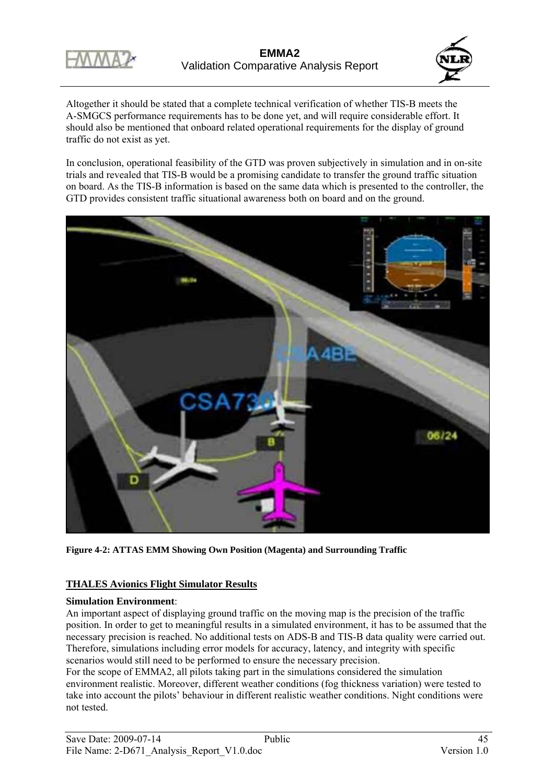



Altogether it should be stated that a complete technical verification of whether TIS-B meets the A-SMGCS performance requirements has to be done yet, and will require considerable effort. It should also be mentioned that onboard related operational requirements for the display of ground traffic do not exist as yet.

In conclusion, operational feasibility of the GTD was proven subjectively in simulation and in on-site trials and revealed that TIS-B would be a promising candidate to transfer the ground traffic situation on board. As the TIS-B information is based on the same data which is presented to the controller, the GTD provides consistent traffic situational awareness both on board and on the ground.



**Figure 4-2: ATTAS EMM Showing Own Position (Magenta) and Surrounding Traffic** 

#### **THALES Avionics Flight Simulator Results**

#### **Simulation Environment**:

An important aspect of displaying ground traffic on the moving map is the precision of the traffic position. In order to get to meaningful results in a simulated environment, it has to be assumed that the necessary precision is reached. No additional tests on ADS-B and TIS-B data quality were carried out. Therefore, simulations including error models for accuracy, latency, and integrity with specific scenarios would still need to be performed to ensure the necessary precision.

For the scope of EMMA2, all pilots taking part in the simulations considered the simulation environment realistic. Moreover, different weather conditions (fog thickness variation) were tested to take into account the pilots' behaviour in different realistic weather conditions. Night conditions were not tested.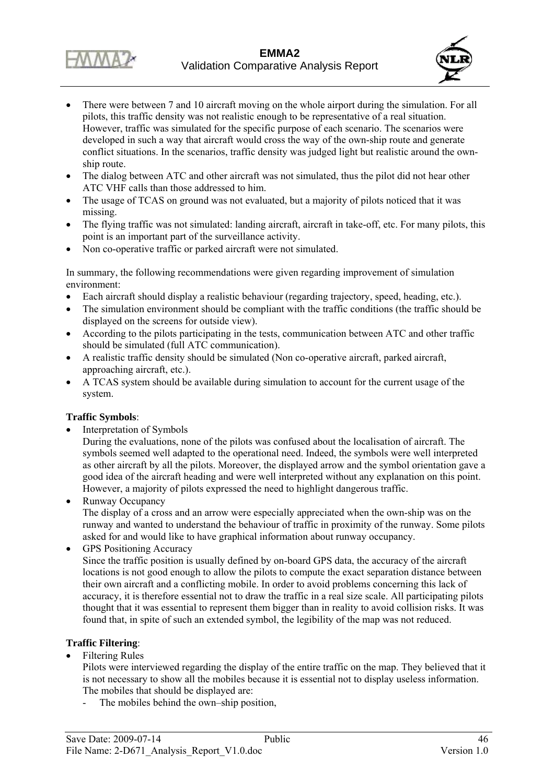



- There were between 7 and 10 aircraft moving on the whole airport during the simulation. For all pilots, this traffic density was not realistic enough to be representative of a real situation. However, traffic was simulated for the specific purpose of each scenario. The scenarios were developed in such a way that aircraft would cross the way of the own-ship route and generate conflict situations. In the scenarios, traffic density was judged light but realistic around the ownship route.
- The dialog between ATC and other aircraft was not simulated, thus the pilot did not hear other ATC VHF calls than those addressed to him.
- The usage of TCAS on ground was not evaluated, but a majority of pilots noticed that it was missing.
- The flying traffic was not simulated: landing aircraft, aircraft in take-off, etc. For many pilots, this point is an important part of the surveillance activity.
- Non co-operative traffic or parked aircraft were not simulated.

In summary, the following recommendations were given regarding improvement of simulation environment:

- Each aircraft should display a realistic behaviour (regarding trajectory, speed, heading, etc.).
- The simulation environment should be compliant with the traffic conditions (the traffic should be displayed on the screens for outside view).
- According to the pilots participating in the tests, communication between ATC and other traffic should be simulated (full ATC communication).
- A realistic traffic density should be simulated (Non co-operative aircraft, parked aircraft, approaching aircraft, etc.).
- A TCAS system should be available during simulation to account for the current usage of the system.

#### **Traffic Symbols**:

Interpretation of Symbols

During the evaluations, none of the pilots was confused about the localisation of aircraft. The symbols seemed well adapted to the operational need. Indeed, the symbols were well interpreted as other aircraft by all the pilots. Moreover, the displayed arrow and the symbol orientation gave a good idea of the aircraft heading and were well interpreted without any explanation on this point. However, a majority of pilots expressed the need to highlight dangerous traffic.

- Runway Occupancy The display of a cross and an arrow were especially appreciated when the own-ship was on the runway and wanted to understand the behaviour of traffic in proximity of the runway. Some pilots asked for and would like to have graphical information about runway occupancy.
- GPS Positioning Accuracy Since the traffic position is usually defined by on-board GPS data, the accuracy of the aircraft locations is not good enough to allow the pilots to compute the exact separation distance between their own aircraft and a conflicting mobile. In order to avoid problems concerning this lack of accuracy, it is therefore essential not to draw the traffic in a real size scale. All participating pilots thought that it was essential to represent them bigger than in reality to avoid collision risks. It was found that, in spite of such an extended symbol, the legibility of the map was not reduced.

### **Traffic Filtering**:

• Filtering Rules

Pilots were interviewed regarding the display of the entire traffic on the map. They believed that it is not necessary to show all the mobiles because it is essential not to display useless information. The mobiles that should be displayed are:

The mobiles behind the own–ship position,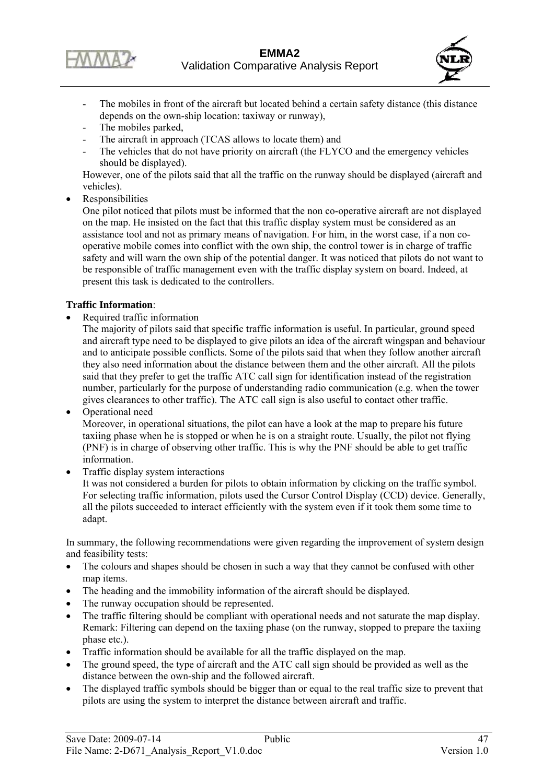



- The mobiles in front of the aircraft but located behind a certain safety distance (this distance depends on the own-ship location: taxiway or runway),
- The mobiles parked,
- The aircraft in approach (TCAS allows to locate them) and
- The vehicles that do not have priority on aircraft (the FLYCO and the emergency vehicles should be displayed).

However, one of the pilots said that all the traffic on the runway should be displayed (aircraft and vehicles).

• Responsibilities

One pilot noticed that pilots must be informed that the non co-operative aircraft are not displayed on the map. He insisted on the fact that this traffic display system must be considered as an assistance tool and not as primary means of navigation. For him, in the worst case, if a non cooperative mobile comes into conflict with the own ship, the control tower is in charge of traffic safety and will warn the own ship of the potential danger. It was noticed that pilots do not want to be responsible of traffic management even with the traffic display system on board. Indeed, at present this task is dedicated to the controllers.

### **Traffic Information**:

Required traffic information

The majority of pilots said that specific traffic information is useful. In particular, ground speed and aircraft type need to be displayed to give pilots an idea of the aircraft wingspan and behaviour and to anticipate possible conflicts. Some of the pilots said that when they follow another aircraft they also need information about the distance between them and the other aircraft. All the pilots said that they prefer to get the traffic ATC call sign for identification instead of the registration number, particularly for the purpose of understanding radio communication (e.g. when the tower gives clearances to other traffic). The ATC call sign is also useful to contact other traffic.

• Operational need

Moreover, in operational situations, the pilot can have a look at the map to prepare his future taxiing phase when he is stopped or when he is on a straight route. Usually, the pilot not flying (PNF) is in charge of observing other traffic. This is why the PNF should be able to get traffic information.

• Traffic display system interactions It was not considered a burden for pilots to obtain information by clicking on the traffic symbol. For selecting traffic information, pilots used the Cursor Control Display (CCD) device. Generally, all the pilots succeeded to interact efficiently with the system even if it took them some time to adapt.

In summary, the following recommendations were given regarding the improvement of system design and feasibility tests:

- The colours and shapes should be chosen in such a way that they cannot be confused with other map items.
- The heading and the immobility information of the aircraft should be displayed.
- The runway occupation should be represented.
- The traffic filtering should be compliant with operational needs and not saturate the map display. Remark: Filtering can depend on the taxiing phase (on the runway, stopped to prepare the taxiing phase etc.).
- Traffic information should be available for all the traffic displayed on the map.
- The ground speed, the type of aircraft and the ATC call sign should be provided as well as the distance between the own-ship and the followed aircraft.
- The displayed traffic symbols should be bigger than or equal to the real traffic size to prevent that pilots are using the system to interpret the distance between aircraft and traffic.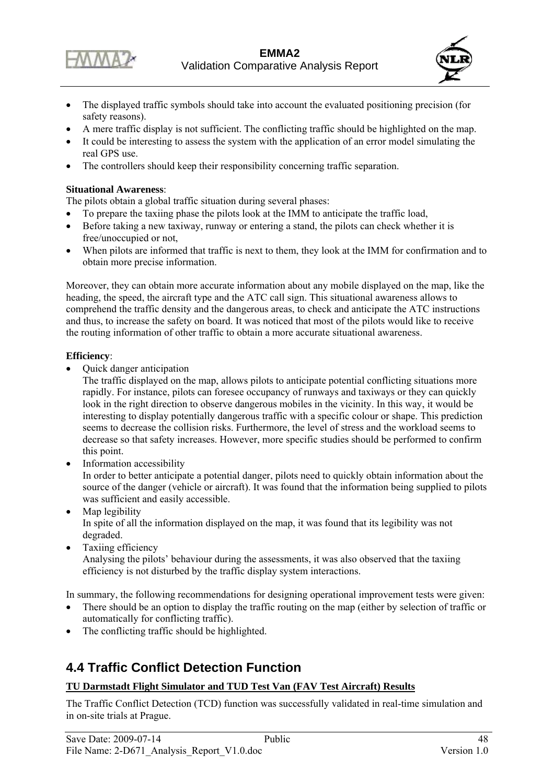



- The displayed traffic symbols should take into account the evaluated positioning precision (for safety reasons).
- A mere traffic display is not sufficient. The conflicting traffic should be highlighted on the map.
- It could be interesting to assess the system with the application of an error model simulating the real GPS use.
- The controllers should keep their responsibility concerning traffic separation.

#### **Situational Awareness**:

The pilots obtain a global traffic situation during several phases:

- To prepare the taxiing phase the pilots look at the IMM to anticipate the traffic load,
- Before taking a new taxiway, runway or entering a stand, the pilots can check whether it is free/unoccupied or not,
- When pilots are informed that traffic is next to them, they look at the IMM for confirmation and to obtain more precise information.

Moreover, they can obtain more accurate information about any mobile displayed on the map, like the heading, the speed, the aircraft type and the ATC call sign. This situational awareness allows to comprehend the traffic density and the dangerous areas, to check and anticipate the ATC instructions and thus, to increase the safety on board. It was noticed that most of the pilots would like to receive the routing information of other traffic to obtain a more accurate situational awareness.

### **Efficiency**:

• Quick danger anticipation

The traffic displayed on the map, allows pilots to anticipate potential conflicting situations more rapidly. For instance, pilots can foresee occupancy of runways and taxiways or they can quickly look in the right direction to observe dangerous mobiles in the vicinity. In this way, it would be interesting to display potentially dangerous traffic with a specific colour or shape. This prediction seems to decrease the collision risks. Furthermore, the level of stress and the workload seems to decrease so that safety increases. However, more specific studies should be performed to confirm this point.

• Information accessibility

In order to better anticipate a potential danger, pilots need to quickly obtain information about the source of the danger (vehicle or aircraft). It was found that the information being supplied to pilots was sufficient and easily accessible.

- Map legibility In spite of all the information displayed on the map, it was found that its legibility was not degraded.
- Taxiing efficiency

Analysing the pilots' behaviour during the assessments, it was also observed that the taxiing efficiency is not disturbed by the traffic display system interactions.

In summary, the following recommendations for designing operational improvement tests were given:

- There should be an option to display the traffic routing on the map (either by selection of traffic or automatically for conflicting traffic).
- The conflicting traffic should be highlighted.

# **4.4 Traffic Conflict Detection Function**

### **TU Darmstadt Flight Simulator and TUD Test Van (FAV Test Aircraft) Results**

The Traffic Conflict Detection (TCD) function was successfully validated in real-time simulation and in on-site trials at Prague.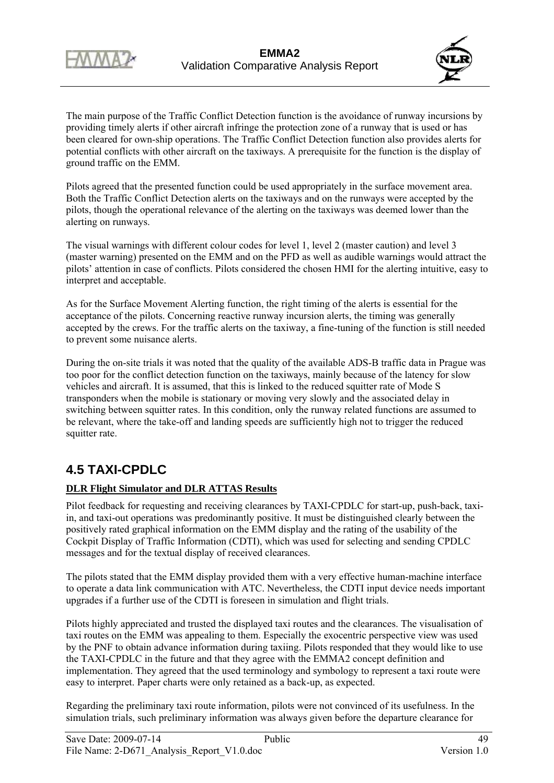



The main purpose of the Traffic Conflict Detection function is the avoidance of runway incursions by providing timely alerts if other aircraft infringe the protection zone of a runway that is used or has been cleared for own-ship operations. The Traffic Conflict Detection function also provides alerts for potential conflicts with other aircraft on the taxiways. A prerequisite for the function is the display of ground traffic on the EMM.

Pilots agreed that the presented function could be used appropriately in the surface movement area. Both the Traffic Conflict Detection alerts on the taxiways and on the runways were accepted by the pilots, though the operational relevance of the alerting on the taxiways was deemed lower than the alerting on runways.

The visual warnings with different colour codes for level 1, level 2 (master caution) and level 3 (master warning) presented on the EMM and on the PFD as well as audible warnings would attract the pilots' attention in case of conflicts. Pilots considered the chosen HMI for the alerting intuitive, easy to interpret and acceptable.

As for the Surface Movement Alerting function, the right timing of the alerts is essential for the acceptance of the pilots. Concerning reactive runway incursion alerts, the timing was generally accepted by the crews. For the traffic alerts on the taxiway, a fine-tuning of the function is still needed to prevent some nuisance alerts.

During the on-site trials it was noted that the quality of the available ADS-B traffic data in Prague was too poor for the conflict detection function on the taxiways, mainly because of the latency for slow vehicles and aircraft. It is assumed, that this is linked to the reduced squitter rate of Mode S transponders when the mobile is stationary or moving very slowly and the associated delay in switching between squitter rates. In this condition, only the runway related functions are assumed to be relevant, where the take-off and landing speeds are sufficiently high not to trigger the reduced squitter rate.

# **4.5 TAXI-CPDLC**

### **DLR Flight Simulator and DLR ATTAS Results**

Pilot feedback for requesting and receiving clearances by TAXI-CPDLC for start-up, push-back, taxiin, and taxi-out operations was predominantly positive. It must be distinguished clearly between the positively rated graphical information on the EMM display and the rating of the usability of the Cockpit Display of Traffic Information (CDTI), which was used for selecting and sending CPDLC messages and for the textual display of received clearances.

The pilots stated that the EMM display provided them with a very effective human-machine interface to operate a data link communication with ATC. Nevertheless, the CDTI input device needs important upgrades if a further use of the CDTI is foreseen in simulation and flight trials.

Pilots highly appreciated and trusted the displayed taxi routes and the clearances. The visualisation of taxi routes on the EMM was appealing to them. Especially the exocentric perspective view was used by the PNF to obtain advance information during taxiing. Pilots responded that they would like to use the TAXI-CPDLC in the future and that they agree with the EMMA2 concept definition and implementation. They agreed that the used terminology and symbology to represent a taxi route were easy to interpret. Paper charts were only retained as a back-up, as expected.

Regarding the preliminary taxi route information, pilots were not convinced of its usefulness. In the simulation trials, such preliminary information was always given before the departure clearance for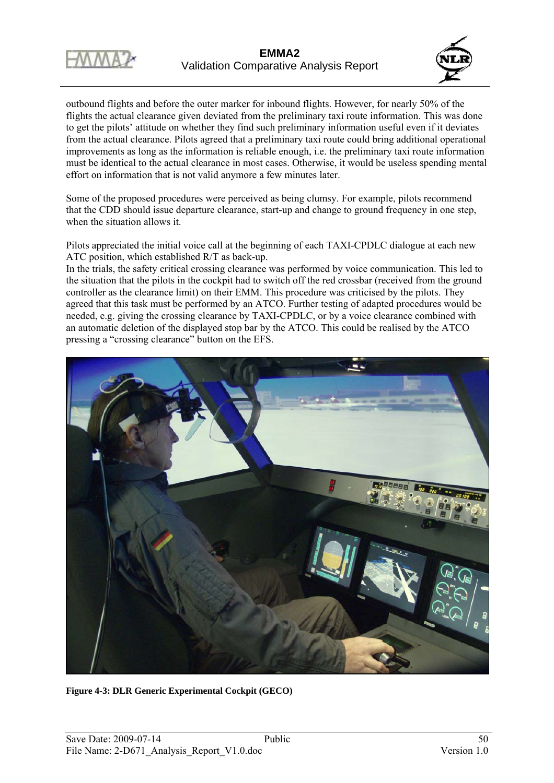



outbound flights and before the outer marker for inbound flights. However, for nearly 50% of the flights the actual clearance given deviated from the preliminary taxi route information. This was done to get the pilots' attitude on whether they find such preliminary information useful even if it deviates from the actual clearance. Pilots agreed that a preliminary taxi route could bring additional operational improvements as long as the information is reliable enough, i.e. the preliminary taxi route information must be identical to the actual clearance in most cases. Otherwise, it would be useless spending mental effort on information that is not valid anymore a few minutes later.

Some of the proposed procedures were perceived as being clumsy. For example, pilots recommend that the CDD should issue departure clearance, start-up and change to ground frequency in one step, when the situation allows it.

Pilots appreciated the initial voice call at the beginning of each TAXI-CPDLC dialogue at each new ATC position, which established R/T as back-up.

In the trials, the safety critical crossing clearance was performed by voice communication. This led to the situation that the pilots in the cockpit had to switch off the red crossbar (received from the ground controller as the clearance limit) on their EMM. This procedure was criticised by the pilots. They agreed that this task must be performed by an ATCO. Further testing of adapted procedures would be needed, e.g. giving the crossing clearance by TAXI-CPDLC, or by a voice clearance combined with an automatic deletion of the displayed stop bar by the ATCO. This could be realised by the ATCO pressing a "crossing clearance" button on the EFS.



**Figure 4-3: DLR Generic Experimental Cockpit (GECO)**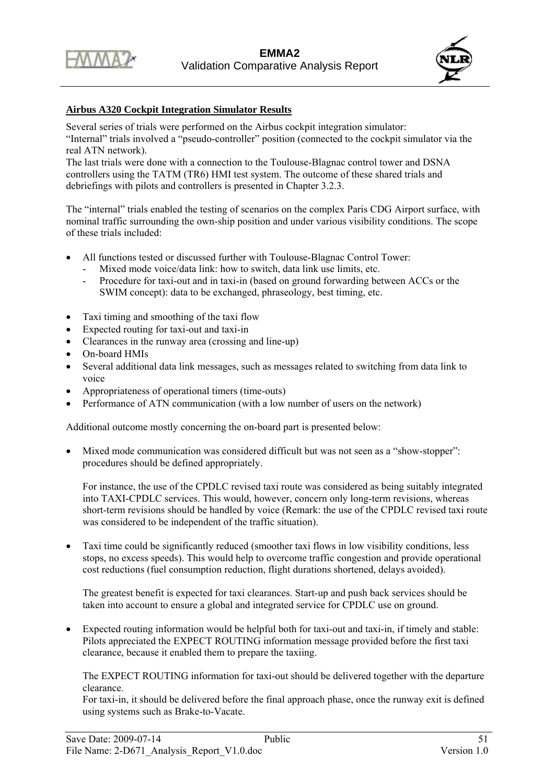



#### **Airbus A320 Cockpit Integration Simulator Results**

Several series of trials were performed on the Airbus cockpit integration simulator: "Internal" trials involved a "pseudo-controller" position (connected to the cockpit simulator via the real ATN network).

The last trials were done with a connection to the Toulouse-Blagnac control tower and DSNA controllers using the TATM (TR6) HMI test system. The outcome of these shared trials and debriefings with pilots and controllers is presented in Chapter 3.2.3.

The "internal" trials enabled the testing of scenarios on the complex Paris CDG Airport surface, with nominal traffic surrounding the own-ship position and under various visibility conditions. The scope of these trials included:

- All functions tested or discussed further with Toulouse-Blagnac Control Tower:
	- Mixed mode voice/data link: how to switch, data link use limits, etc.
	- Procedure for taxi-out and in taxi-in (based on ground forwarding between ACCs or the SWIM concept): data to be exchanged, phraseology, best timing, etc.
- Taxi timing and smoothing of the taxi flow
- Expected routing for taxi-out and taxi-in
- Clearances in the runway area (crossing and line-up)
- On-board HMIs
- Several additional data link messages, such as messages related to switching from data link to voice
- Appropriateness of operational timers (time-outs)
- Performance of ATN communication (with a low number of users on the network)

Additional outcome mostly concerning the on-board part is presented below:

Mixed mode communication was considered difficult but was not seen as a "show-stopper": procedures should be defined appropriately.

For instance, the use of the CPDLC revised taxi route was considered as being suitably integrated into TAXI-CPDLC services. This would, however, concern only long-term revisions, whereas short-term revisions should be handled by voice (Remark: the use of the CPDLC revised taxi route was considered to be independent of the traffic situation).

• Taxi time could be significantly reduced (smoother taxi flows in low visibility conditions, less stops, no excess speeds). This would help to overcome traffic congestion and provide operational cost reductions (fuel consumption reduction, flight durations shortened, delays avoided).

The greatest benefit is expected for taxi clearances. Start-up and push back services should be taken into account to ensure a global and integrated service for CPDLC use on ground.

• Expected routing information would be helpful both for taxi-out and taxi-in, if timely and stable: Pilots appreciated the EXPECT ROUTING information message provided before the first taxi clearance, because it enabled them to prepare the taxiing.

The EXPECT ROUTING information for taxi-out should be delivered together with the departure clearance.

For taxi-in, it should be delivered before the final approach phase, once the runway exit is defined using systems such as Brake-to-Vacate.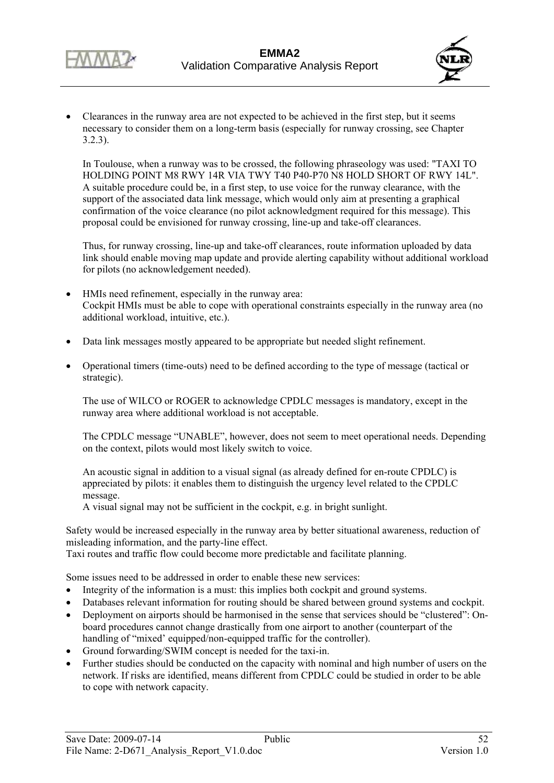



• Clearances in the runway area are not expected to be achieved in the first step, but it seems necessary to consider them on a long-term basis (especially for runway crossing, see Chapter 3.2.3).

In Toulouse, when a runway was to be crossed, the following phraseology was used: "TAXI TO HOLDING POINT M8 RWY 14R VIA TWY T40 P40-P70 N8 HOLD SHORT OF RWY 14L". A suitable procedure could be, in a first step, to use voice for the runway clearance, with the support of the associated data link message, which would only aim at presenting a graphical confirmation of the voice clearance (no pilot acknowledgment required for this message). This proposal could be envisioned for runway crossing, line-up and take-off clearances.

Thus, for runway crossing, line-up and take-off clearances, route information uploaded by data link should enable moving map update and provide alerting capability without additional workload for pilots (no acknowledgement needed).

- HMIs need refinement, especially in the runway area: Cockpit HMIs must be able to cope with operational constraints especially in the runway area (no additional workload, intuitive, etc.).
- Data link messages mostly appeared to be appropriate but needed slight refinement.
- Operational timers (time-outs) need to be defined according to the type of message (tactical or strategic).

The use of WILCO or ROGER to acknowledge CPDLC messages is mandatory, except in the runway area where additional workload is not acceptable.

The CPDLC message "UNABLE", however, does not seem to meet operational needs. Depending on the context, pilots would most likely switch to voice.

An acoustic signal in addition to a visual signal (as already defined for en-route CPDLC) is appreciated by pilots: it enables them to distinguish the urgency level related to the CPDLC message.

A visual signal may not be sufficient in the cockpit, e.g. in bright sunlight.

Safety would be increased especially in the runway area by better situational awareness, reduction of misleading information, and the party-line effect.

Taxi routes and traffic flow could become more predictable and facilitate planning.

Some issues need to be addressed in order to enable these new services:

- Integrity of the information is a must: this implies both cockpit and ground systems.
- Databases relevant information for routing should be shared between ground systems and cockpit.
- Deployment on airports should be harmonised in the sense that services should be "clustered": Onboard procedures cannot change drastically from one airport to another (counterpart of the handling of "mixed' equipped/non-equipped traffic for the controller).
- Ground forwarding/SWIM concept is needed for the taxi-in.
- Further studies should be conducted on the capacity with nominal and high number of users on the network. If risks are identified, means different from CPDLC could be studied in order to be able to cope with network capacity.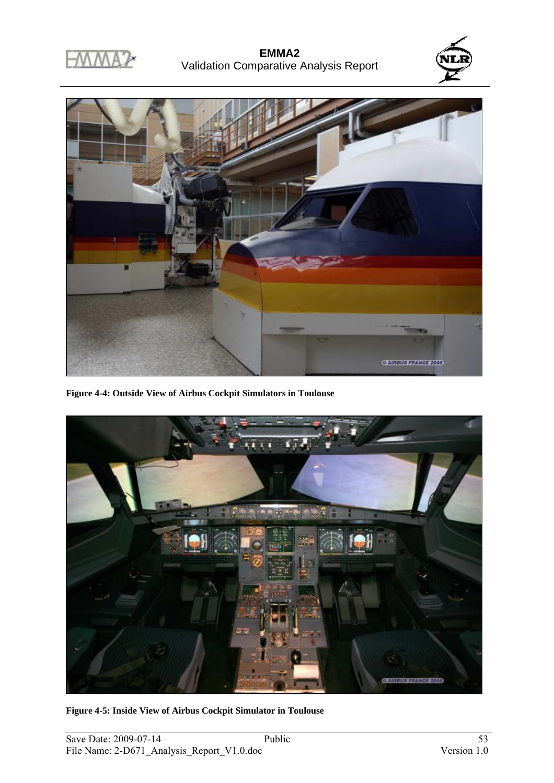

**EMMA2**  Validation Comparative Analysis Report





**Figure 4-4: Outside View of Airbus Cockpit Simulators in Toulouse** 



**Figure 4-5: Inside View of Airbus Cockpit Simulator in Toulouse**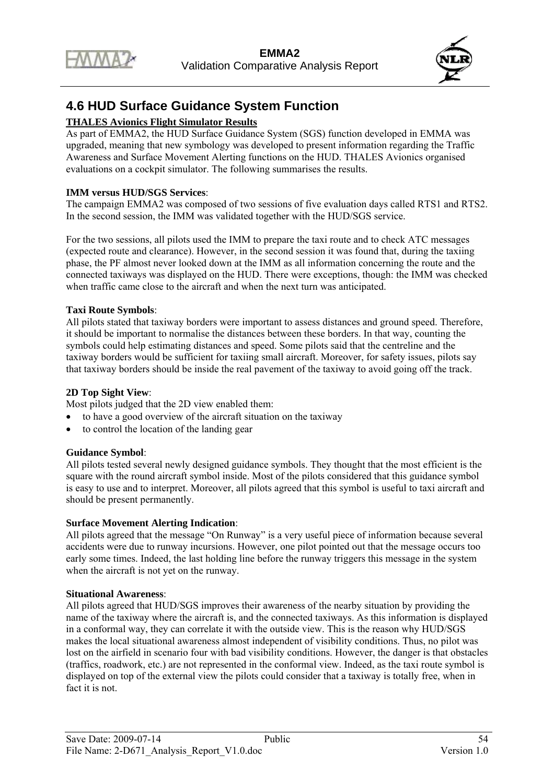



# **4.6 HUD Surface Guidance System Function**

### **THALES Avionics Flight Simulator Results**

As part of EMMA2, the HUD Surface Guidance System (SGS) function developed in EMMA was upgraded, meaning that new symbology was developed to present information regarding the Traffic Awareness and Surface Movement Alerting functions on the HUD. THALES Avionics organised evaluations on a cockpit simulator. The following summarises the results.

#### **IMM versus HUD/SGS Services**:

The campaign EMMA2 was composed of two sessions of five evaluation days called RTS1 and RTS2. In the second session, the IMM was validated together with the HUD/SGS service.

For the two sessions, all pilots used the IMM to prepare the taxi route and to check ATC messages (expected route and clearance). However, in the second session it was found that, during the taxiing phase, the PF almost never looked down at the IMM as all information concerning the route and the connected taxiways was displayed on the HUD. There were exceptions, though: the IMM was checked when traffic came close to the aircraft and when the next turn was anticipated.

### **Taxi Route Symbols**:

All pilots stated that taxiway borders were important to assess distances and ground speed. Therefore, it should be important to normalise the distances between these borders. In that way, counting the symbols could help estimating distances and speed. Some pilots said that the centreline and the taxiway borders would be sufficient for taxiing small aircraft. Moreover, for safety issues, pilots say that taxiway borders should be inside the real pavement of the taxiway to avoid going off the track.

#### **2D Top Sight View**:

Most pilots judged that the 2D view enabled them:

- to have a good overview of the aircraft situation on the taxiway
- to control the location of the landing gear

#### **Guidance Symbol**:

All pilots tested several newly designed guidance symbols. They thought that the most efficient is the square with the round aircraft symbol inside. Most of the pilots considered that this guidance symbol is easy to use and to interpret. Moreover, all pilots agreed that this symbol is useful to taxi aircraft and should be present permanently.

#### **Surface Movement Alerting Indication**:

All pilots agreed that the message "On Runway" is a very useful piece of information because several accidents were due to runway incursions. However, one pilot pointed out that the message occurs too early some times. Indeed, the last holding line before the runway triggers this message in the system when the aircraft is not yet on the runway.

#### **Situational Awareness**:

All pilots agreed that HUD/SGS improves their awareness of the nearby situation by providing the name of the taxiway where the aircraft is, and the connected taxiways. As this information is displayed in a conformal way, they can correlate it with the outside view. This is the reason why HUD/SGS makes the local situational awareness almost independent of visibility conditions. Thus, no pilot was lost on the airfield in scenario four with bad visibility conditions. However, the danger is that obstacles (traffics, roadwork, etc.) are not represented in the conformal view. Indeed, as the taxi route symbol is displayed on top of the external view the pilots could consider that a taxiway is totally free, when in fact it is not.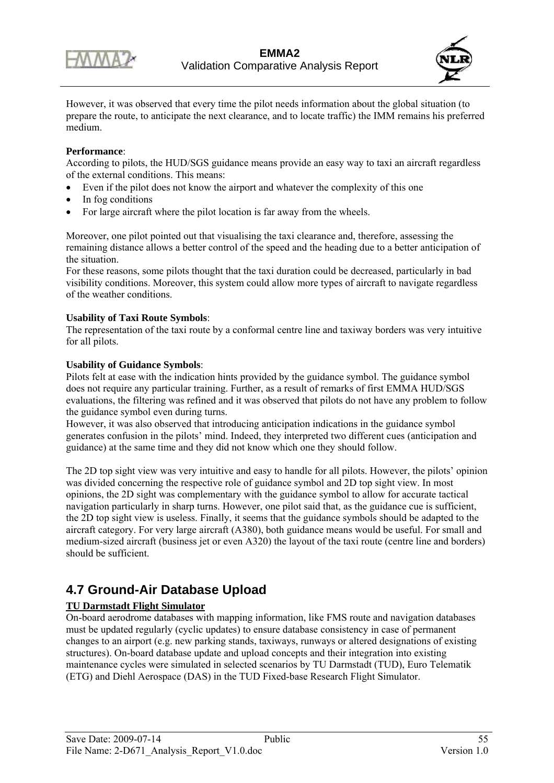



However, it was observed that every time the pilot needs information about the global situation (to prepare the route, to anticipate the next clearance, and to locate traffic) the IMM remains his preferred medium.

#### **Performance**:

According to pilots, the HUD/SGS guidance means provide an easy way to taxi an aircraft regardless of the external conditions. This means:

- Even if the pilot does not know the airport and whatever the complexity of this one
- In fog conditions
- For large aircraft where the pilot location is far away from the wheels.

Moreover, one pilot pointed out that visualising the taxi clearance and, therefore, assessing the remaining distance allows a better control of the speed and the heading due to a better anticipation of the situation.

For these reasons, some pilots thought that the taxi duration could be decreased, particularly in bad visibility conditions. Moreover, this system could allow more types of aircraft to navigate regardless of the weather conditions.

#### **Usability of Taxi Route Symbols**:

The representation of the taxi route by a conformal centre line and taxiway borders was very intuitive for all pilots.

#### **Usability of Guidance Symbols**:

Pilots felt at ease with the indication hints provided by the guidance symbol. The guidance symbol does not require any particular training. Further, as a result of remarks of first EMMA HUD/SGS evaluations, the filtering was refined and it was observed that pilots do not have any problem to follow the guidance symbol even during turns.

However, it was also observed that introducing anticipation indications in the guidance symbol generates confusion in the pilots' mind. Indeed, they interpreted two different cues (anticipation and guidance) at the same time and they did not know which one they should follow.

The 2D top sight view was very intuitive and easy to handle for all pilots. However, the pilots' opinion was divided concerning the respective role of guidance symbol and 2D top sight view. In most opinions, the 2D sight was complementary with the guidance symbol to allow for accurate tactical navigation particularly in sharp turns. However, one pilot said that, as the guidance cue is sufficient, the 2D top sight view is useless. Finally, it seems that the guidance symbols should be adapted to the aircraft category. For very large aircraft (A380), both guidance means would be useful. For small and medium-sized aircraft (business jet or even A320) the layout of the taxi route (centre line and borders) should be sufficient.

## **4.7 Ground-Air Database Upload**

### **TU Darmstadt Flight Simulator**

On-board aerodrome databases with mapping information, like FMS route and navigation databases must be updated regularly (cyclic updates) to ensure database consistency in case of permanent changes to an airport (e.g. new parking stands, taxiways, runways or altered designations of existing structures). On-board database update and upload concepts and their integration into existing maintenance cycles were simulated in selected scenarios by TU Darmstadt (TUD), Euro Telematik (ETG) and Diehl Aerospace (DAS) in the TUD Fixed-base Research Flight Simulator.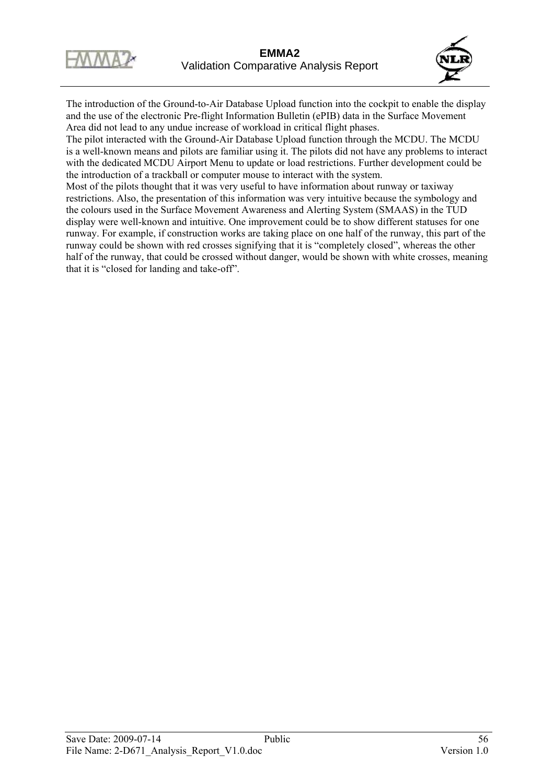



The introduction of the Ground-to-Air Database Upload function into the cockpit to enable the display and the use of the electronic Pre-flight Information Bulletin (ePIB) data in the Surface Movement Area did not lead to any undue increase of workload in critical flight phases.

The pilot interacted with the Ground-Air Database Upload function through the MCDU. The MCDU is a well-known means and pilots are familiar using it. The pilots did not have any problems to interact with the dedicated MCDU Airport Menu to update or load restrictions. Further development could be the introduction of a trackball or computer mouse to interact with the system.

Most of the pilots thought that it was very useful to have information about runway or taxiway restrictions. Also, the presentation of this information was very intuitive because the symbology and the colours used in the Surface Movement Awareness and Alerting System (SMAAS) in the TUD display were well-known and intuitive. One improvement could be to show different statuses for one runway. For example, if construction works are taking place on one half of the runway, this part of the runway could be shown with red crosses signifying that it is "completely closed", whereas the other half of the runway, that could be crossed without danger, would be shown with white crosses, meaning that it is "closed for landing and take-off".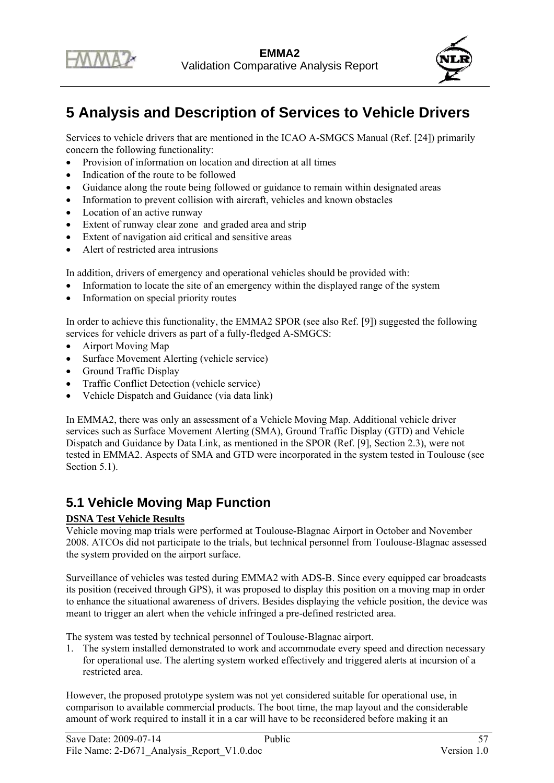



# **5 Analysis and Description of Services to Vehicle Drivers**

Services to vehicle drivers that are mentioned in the ICAO A-SMGCS Manual (Ref. [24]) primarily concern the following functionality:

- Provision of information on location and direction at all times
- Indication of the route to be followed
- Guidance along the route being followed or guidance to remain within designated areas
- Information to prevent collision with aircraft, vehicles and known obstacles
- Location of an active runway
- Extent of runway clear zone and graded area and strip
- Extent of navigation aid critical and sensitive areas
- Alert of restricted area intrusions

In addition, drivers of emergency and operational vehicles should be provided with:

- Information to locate the site of an emergency within the displayed range of the system
- Information on special priority routes

In order to achieve this functionality, the EMMA2 SPOR (see also Ref. [9]) suggested the following services for vehicle drivers as part of a fully-fledged A-SMGCS:

- Airport Moving Map
- Surface Movement Alerting (vehicle service)
- Ground Traffic Display
- Traffic Conflict Detection (vehicle service)
- Vehicle Dispatch and Guidance (via data link)

In EMMA2, there was only an assessment of a Vehicle Moving Map. Additional vehicle driver services such as Surface Movement Alerting (SMA), Ground Traffic Display (GTD) and Vehicle Dispatch and Guidance by Data Link, as mentioned in the SPOR (Ref. [9], Section 2.3), were not tested in EMMA2. Aspects of SMA and GTD were incorporated in the system tested in Toulouse (see Section 5.1).

# **5.1 Vehicle Moving Map Function**

### **DSNA Test Vehicle Results**

Vehicle moving map trials were performed at Toulouse-Blagnac Airport in October and November 2008. ATCOs did not participate to the trials, but technical personnel from Toulouse-Blagnac assessed the system provided on the airport surface.

Surveillance of vehicles was tested during EMMA2 with ADS-B. Since every equipped car broadcasts its position (received through GPS), it was proposed to display this position on a moving map in order to enhance the situational awareness of drivers. Besides displaying the vehicle position, the device was meant to trigger an alert when the vehicle infringed a pre-defined restricted area.

The system was tested by technical personnel of Toulouse-Blagnac airport.

1. The system installed demonstrated to work and accommodate every speed and direction necessary for operational use. The alerting system worked effectively and triggered alerts at incursion of a restricted area.

However, the proposed prototype system was not yet considered suitable for operational use, in comparison to available commercial products. The boot time, the map layout and the considerable amount of work required to install it in a car will have to be reconsidered before making it an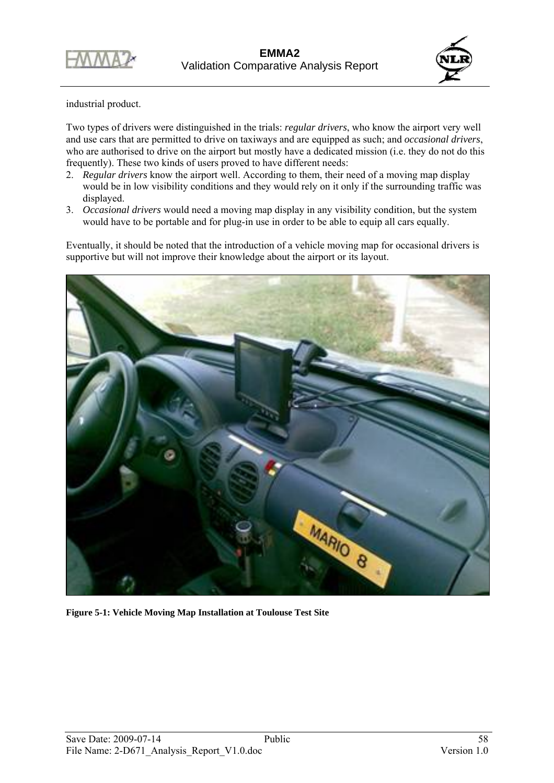



industrial product.

Two types of drivers were distinguished in the trials: *regular drivers*, who know the airport very well and use cars that are permitted to drive on taxiways and are equipped as such; and *occasional drivers*, who are authorised to drive on the airport but mostly have a dedicated mission (i.e. they do not do this frequently). These two kinds of users proved to have different needs:

- 2. *Regular drivers* know the airport well. According to them, their need of a moving map display would be in low visibility conditions and they would rely on it only if the surrounding traffic was displayed.
- 3. *Occasional drivers* would need a moving map display in any visibility condition, but the system would have to be portable and for plug-in use in order to be able to equip all cars equally.

Eventually, it should be noted that the introduction of a vehicle moving map for occasional drivers is supportive but will not improve their knowledge about the airport or its layout.



**Figure 5-1: Vehicle Moving Map Installation at Toulouse Test Site**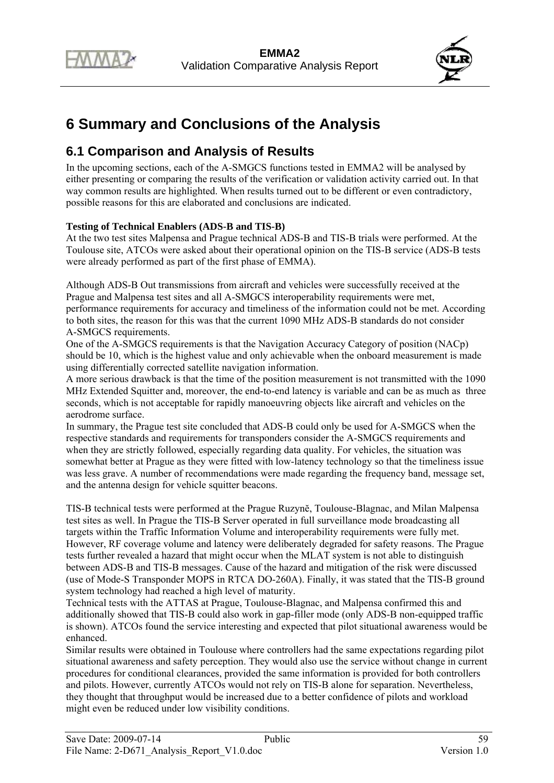



# **6 Summary and Conclusions of the Analysis**

# **6.1 Comparison and Analysis of Results**

In the upcoming sections, each of the A-SMGCS functions tested in EMMA2 will be analysed by either presenting or comparing the results of the verification or validation activity carried out. In that way common results are highlighted. When results turned out to be different or even contradictory, possible reasons for this are elaborated and conclusions are indicated.

## **Testing of Technical Enablers (ADS-B and TIS-B)**

At the two test sites Malpensa and Prague technical ADS-B and TIS-B trials were performed. At the Toulouse site, ATCOs were asked about their operational opinion on the TIS-B service (ADS-B tests were already performed as part of the first phase of EMMA).

Although ADS-B Out transmissions from aircraft and vehicles were successfully received at the Prague and Malpensa test sites and all A-SMGCS interoperability requirements were met, performance requirements for accuracy and timeliness of the information could not be met. According to both sites, the reason for this was that the current 1090 MHz ADS-B standards do not consider A-SMGCS requirements.

One of the A-SMGCS requirements is that the Navigation Accuracy Category of position (NACp) should be 10, which is the highest value and only achievable when the onboard measurement is made using differentially corrected satellite navigation information.

A more serious drawback is that the time of the position measurement is not transmitted with the 1090 MHz Extended Squitter and, moreover, the end-to-end latency is variable and can be as much as three seconds, which is not acceptable for rapidly manoeuvring objects like aircraft and vehicles on the aerodrome surface.

In summary, the Prague test site concluded that ADS-B could only be used for A-SMGCS when the respective standards and requirements for transponders consider the A-SMGCS requirements and when they are strictly followed, especially regarding data quality. For vehicles, the situation was somewhat better at Prague as they were fitted with low-latency technology so that the timeliness issue was less grave. A number of recommendations were made regarding the frequency band, message set, and the antenna design for vehicle squitter beacons.

TIS-B technical tests were performed at the Prague Ruzynĕ, Toulouse-Blagnac, and Milan Malpensa test sites as well. In Prague the TIS-B Server operated in full surveillance mode broadcasting all targets within the Traffic Information Volume and interoperability requirements were fully met. However, RF coverage volume and latency were deliberately degraded for safety reasons. The Prague tests further revealed a hazard that might occur when the MLAT system is not able to distinguish between ADS-B and TIS-B messages. Cause of the hazard and mitigation of the risk were discussed (use of Mode-S Transponder MOPS in RTCA DO-260A). Finally, it was stated that the TIS-B ground system technology had reached a high level of maturity.

Technical tests with the ATTAS at Prague, Toulouse-Blagnac, and Malpensa confirmed this and additionally showed that TIS-B could also work in gap-filler mode (only ADS-B non-equipped traffic is shown). ATCOs found the service interesting and expected that pilot situational awareness would be enhanced.

Similar results were obtained in Toulouse where controllers had the same expectations regarding pilot situational awareness and safety perception. They would also use the service without change in current procedures for conditional clearances, provided the same information is provided for both controllers and pilots. However, currently ATCOs would not rely on TIS-B alone for separation. Nevertheless, they thought that throughput would be increased due to a better confidence of pilots and workload might even be reduced under low visibility conditions.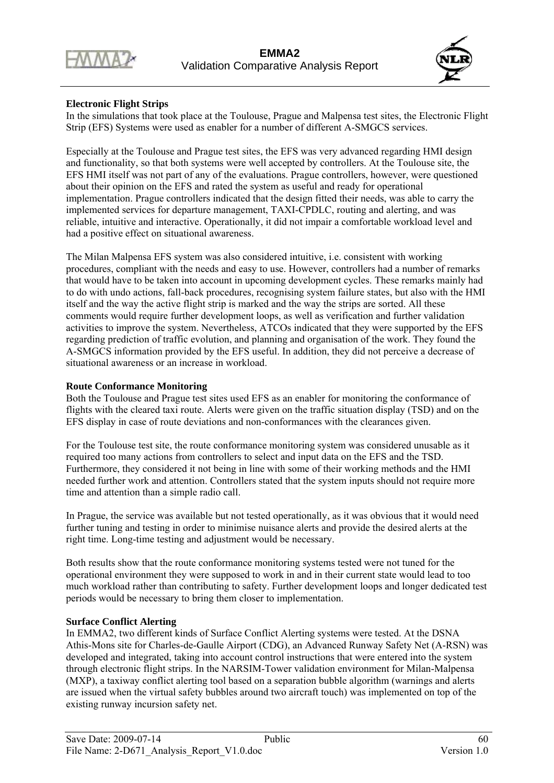



#### **Electronic Flight Strips**

In the simulations that took place at the Toulouse, Prague and Malpensa test sites, the Electronic Flight Strip (EFS) Systems were used as enabler for a number of different A-SMGCS services.

Especially at the Toulouse and Prague test sites, the EFS was very advanced regarding HMI design and functionality, so that both systems were well accepted by controllers. At the Toulouse site, the EFS HMI itself was not part of any of the evaluations. Prague controllers, however, were questioned about their opinion on the EFS and rated the system as useful and ready for operational implementation. Prague controllers indicated that the design fitted their needs, was able to carry the implemented services for departure management, TAXI-CPDLC, routing and alerting, and was reliable, intuitive and interactive. Operationally, it did not impair a comfortable workload level and had a positive effect on situational awareness.

The Milan Malpensa EFS system was also considered intuitive, i.e. consistent with working procedures, compliant with the needs and easy to use. However, controllers had a number of remarks that would have to be taken into account in upcoming development cycles. These remarks mainly had to do with undo actions, fall-back procedures, recognising system failure states, but also with the HMI itself and the way the active flight strip is marked and the way the strips are sorted. All these comments would require further development loops, as well as verification and further validation activities to improve the system. Nevertheless, ATCOs indicated that they were supported by the EFS regarding prediction of traffic evolution, and planning and organisation of the work. They found the A-SMGCS information provided by the EFS useful. In addition, they did not perceive a decrease of situational awareness or an increase in workload.

#### **Route Conformance Monitoring**

Both the Toulouse and Prague test sites used EFS as an enabler for monitoring the conformance of flights with the cleared taxi route. Alerts were given on the traffic situation display (TSD) and on the EFS display in case of route deviations and non-conformances with the clearances given.

For the Toulouse test site, the route conformance monitoring system was considered unusable as it required too many actions from controllers to select and input data on the EFS and the TSD. Furthermore, they considered it not being in line with some of their working methods and the HMI needed further work and attention. Controllers stated that the system inputs should not require more time and attention than a simple radio call.

In Prague, the service was available but not tested operationally, as it was obvious that it would need further tuning and testing in order to minimise nuisance alerts and provide the desired alerts at the right time. Long-time testing and adjustment would be necessary.

Both results show that the route conformance monitoring systems tested were not tuned for the operational environment they were supposed to work in and in their current state would lead to too much workload rather than contributing to safety. Further development loops and longer dedicated test periods would be necessary to bring them closer to implementation.

#### **Surface Conflict Alerting**

In EMMA2, two different kinds of Surface Conflict Alerting systems were tested. At the DSNA Athis-Mons site for Charles-de-Gaulle Airport (CDG), an Advanced Runway Safety Net (A-RSN) was developed and integrated, taking into account control instructions that were entered into the system through electronic flight strips. In the NARSIM-Tower validation environment for Milan-Malpensa (MXP), a taxiway conflict alerting tool based on a separation bubble algorithm (warnings and alerts are issued when the virtual safety bubbles around two aircraft touch) was implemented on top of the existing runway incursion safety net.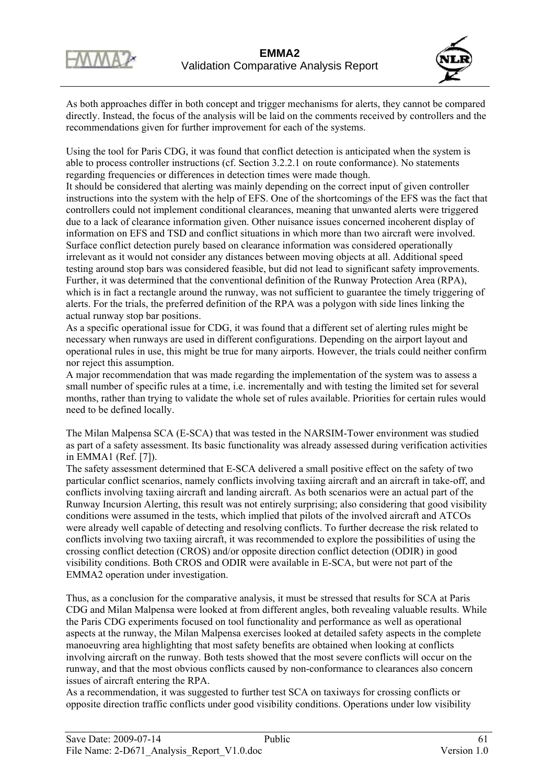



As both approaches differ in both concept and trigger mechanisms for alerts, they cannot be compared directly. Instead, the focus of the analysis will be laid on the comments received by controllers and the recommendations given for further improvement for each of the systems.

Using the tool for Paris CDG, it was found that conflict detection is anticipated when the system is able to process controller instructions (cf. Section 3.2.2.1 on route conformance). No statements regarding frequencies or differences in detection times were made though.

It should be considered that alerting was mainly depending on the correct input of given controller instructions into the system with the help of EFS. One of the shortcomings of the EFS was the fact that controllers could not implement conditional clearances, meaning that unwanted alerts were triggered due to a lack of clearance information given. Other nuisance issues concerned incoherent display of information on EFS and TSD and conflict situations in which more than two aircraft were involved. Surface conflict detection purely based on clearance information was considered operationally irrelevant as it would not consider any distances between moving objects at all. Additional speed testing around stop bars was considered feasible, but did not lead to significant safety improvements. Further, it was determined that the conventional definition of the Runway Protection Area (RPA), which is in fact a rectangle around the runway, was not sufficient to guarantee the timely triggering of alerts. For the trials, the preferred definition of the RPA was a polygon with side lines linking the actual runway stop bar positions.

As a specific operational issue for CDG, it was found that a different set of alerting rules might be necessary when runways are used in different configurations. Depending on the airport layout and operational rules in use, this might be true for many airports. However, the trials could neither confirm nor reject this assumption.

A major recommendation that was made regarding the implementation of the system was to assess a small number of specific rules at a time, i.e. incrementally and with testing the limited set for several months, rather than trying to validate the whole set of rules available. Priorities for certain rules would need to be defined locally.

The Milan Malpensa SCA (E-SCA) that was tested in the NARSIM-Tower environment was studied as part of a safety assessment. Its basic functionality was already assessed during verification activities in EMMA1 (Ref. [7]).

The safety assessment determined that E-SCA delivered a small positive effect on the safety of two particular conflict scenarios, namely conflicts involving taxiing aircraft and an aircraft in take-off, and conflicts involving taxiing aircraft and landing aircraft. As both scenarios were an actual part of the Runway Incursion Alerting, this result was not entirely surprising; also considering that good visibility conditions were assumed in the tests, which implied that pilots of the involved aircraft and ATCOs were already well capable of detecting and resolving conflicts. To further decrease the risk related to conflicts involving two taxiing aircraft, it was recommended to explore the possibilities of using the crossing conflict detection (CROS) and/or opposite direction conflict detection (ODIR) in good visibility conditions. Both CROS and ODIR were available in E-SCA, but were not part of the EMMA2 operation under investigation.

Thus, as a conclusion for the comparative analysis, it must be stressed that results for SCA at Paris CDG and Milan Malpensa were looked at from different angles, both revealing valuable results. While the Paris CDG experiments focused on tool functionality and performance as well as operational aspects at the runway, the Milan Malpensa exercises looked at detailed safety aspects in the complete manoeuvring area highlighting that most safety benefits are obtained when looking at conflicts involving aircraft on the runway. Both tests showed that the most severe conflicts will occur on the runway, and that the most obvious conflicts caused by non-conformance to clearances also concern issues of aircraft entering the RPA.

As a recommendation, it was suggested to further test SCA on taxiways for crossing conflicts or opposite direction traffic conflicts under good visibility conditions. Operations under low visibility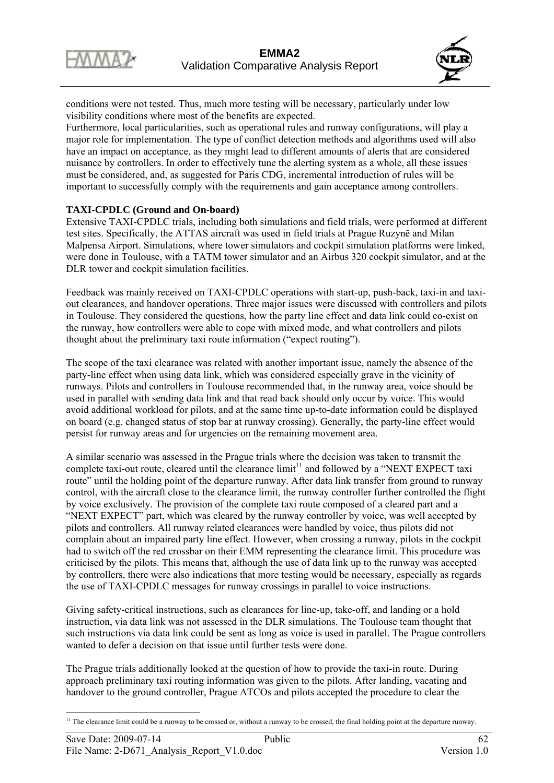



conditions were not tested. Thus, much more testing will be necessary, particularly under low visibility conditions where most of the benefits are expected.

Furthermore, local particularities, such as operational rules and runway configurations, will play a major role for implementation. The type of conflict detection methods and algorithms used will also have an impact on acceptance, as they might lead to different amounts of alerts that are considered nuisance by controllers. In order to effectively tune the alerting system as a whole, all these issues must be considered, and, as suggested for Paris CDG, incremental introduction of rules will be important to successfully comply with the requirements and gain acceptance among controllers.

#### **TAXI-CPDLC (Ground and On-board)**

Extensive TAXI-CPDLC trials, including both simulations and field trials, were performed at different test sites. Specifically, the ATTAS aircraft was used in field trials at Prague Ruzynĕ and Milan Malpensa Airport. Simulations, where tower simulators and cockpit simulation platforms were linked, were done in Toulouse, with a TATM tower simulator and an Airbus 320 cockpit simulator, and at the DLR tower and cockpit simulation facilities.

Feedback was mainly received on TAXI-CPDLC operations with start-up, push-back, taxi-in and taxiout clearances, and handover operations. Three major issues were discussed with controllers and pilots in Toulouse. They considered the questions, how the party line effect and data link could co-exist on the runway, how controllers were able to cope with mixed mode, and what controllers and pilots thought about the preliminary taxi route information ("expect routing").

The scope of the taxi clearance was related with another important issue, namely the absence of the party-line effect when using data link, which was considered especially grave in the vicinity of runways. Pilots and controllers in Toulouse recommended that, in the runway area, voice should be used in parallel with sending data link and that read back should only occur by voice. This would avoid additional workload for pilots, and at the same time up-to-date information could be displayed on board (e.g. changed status of stop bar at runway crossing). Generally, the party-line effect would persist for runway areas and for urgencies on the remaining movement area.

A similar scenario was assessed in the Prague trials where the decision was taken to transmit the complete taxi-out route, cleared until the clearance limit<sup>11</sup> and followed by a "NEXT EXPECT taxi route" until the holding point of the departure runway. After data link transfer from ground to runway control, with the aircraft close to the clearance limit, the runway controller further controlled the flight by voice exclusively. The provision of the complete taxi route composed of a cleared part and a "NEXT EXPECT" part, which was cleared by the runway controller by voice, was well accepted by pilots and controllers. All runway related clearances were handled by voice, thus pilots did not complain about an impaired party line effect. However, when crossing a runway, pilots in the cockpit had to switch off the red crossbar on their EMM representing the clearance limit. This procedure was criticised by the pilots. This means that, although the use of data link up to the runway was accepted by controllers, there were also indications that more testing would be necessary, especially as regards the use of TAXI-CPDLC messages for runway crossings in parallel to voice instructions.

Giving safety-critical instructions, such as clearances for line-up, take-off, and landing or a hold instruction, via data link was not assessed in the DLR simulations. The Toulouse team thought that such instructions via data link could be sent as long as voice is used in parallel. The Prague controllers wanted to defer a decision on that issue until further tests were done.

The Prague trials additionally looked at the question of how to provide the taxi-in route. During approach preliminary taxi routing information was given to the pilots. After landing, vacating and handover to the ground controller, Prague ATCOs and pilots accepted the procedure to clear the

 $\overline{a}$ <sup>11</sup> The clearance limit could be a runway to be crossed or, without a runway to be crossed, the final holding point at the departure runway.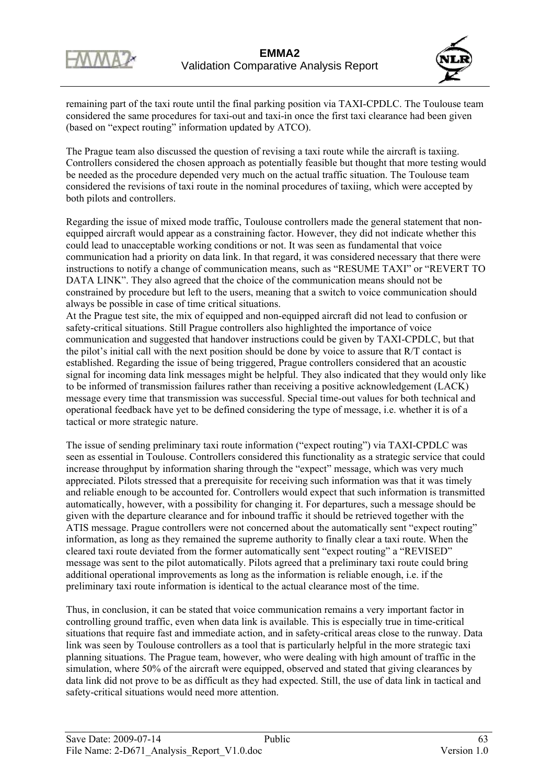



remaining part of the taxi route until the final parking position via TAXI-CPDLC. The Toulouse team considered the same procedures for taxi-out and taxi-in once the first taxi clearance had been given (based on "expect routing" information updated by ATCO).

The Prague team also discussed the question of revising a taxi route while the aircraft is taxiing. Controllers considered the chosen approach as potentially feasible but thought that more testing would be needed as the procedure depended very much on the actual traffic situation. The Toulouse team considered the revisions of taxi route in the nominal procedures of taxiing, which were accepted by both pilots and controllers.

Regarding the issue of mixed mode traffic, Toulouse controllers made the general statement that nonequipped aircraft would appear as a constraining factor. However, they did not indicate whether this could lead to unacceptable working conditions or not. It was seen as fundamental that voice communication had a priority on data link. In that regard, it was considered necessary that there were instructions to notify a change of communication means, such as "RESUME TAXI" or "REVERT TO DATA LINK". They also agreed that the choice of the communication means should not be constrained by procedure but left to the users, meaning that a switch to voice communication should always be possible in case of time critical situations.

At the Prague test site, the mix of equipped and non-equipped aircraft did not lead to confusion or safety-critical situations. Still Prague controllers also highlighted the importance of voice communication and suggested that handover instructions could be given by TAXI-CPDLC, but that the pilot's initial call with the next position should be done by voice to assure that R/T contact is established. Regarding the issue of being triggered, Prague controllers considered that an acoustic signal for incoming data link messages might be helpful. They also indicated that they would only like to be informed of transmission failures rather than receiving a positive acknowledgement (LACK) message every time that transmission was successful. Special time-out values for both technical and operational feedback have yet to be defined considering the type of message, i.e. whether it is of a tactical or more strategic nature.

The issue of sending preliminary taxi route information ("expect routing") via TAXI-CPDLC was seen as essential in Toulouse. Controllers considered this functionality as a strategic service that could increase throughput by information sharing through the "expect" message, which was very much appreciated. Pilots stressed that a prerequisite for receiving such information was that it was timely and reliable enough to be accounted for. Controllers would expect that such information is transmitted automatically, however, with a possibility for changing it. For departures, such a message should be given with the departure clearance and for inbound traffic it should be retrieved together with the ATIS message. Prague controllers were not concerned about the automatically sent "expect routing" information, as long as they remained the supreme authority to finally clear a taxi route. When the cleared taxi route deviated from the former automatically sent "expect routing" a "REVISED" message was sent to the pilot automatically. Pilots agreed that a preliminary taxi route could bring additional operational improvements as long as the information is reliable enough, i.e. if the preliminary taxi route information is identical to the actual clearance most of the time.

Thus, in conclusion, it can be stated that voice communication remains a very important factor in controlling ground traffic, even when data link is available. This is especially true in time-critical situations that require fast and immediate action, and in safety-critical areas close to the runway. Data link was seen by Toulouse controllers as a tool that is particularly helpful in the more strategic taxi planning situations. The Prague team, however, who were dealing with high amount of traffic in the simulation, where 50% of the aircraft were equipped, observed and stated that giving clearances by data link did not prove to be as difficult as they had expected. Still, the use of data link in tactical and safety-critical situations would need more attention.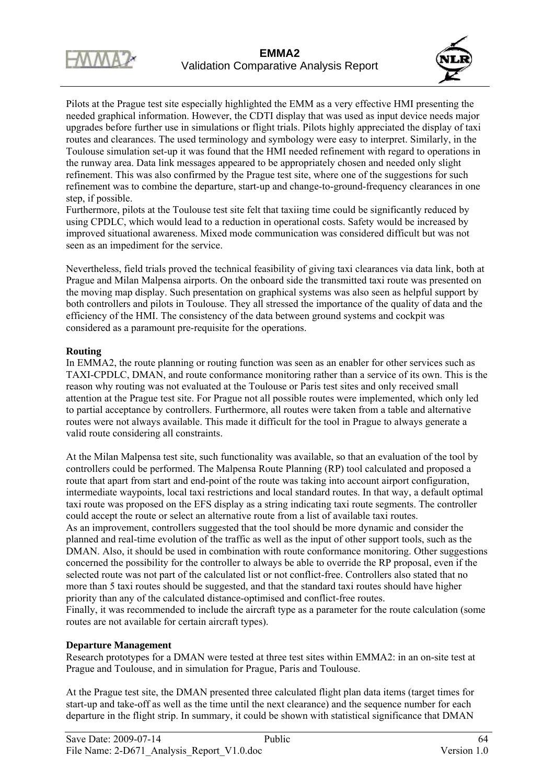



Pilots at the Prague test site especially highlighted the EMM as a very effective HMI presenting the needed graphical information. However, the CDTI display that was used as input device needs major upgrades before further use in simulations or flight trials. Pilots highly appreciated the display of taxi routes and clearances. The used terminology and symbology were easy to interpret. Similarly, in the Toulouse simulation set-up it was found that the HMI needed refinement with regard to operations in the runway area. Data link messages appeared to be appropriately chosen and needed only slight refinement. This was also confirmed by the Prague test site, where one of the suggestions for such refinement was to combine the departure, start-up and change-to-ground-frequency clearances in one step, if possible.

Furthermore, pilots at the Toulouse test site felt that taxiing time could be significantly reduced by using CPDLC, which would lead to a reduction in operational costs. Safety would be increased by improved situational awareness. Mixed mode communication was considered difficult but was not seen as an impediment for the service.

Nevertheless, field trials proved the technical feasibility of giving taxi clearances via data link, both at Prague and Milan Malpensa airports. On the onboard side the transmitted taxi route was presented on the moving map display. Such presentation on graphical systems was also seen as helpful support by both controllers and pilots in Toulouse. They all stressed the importance of the quality of data and the efficiency of the HMI. The consistency of the data between ground systems and cockpit was considered as a paramount pre-requisite for the operations.

#### **Routing**

In EMMA2, the route planning or routing function was seen as an enabler for other services such as TAXI-CPDLC, DMAN, and route conformance monitoring rather than a service of its own. This is the reason why routing was not evaluated at the Toulouse or Paris test sites and only received small attention at the Prague test site. For Prague not all possible routes were implemented, which only led to partial acceptance by controllers. Furthermore, all routes were taken from a table and alternative routes were not always available. This made it difficult for the tool in Prague to always generate a valid route considering all constraints.

At the Milan Malpensa test site, such functionality was available, so that an evaluation of the tool by controllers could be performed. The Malpensa Route Planning (RP) tool calculated and proposed a route that apart from start and end-point of the route was taking into account airport configuration, intermediate waypoints, local taxi restrictions and local standard routes. In that way, a default optimal taxi route was proposed on the EFS display as a string indicating taxi route segments. The controller could accept the route or select an alternative route from a list of available taxi routes. As an improvement, controllers suggested that the tool should be more dynamic and consider the planned and real-time evolution of the traffic as well as the input of other support tools, such as the DMAN. Also, it should be used in combination with route conformance monitoring. Other suggestions concerned the possibility for the controller to always be able to override the RP proposal, even if the selected route was not part of the calculated list or not conflict-free. Controllers also stated that no more than 5 taxi routes should be suggested, and that the standard taxi routes should have higher priority than any of the calculated distance-optimised and conflict-free routes.

Finally, it was recommended to include the aircraft type as a parameter for the route calculation (some routes are not available for certain aircraft types).

#### **Departure Management**

Research prototypes for a DMAN were tested at three test sites within EMMA2: in an on-site test at Prague and Toulouse, and in simulation for Prague, Paris and Toulouse.

At the Prague test site, the DMAN presented three calculated flight plan data items (target times for start-up and take-off as well as the time until the next clearance) and the sequence number for each departure in the flight strip. In summary, it could be shown with statistical significance that DMAN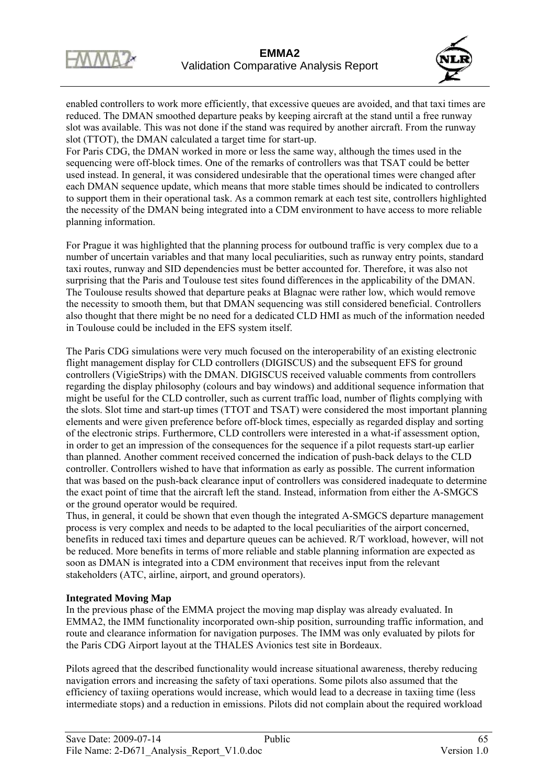



enabled controllers to work more efficiently, that excessive queues are avoided, and that taxi times are reduced. The DMAN smoothed departure peaks by keeping aircraft at the stand until a free runway slot was available. This was not done if the stand was required by another aircraft. From the runway slot (TTOT), the DMAN calculated a target time for start-up.

For Paris CDG, the DMAN worked in more or less the same way, although the times used in the sequencing were off-block times. One of the remarks of controllers was that TSAT could be better used instead. In general, it was considered undesirable that the operational times were changed after each DMAN sequence update, which means that more stable times should be indicated to controllers to support them in their operational task. As a common remark at each test site, controllers highlighted the necessity of the DMAN being integrated into a CDM environment to have access to more reliable planning information.

For Prague it was highlighted that the planning process for outbound traffic is very complex due to a number of uncertain variables and that many local peculiarities, such as runway entry points, standard taxi routes, runway and SID dependencies must be better accounted for. Therefore, it was also not surprising that the Paris and Toulouse test sites found differences in the applicability of the DMAN. The Toulouse results showed that departure peaks at Blagnac were rather low, which would remove the necessity to smooth them, but that DMAN sequencing was still considered beneficial. Controllers also thought that there might be no need for a dedicated CLD HMI as much of the information needed in Toulouse could be included in the EFS system itself.

The Paris CDG simulations were very much focused on the interoperability of an existing electronic flight management display for CLD controllers (DIGISCUS) and the subsequent EFS for ground controllers (VigieStrips) with the DMAN. DIGISCUS received valuable comments from controllers regarding the display philosophy (colours and bay windows) and additional sequence information that might be useful for the CLD controller, such as current traffic load, number of flights complying with the slots. Slot time and start-up times (TTOT and TSAT) were considered the most important planning elements and were given preference before off-block times, especially as regarded display and sorting of the electronic strips. Furthermore, CLD controllers were interested in a what-if assessment option, in order to get an impression of the consequences for the sequence if a pilot requests start-up earlier than planned. Another comment received concerned the indication of push-back delays to the CLD controller. Controllers wished to have that information as early as possible. The current information that was based on the push-back clearance input of controllers was considered inadequate to determine the exact point of time that the aircraft left the stand. Instead, information from either the A-SMGCS or the ground operator would be required.

Thus, in general, it could be shown that even though the integrated A-SMGCS departure management process is very complex and needs to be adapted to the local peculiarities of the airport concerned, benefits in reduced taxi times and departure queues can be achieved. R/T workload, however, will not be reduced. More benefits in terms of more reliable and stable planning information are expected as soon as DMAN is integrated into a CDM environment that receives input from the relevant stakeholders (ATC, airline, airport, and ground operators).

#### **Integrated Moving Map**

In the previous phase of the EMMA project the moving map display was already evaluated. In EMMA2, the IMM functionality incorporated own-ship position, surrounding traffic information, and route and clearance information for navigation purposes. The IMM was only evaluated by pilots for the Paris CDG Airport layout at the THALES Avionics test site in Bordeaux.

Pilots agreed that the described functionality would increase situational awareness, thereby reducing navigation errors and increasing the safety of taxi operations. Some pilots also assumed that the efficiency of taxiing operations would increase, which would lead to a decrease in taxiing time (less intermediate stops) and a reduction in emissions. Pilots did not complain about the required workload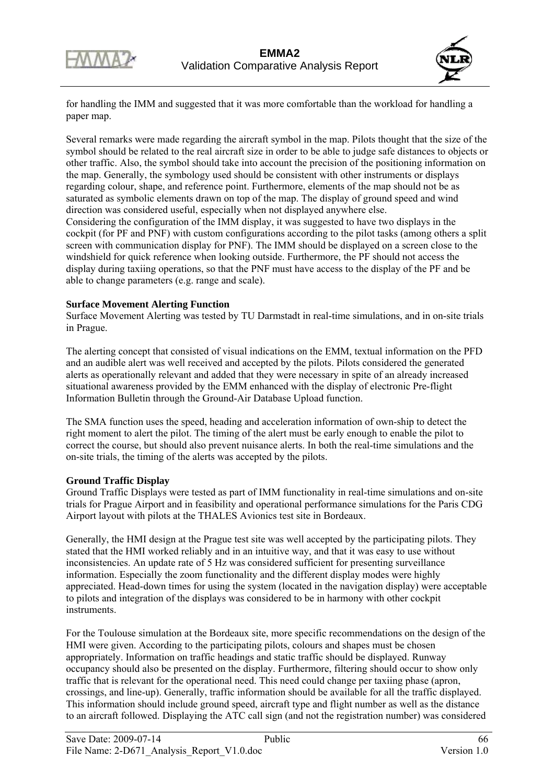



for handling the IMM and suggested that it was more comfortable than the workload for handling a paper map.

Several remarks were made regarding the aircraft symbol in the map. Pilots thought that the size of the symbol should be related to the real aircraft size in order to be able to judge safe distances to objects or other traffic. Also, the symbol should take into account the precision of the positioning information on the map. Generally, the symbology used should be consistent with other instruments or displays regarding colour, shape, and reference point. Furthermore, elements of the map should not be as saturated as symbolic elements drawn on top of the map. The display of ground speed and wind direction was considered useful, especially when not displayed anywhere else. Considering the configuration of the IMM display, it was suggested to have two displays in the cockpit (for PF and PNF) with custom configurations according to the pilot tasks (among others a split screen with communication display for PNF). The IMM should be displayed on a screen close to the

windshield for quick reference when looking outside. Furthermore, the PF should not access the display during taxiing operations, so that the PNF must have access to the display of the PF and be able to change parameters (e.g. range and scale).

#### **Surface Movement Alerting Function**

Surface Movement Alerting was tested by TU Darmstadt in real-time simulations, and in on-site trials in Prague.

The alerting concept that consisted of visual indications on the EMM, textual information on the PFD and an audible alert was well received and accepted by the pilots. Pilots considered the generated alerts as operationally relevant and added that they were necessary in spite of an already increased situational awareness provided by the EMM enhanced with the display of electronic Pre-flight Information Bulletin through the Ground-Air Database Upload function.

The SMA function uses the speed, heading and acceleration information of own-ship to detect the right moment to alert the pilot. The timing of the alert must be early enough to enable the pilot to correct the course, but should also prevent nuisance alerts. In both the real-time simulations and the on-site trials, the timing of the alerts was accepted by the pilots.

#### **Ground Traffic Display**

Ground Traffic Displays were tested as part of IMM functionality in real-time simulations and on-site trials for Prague Airport and in feasibility and operational performance simulations for the Paris CDG Airport layout with pilots at the THALES Avionics test site in Bordeaux.

Generally, the HMI design at the Prague test site was well accepted by the participating pilots. They stated that the HMI worked reliably and in an intuitive way, and that it was easy to use without inconsistencies. An update rate of 5 Hz was considered sufficient for presenting surveillance information. Especially the zoom functionality and the different display modes were highly appreciated. Head-down times for using the system (located in the navigation display) were acceptable to pilots and integration of the displays was considered to be in harmony with other cockpit instruments.

For the Toulouse simulation at the Bordeaux site, more specific recommendations on the design of the HMI were given. According to the participating pilots, colours and shapes must be chosen appropriately. Information on traffic headings and static traffic should be displayed. Runway occupancy should also be presented on the display. Furthermore, filtering should occur to show only traffic that is relevant for the operational need. This need could change per taxiing phase (apron, crossings, and line-up). Generally, traffic information should be available for all the traffic displayed. This information should include ground speed, aircraft type and flight number as well as the distance to an aircraft followed. Displaying the ATC call sign (and not the registration number) was considered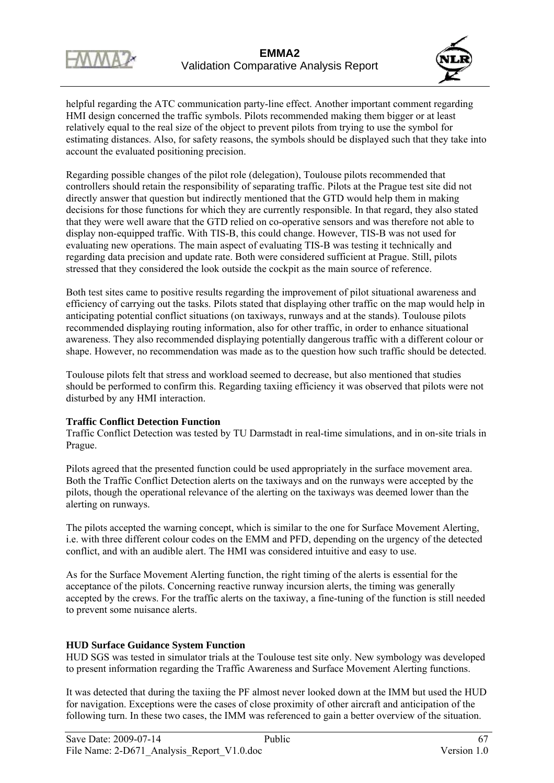



helpful regarding the ATC communication party-line effect. Another important comment regarding HMI design concerned the traffic symbols. Pilots recommended making them bigger or at least relatively equal to the real size of the object to prevent pilots from trying to use the symbol for estimating distances. Also, for safety reasons, the symbols should be displayed such that they take into account the evaluated positioning precision.

Regarding possible changes of the pilot role (delegation), Toulouse pilots recommended that controllers should retain the responsibility of separating traffic. Pilots at the Prague test site did not directly answer that question but indirectly mentioned that the GTD would help them in making decisions for those functions for which they are currently responsible. In that regard, they also stated that they were well aware that the GTD relied on co-operative sensors and was therefore not able to display non-equipped traffic. With TIS-B, this could change. However, TIS-B was not used for evaluating new operations. The main aspect of evaluating TIS-B was testing it technically and regarding data precision and update rate. Both were considered sufficient at Prague. Still, pilots stressed that they considered the look outside the cockpit as the main source of reference.

Both test sites came to positive results regarding the improvement of pilot situational awareness and efficiency of carrying out the tasks. Pilots stated that displaying other traffic on the map would help in anticipating potential conflict situations (on taxiways, runways and at the stands). Toulouse pilots recommended displaying routing information, also for other traffic, in order to enhance situational awareness. They also recommended displaying potentially dangerous traffic with a different colour or shape. However, no recommendation was made as to the question how such traffic should be detected.

Toulouse pilots felt that stress and workload seemed to decrease, but also mentioned that studies should be performed to confirm this. Regarding taxiing efficiency it was observed that pilots were not disturbed by any HMI interaction.

#### **Traffic Conflict Detection Function**

Traffic Conflict Detection was tested by TU Darmstadt in real-time simulations, and in on-site trials in Prague.

Pilots agreed that the presented function could be used appropriately in the surface movement area. Both the Traffic Conflict Detection alerts on the taxiways and on the runways were accepted by the pilots, though the operational relevance of the alerting on the taxiways was deemed lower than the alerting on runways.

The pilots accepted the warning concept, which is similar to the one for Surface Movement Alerting, i.e. with three different colour codes on the EMM and PFD, depending on the urgency of the detected conflict, and with an audible alert. The HMI was considered intuitive and easy to use.

As for the Surface Movement Alerting function, the right timing of the alerts is essential for the acceptance of the pilots. Concerning reactive runway incursion alerts, the timing was generally accepted by the crews. For the traffic alerts on the taxiway, a fine-tuning of the function is still needed to prevent some nuisance alerts.

#### **HUD Surface Guidance System Function**

HUD SGS was tested in simulator trials at the Toulouse test site only. New symbology was developed to present information regarding the Traffic Awareness and Surface Movement Alerting functions.

It was detected that during the taxiing the PF almost never looked down at the IMM but used the HUD for navigation. Exceptions were the cases of close proximity of other aircraft and anticipation of the following turn. In these two cases, the IMM was referenced to gain a better overview of the situation.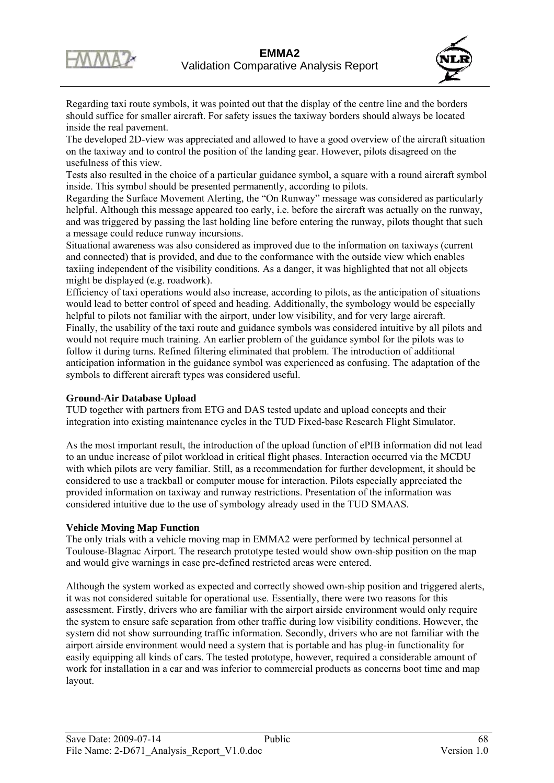



Regarding taxi route symbols, it was pointed out that the display of the centre line and the borders should suffice for smaller aircraft. For safety issues the taxiway borders should always be located inside the real pavement.

The developed 2D-view was appreciated and allowed to have a good overview of the aircraft situation on the taxiway and to control the position of the landing gear. However, pilots disagreed on the usefulness of this view.

Tests also resulted in the choice of a particular guidance symbol, a square with a round aircraft symbol inside. This symbol should be presented permanently, according to pilots.

Regarding the Surface Movement Alerting, the "On Runway" message was considered as particularly helpful. Although this message appeared too early, i.e. before the aircraft was actually on the runway, and was triggered by passing the last holding line before entering the runway, pilots thought that such a message could reduce runway incursions.

Situational awareness was also considered as improved due to the information on taxiways (current and connected) that is provided, and due to the conformance with the outside view which enables taxiing independent of the visibility conditions. As a danger, it was highlighted that not all objects might be displayed (e.g. roadwork).

Efficiency of taxi operations would also increase, according to pilots, as the anticipation of situations would lead to better control of speed and heading. Additionally, the symbology would be especially helpful to pilots not familiar with the airport, under low visibility, and for very large aircraft. Finally, the usability of the taxi route and guidance symbols was considered intuitive by all pilots and would not require much training. An earlier problem of the guidance symbol for the pilots was to follow it during turns. Refined filtering eliminated that problem. The introduction of additional anticipation information in the guidance symbol was experienced as confusing. The adaptation of the symbols to different aircraft types was considered useful.

#### **Ground-Air Database Upload**

TUD together with partners from ETG and DAS tested update and upload concepts and their integration into existing maintenance cycles in the TUD Fixed-base Research Flight Simulator.

As the most important result, the introduction of the upload function of ePIB information did not lead to an undue increase of pilot workload in critical flight phases. Interaction occurred via the MCDU with which pilots are very familiar. Still, as a recommendation for further development, it should be considered to use a trackball or computer mouse for interaction. Pilots especially appreciated the provided information on taxiway and runway restrictions. Presentation of the information was considered intuitive due to the use of symbology already used in the TUD SMAAS.

#### **Vehicle Moving Map Function**

The only trials with a vehicle moving map in EMMA2 were performed by technical personnel at Toulouse-Blagnac Airport. The research prototype tested would show own-ship position on the map and would give warnings in case pre-defined restricted areas were entered.

Although the system worked as expected and correctly showed own-ship position and triggered alerts, it was not considered suitable for operational use. Essentially, there were two reasons for this assessment. Firstly, drivers who are familiar with the airport airside environment would only require the system to ensure safe separation from other traffic during low visibility conditions. However, the system did not show surrounding traffic information. Secondly, drivers who are not familiar with the airport airside environment would need a system that is portable and has plug-in functionality for easily equipping all kinds of cars. The tested prototype, however, required a considerable amount of work for installation in a car and was inferior to commercial products as concerns boot time and map layout.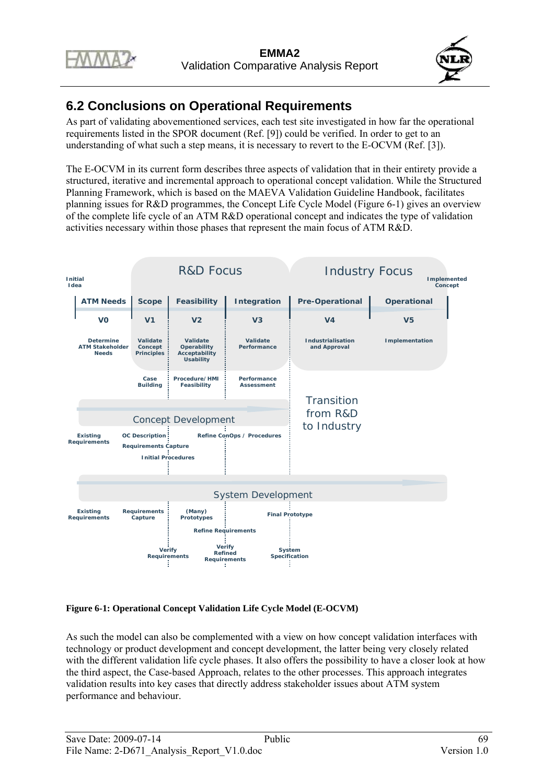



# **6.2 Conclusions on Operational Requirements**

As part of validating abovementioned services, each test site investigated in how far the operational requirements listed in the SPOR document (Ref. [9]) could be verified. In order to get to an understanding of what such a step means, it is necessary to revert to the E-OCVM (Ref. [3]).

The E-OCVM in its current form describes three aspects of validation that in their entirety provide a structured, iterative and incremental approach to operational concept validation. While the Structured Planning Framework, which is based on the MAEVA Validation Guideline Handbook, facilitates planning issues for R&D programmes, the Concept Life Cycle Model (Figure 6-1) gives an overview of the complete life cycle of an ATM R&D operational concept and indicates the type of validation activities necessary within those phases that represent the main focus of ATM R&D.



#### **Figure 6-1: Operational Concept Validation Life Cycle Model (E-OCVM)**

As such the model can also be complemented with a view on how concept validation interfaces with technology or product development and concept development, the latter being very closely related with the different validation life cycle phases. It also offers the possibility to have a closer look at how the third aspect, the Case-based Approach, relates to the other processes. This approach integrates validation results into key cases that directly address stakeholder issues about ATM system performance and behaviour.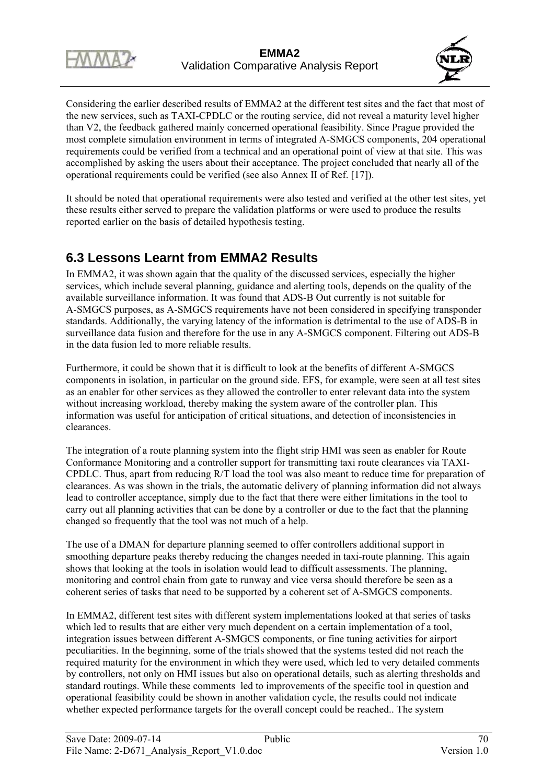



Considering the earlier described results of EMMA2 at the different test sites and the fact that most of the new services, such as TAXI-CPDLC or the routing service, did not reveal a maturity level higher than V2, the feedback gathered mainly concerned operational feasibility. Since Prague provided the most complete simulation environment in terms of integrated A-SMGCS components, 204 operational requirements could be verified from a technical and an operational point of view at that site. This was accomplished by asking the users about their acceptance. The project concluded that nearly all of the operational requirements could be verified (see also Annex II of Ref. [17]).

It should be noted that operational requirements were also tested and verified at the other test sites, yet these results either served to prepare the validation platforms or were used to produce the results reported earlier on the basis of detailed hypothesis testing.

# **6.3 Lessons Learnt from EMMA2 Results**

In EMMA2, it was shown again that the quality of the discussed services, especially the higher services, which include several planning, guidance and alerting tools, depends on the quality of the available surveillance information. It was found that ADS-B Out currently is not suitable for A-SMGCS purposes, as A-SMGCS requirements have not been considered in specifying transponder standards. Additionally, the varying latency of the information is detrimental to the use of ADS-B in surveillance data fusion and therefore for the use in any A-SMGCS component. Filtering out ADS-B in the data fusion led to more reliable results.

Furthermore, it could be shown that it is difficult to look at the benefits of different A-SMGCS components in isolation, in particular on the ground side. EFS, for example, were seen at all test sites as an enabler for other services as they allowed the controller to enter relevant data into the system without increasing workload, thereby making the system aware of the controller plan. This information was useful for anticipation of critical situations, and detection of inconsistencies in clearances.

The integration of a route planning system into the flight strip HMI was seen as enabler for Route Conformance Monitoring and a controller support for transmitting taxi route clearances via TAXI-CPDLC. Thus, apart from reducing R/T load the tool was also meant to reduce time for preparation of clearances. As was shown in the trials, the automatic delivery of planning information did not always lead to controller acceptance, simply due to the fact that there were either limitations in the tool to carry out all planning activities that can be done by a controller or due to the fact that the planning changed so frequently that the tool was not much of a help.

The use of a DMAN for departure planning seemed to offer controllers additional support in smoothing departure peaks thereby reducing the changes needed in taxi-route planning. This again shows that looking at the tools in isolation would lead to difficult assessments. The planning, monitoring and control chain from gate to runway and vice versa should therefore be seen as a coherent series of tasks that need to be supported by a coherent set of A-SMGCS components.

In EMMA2, different test sites with different system implementations looked at that series of tasks which led to results that are either very much dependent on a certain implementation of a tool, integration issues between different A-SMGCS components, or fine tuning activities for airport peculiarities. In the beginning, some of the trials showed that the systems tested did not reach the required maturity for the environment in which they were used, which led to very detailed comments by controllers, not only on HMI issues but also on operational details, such as alerting thresholds and standard routings. While these comments led to improvements of the specific tool in question and operational feasibility could be shown in another validation cycle, the results could not indicate whether expected performance targets for the overall concept could be reached.. The system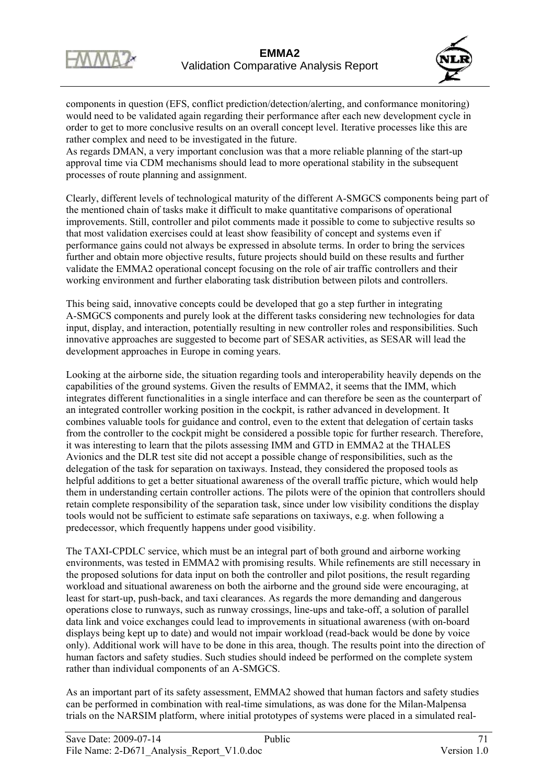



components in question (EFS, conflict prediction/detection/alerting, and conformance monitoring) would need to be validated again regarding their performance after each new development cycle in order to get to more conclusive results on an overall concept level. Iterative processes like this are rather complex and need to be investigated in the future.

As regards DMAN, a very important conclusion was that a more reliable planning of the start-up approval time via CDM mechanisms should lead to more operational stability in the subsequent processes of route planning and assignment.

Clearly, different levels of technological maturity of the different A-SMGCS components being part of the mentioned chain of tasks make it difficult to make quantitative comparisons of operational improvements. Still, controller and pilot comments made it possible to come to subjective results so that most validation exercises could at least show feasibility of concept and systems even if performance gains could not always be expressed in absolute terms. In order to bring the services further and obtain more objective results, future projects should build on these results and further validate the EMMA2 operational concept focusing on the role of air traffic controllers and their working environment and further elaborating task distribution between pilots and controllers.

This being said, innovative concepts could be developed that go a step further in integrating A-SMGCS components and purely look at the different tasks considering new technologies for data input, display, and interaction, potentially resulting in new controller roles and responsibilities. Such innovative approaches are suggested to become part of SESAR activities, as SESAR will lead the development approaches in Europe in coming years.

Looking at the airborne side, the situation regarding tools and interoperability heavily depends on the capabilities of the ground systems. Given the results of EMMA2, it seems that the IMM, which integrates different functionalities in a single interface and can therefore be seen as the counterpart of an integrated controller working position in the cockpit, is rather advanced in development. It combines valuable tools for guidance and control, even to the extent that delegation of certain tasks from the controller to the cockpit might be considered a possible topic for further research. Therefore, it was interesting to learn that the pilots assessing IMM and GTD in EMMA2 at the THALES Avionics and the DLR test site did not accept a possible change of responsibilities, such as the delegation of the task for separation on taxiways. Instead, they considered the proposed tools as helpful additions to get a better situational awareness of the overall traffic picture, which would help them in understanding certain controller actions. The pilots were of the opinion that controllers should retain complete responsibility of the separation task, since under low visibility conditions the display tools would not be sufficient to estimate safe separations on taxiways, e.g. when following a predecessor, which frequently happens under good visibility.

The TAXI-CPDLC service, which must be an integral part of both ground and airborne working environments, was tested in EMMA2 with promising results. While refinements are still necessary in the proposed solutions for data input on both the controller and pilot positions, the result regarding workload and situational awareness on both the airborne and the ground side were encouraging, at least for start-up, push-back, and taxi clearances. As regards the more demanding and dangerous operations close to runways, such as runway crossings, line-ups and take-off, a solution of parallel data link and voice exchanges could lead to improvements in situational awareness (with on-board displays being kept up to date) and would not impair workload (read-back would be done by voice only). Additional work will have to be done in this area, though. The results point into the direction of human factors and safety studies. Such studies should indeed be performed on the complete system rather than individual components of an A-SMGCS.

As an important part of its safety assessment, EMMA2 showed that human factors and safety studies can be performed in combination with real-time simulations, as was done for the Milan-Malpensa trials on the NARSIM platform, where initial prototypes of systems were placed in a simulated real-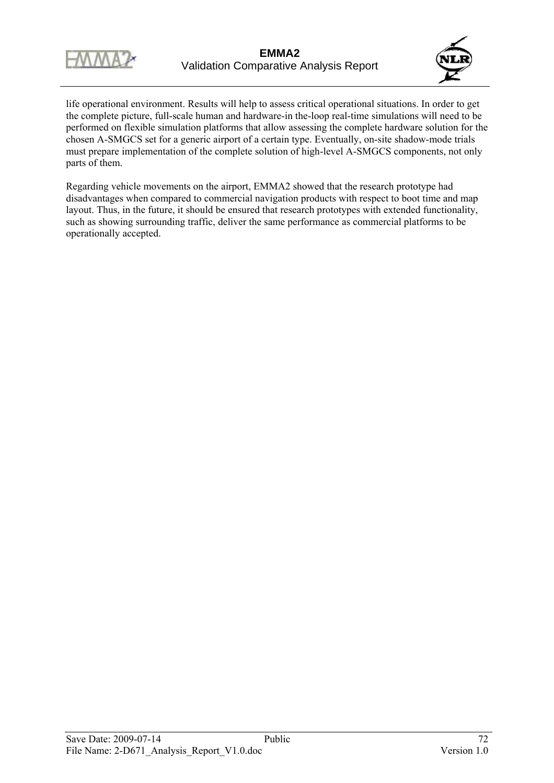



life operational environment. Results will help to assess critical operational situations. In order to get the complete picture, full-scale human and hardware-in the-loop real-time simulations will need to be performed on flexible simulation platforms that allow assessing the complete hardware solution for the chosen A-SMGCS set for a generic airport of a certain type. Eventually, on-site shadow-mode trials must prepare implementation of the complete solution of high-level A-SMGCS components, not only parts of them.

Regarding vehicle movements on the airport, EMMA2 showed that the research prototype had disadvantages when compared to commercial navigation products with respect to boot time and map layout. Thus, in the future, it should be ensured that research prototypes with extended functionality, such as showing surrounding traffic, deliver the same performance as commercial platforms to be operationally accepted.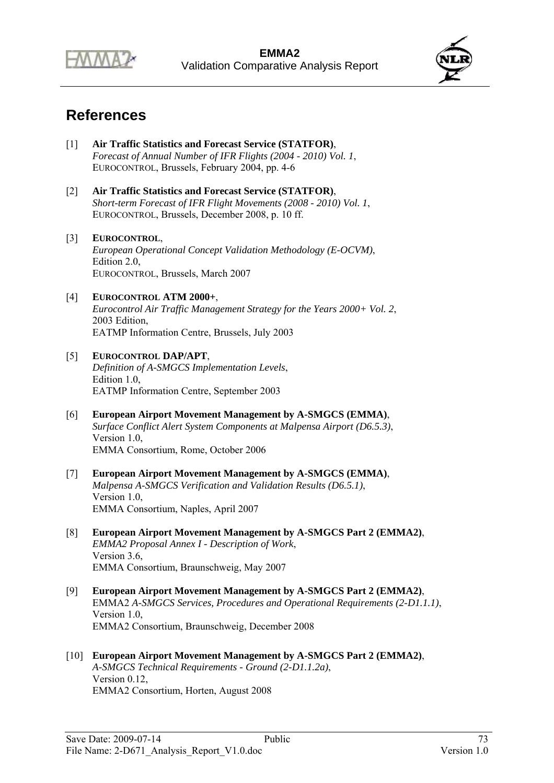



### **References**

- [1] **Air Traffic Statistics and Forecast Service (STATFOR)**, *Forecast of Annual Number of IFR Flights (2004 - 2010) Vol. 1*, EUROCONTROL, Brussels, February 2004, pp. 4-6
- [2] **Air Traffic Statistics and Forecast Service (STATFOR)**, *Short-term Forecast of IFR Flight Movements (2008 - 2010) Vol. 1*, EUROCONTROL, Brussels, December 2008, p. 10 ff.
- [3] **EUROCONTROL**, *European Operational Concept Validation Methodology (E-OCVM)*, Edition 2.0, EUROCONTROL, Brussels, March 2007
- [4] **EUROCONTROL ATM 2000+**, *Eurocontrol Air Traffic Management Strategy for the Years 2000+ Vol. 2*, 2003 Edition, EATMP Information Centre, Brussels, July 2003
- [5] **EUROCONTROL DAP/APT**, *Definition of A-SMGCS Implementation Levels*, Edition 1.0, EATMP Information Centre, September 2003
- [6] **European Airport Movement Management by A-SMGCS (EMMA)**, *Surface Conflict Alert System Components at Malpensa Airport (D6.5.3)*, Version 1.0, EMMA Consortium, Rome, October 2006
- [7] **European Airport Movement Management by A-SMGCS (EMMA)**, *Malpensa A-SMGCS Verification and Validation Results (D6.5.1)*, Version 1.0, EMMA Consortium, Naples, April 2007
- [8] **European Airport Movement Management by A-SMGCS Part 2 (EMMA2)**, *EMMA2 Proposal Annex I - Description of Work*, Version 3.6, EMMA Consortium, Braunschweig, May 2007
- [9] **European Airport Movement Management by A-SMGCS Part 2 (EMMA2)**, EMMA2 *A-SMGCS Services, Procedures and Operational Requirements (2-D1.1.1)*, Version 1.0, EMMA2 Consortium, Braunschweig, December 2008
- [10] **European Airport Movement Management by A-SMGCS Part 2 (EMMA2)**, *A-SMGCS Technical Requirements - Ground (2-D1.1.2a)*, Version 0.12, EMMA2 Consortium, Horten, August 2008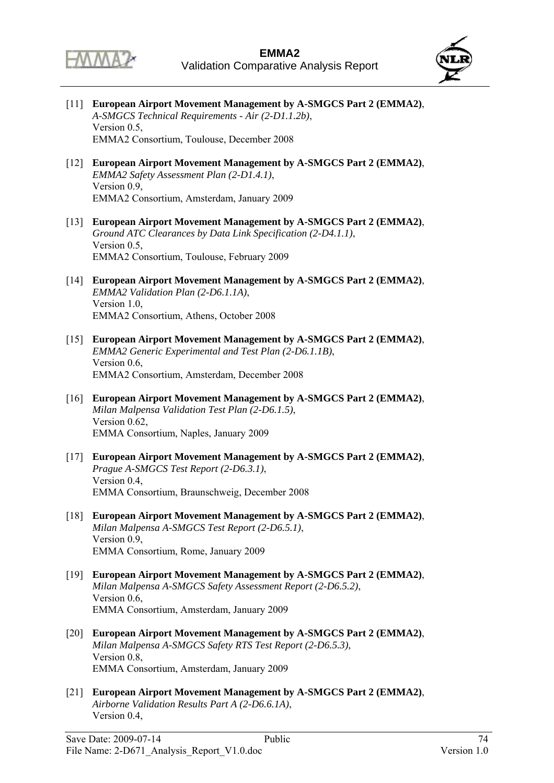



- [11] **European Airport Movement Management by A-SMGCS Part 2 (EMMA2)**, *A-SMGCS Technical Requirements - Air (2-D1.1.2b)*, Version 0.5, EMMA2 Consortium, Toulouse, December 2008
- [12] **European Airport Movement Management by A-SMGCS Part 2 (EMMA2)**, *EMMA2 Safety Assessment Plan (2-D1.4.1)*, Version 0.9, EMMA2 Consortium, Amsterdam, January 2009
- [13] **European Airport Movement Management by A-SMGCS Part 2 (EMMA2)**, *Ground ATC Clearances by Data Link Specification (2-D4.1.1)*, Version 0.5, EMMA2 Consortium, Toulouse, February 2009
- [14] **European Airport Movement Management by A-SMGCS Part 2 (EMMA2)**, *EMMA2 Validation Plan (2-D6.1.1A)*, Version 1.0, EMMA2 Consortium, Athens, October 2008
- [15] **European Airport Movement Management by A-SMGCS Part 2 (EMMA2)**, *EMMA2 Generic Experimental and Test Plan (2-D6.1.1B)*, Version 0.6 EMMA2 Consortium, Amsterdam, December 2008
- [16] **European Airport Movement Management by A-SMGCS Part 2 (EMMA2)**, *Milan Malpensa Validation Test Plan (2-D6.1.5)*, Version 0.62, EMMA Consortium, Naples, January 2009
- [17] **European Airport Movement Management by A-SMGCS Part 2 (EMMA2)**, *Prague A-SMGCS Test Report (2-D6.3.1)*, Version 0.4, EMMA Consortium, Braunschweig, December 2008
- [18] **European Airport Movement Management by A-SMGCS Part 2 (EMMA2)**, *Milan Malpensa A-SMGCS Test Report (2-D6.5.1)*, Version 0.9, EMMA Consortium, Rome, January 2009
- [19] **European Airport Movement Management by A-SMGCS Part 2 (EMMA2)**, *Milan Malpensa A-SMGCS Safety Assessment Report (2-D6.5.2)*, Version 0.6, EMMA Consortium, Amsterdam, January 2009
- [20] **European Airport Movement Management by A-SMGCS Part 2 (EMMA2)**, *Milan Malpensa A-SMGCS Safety RTS Test Report (2-D6.5.3)*, Version 0.8, EMMA Consortium, Amsterdam, January 2009
- [21] **European Airport Movement Management by A-SMGCS Part 2 (EMMA2)**, *Airborne Validation Results Part A (2-D6.6.1A)*, Version 0.4,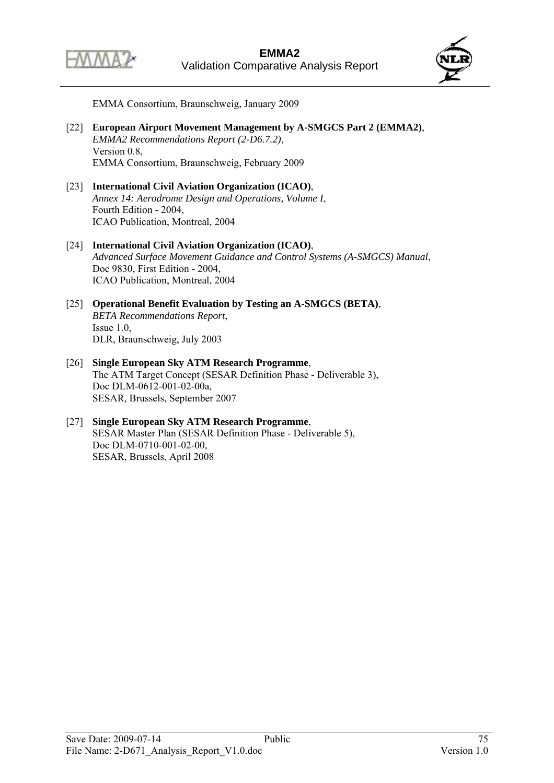



|                    | EMMA Consortium, Braunschweig, January 2009                                                                                                                                                                 |
|--------------------|-------------------------------------------------------------------------------------------------------------------------------------------------------------------------------------------------------------|
| $\lceil 22 \rceil$ | European Airport Movement Management by A-SMGCS Part 2 (EMMA2),<br>EMMA2 Recommendations Report (2-D6.7.2),<br>Version 0.8,<br>EMMA Consortium, Braunschweig, February 2009                                 |
| $\lceil 23 \rceil$ | <b>International Civil Aviation Organization (ICAO),</b><br>Annex 14: Aerodrome Design and Operations, Volume I,<br>Fourth Edition - 2004,<br>ICAO Publication, Montreal, 2004                              |
| $\lceil 24 \rceil$ | <b>International Civil Aviation Organization (ICAO),</b><br>Advanced Surface Movement Guidance and Control Systems (A-SMGCS) Manual,<br>Doc 9830, First Edition - 2004,<br>ICAO Publication, Montreal, 2004 |
| $\lceil 25 \rceil$ | <b>Operational Benefit Evaluation by Testing an A-SMGCS (BETA),</b><br><b>BETA</b> Recommendations Report,<br>Issue $1.0$ ,<br>DLR, Braunschweig, July 2003                                                 |
| $\lceil 26 \rceil$ | <b>Single European Sky ATM Research Programme,</b><br>The ATM Target Concept (SESAR Definition Phase - Deliverable 3),<br>Doc DLM-0612-001-02-00a,<br>SESAR, Brussels, September 2007                       |
| $\lceil 27 \rceil$ | <b>Single European Sky ATM Research Programme,</b><br>SESAR Master Plan (SESAR Definition Phase - Deliverable 5),                                                                                           |

Doc DLM-0710-001-02-00, SESAR, Brussels, April 2008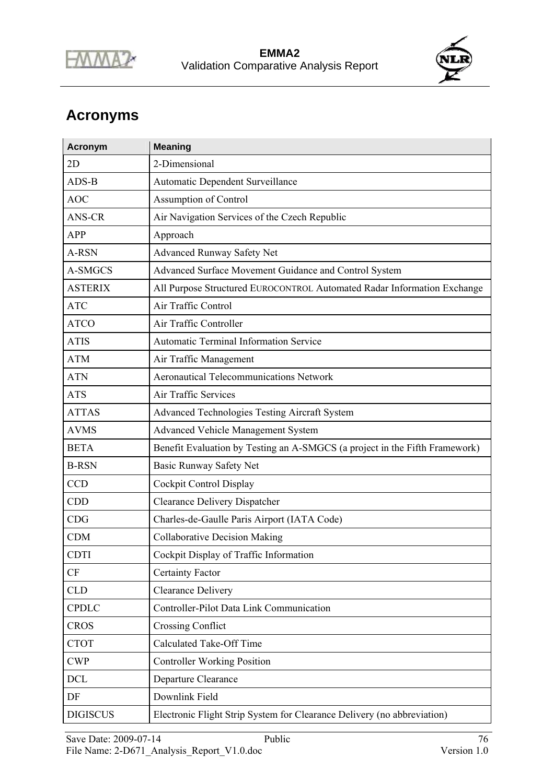



## **Acronyms**

| <b>Acronym</b>  | <b>Meaning</b>                                                              |
|-----------------|-----------------------------------------------------------------------------|
| 2D              | 2-Dimensional                                                               |
| $ADS-B$         | <b>Automatic Dependent Surveillance</b>                                     |
| <b>AOC</b>      | <b>Assumption of Control</b>                                                |
| ANS-CR          | Air Navigation Services of the Czech Republic                               |
| <b>APP</b>      | Approach                                                                    |
| A-RSN           | Advanced Runway Safety Net                                                  |
| A-SMGCS         | Advanced Surface Movement Guidance and Control System                       |
| <b>ASTERIX</b>  | All Purpose Structured EUROCONTROL Automated Radar Information Exchange     |
| <b>ATC</b>      | Air Traffic Control                                                         |
| <b>ATCO</b>     | Air Traffic Controller                                                      |
| <b>ATIS</b>     | <b>Automatic Terminal Information Service</b>                               |
| <b>ATM</b>      | Air Traffic Management                                                      |
| <b>ATN</b>      | <b>Aeronautical Telecommunications Network</b>                              |
| <b>ATS</b>      | Air Traffic Services                                                        |
| <b>ATTAS</b>    | Advanced Technologies Testing Aircraft System                               |
| <b>AVMS</b>     | Advanced Vehicle Management System                                          |
| <b>BETA</b>     | Benefit Evaluation by Testing an A-SMGCS (a project in the Fifth Framework) |
| <b>B-RSN</b>    | <b>Basic Runway Safety Net</b>                                              |
| <b>CCD</b>      | Cockpit Control Display                                                     |
| <b>CDD</b>      | <b>Clearance Delivery Dispatcher</b>                                        |
| <b>CDG</b>      | Charles-de-Gaulle Paris Airport (IATA Code)                                 |
| <b>CDM</b>      | <b>Collaborative Decision Making</b>                                        |
| <b>CDTI</b>     | Cockpit Display of Traffic Information                                      |
| CF              | <b>Certainty Factor</b>                                                     |
| <b>CLD</b>      | Clearance Delivery                                                          |
| <b>CPDLC</b>    | Controller-Pilot Data Link Communication                                    |
| <b>CROS</b>     | <b>Crossing Conflict</b>                                                    |
| <b>CTOT</b>     | <b>Calculated Take-Off Time</b>                                             |
| <b>CWP</b>      | <b>Controller Working Position</b>                                          |
| <b>DCL</b>      | Departure Clearance                                                         |
| DF              | Downlink Field                                                              |
| <b>DIGISCUS</b> | Electronic Flight Strip System for Clearance Delivery (no abbreviation)     |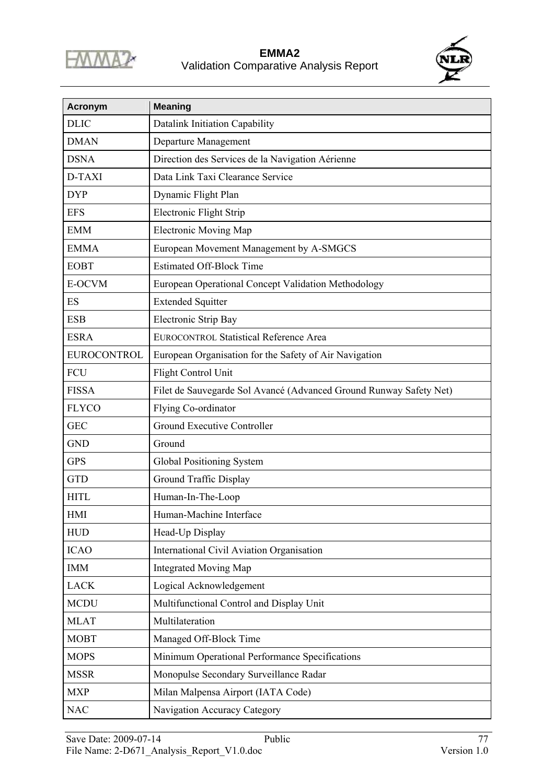

#### **EMMA2**  Validation Comparative Analysis Report



| <b>Acronym</b>     | <b>Meaning</b>                                                     |
|--------------------|--------------------------------------------------------------------|
| <b>DLIC</b>        | Datalink Initiation Capability                                     |
| <b>DMAN</b>        | Departure Management                                               |
| <b>DSNA</b>        | Direction des Services de la Navigation Aérienne                   |
| D-TAXI             | Data Link Taxi Clearance Service                                   |
| <b>DYP</b>         | Dynamic Flight Plan                                                |
| <b>EFS</b>         | <b>Electronic Flight Strip</b>                                     |
| <b>EMM</b>         | <b>Electronic Moving Map</b>                                       |
| <b>EMMA</b>        | European Movement Management by A-SMGCS                            |
| <b>EOBT</b>        | <b>Estimated Off-Block Time</b>                                    |
| E-OCVM             | European Operational Concept Validation Methodology                |
| ES                 | <b>Extended Squitter</b>                                           |
| <b>ESB</b>         | Electronic Strip Bay                                               |
| <b>ESRA</b>        | <b>EUROCONTROL Statistical Reference Area</b>                      |
| <b>EUROCONTROL</b> | European Organisation for the Safety of Air Navigation             |
| FCU                | Flight Control Unit                                                |
| <b>FISSA</b>       | Filet de Sauvegarde Sol Avancé (Advanced Ground Runway Safety Net) |
| <b>FLYCO</b>       | Flying Co-ordinator                                                |
| <b>GEC</b>         | Ground Executive Controller                                        |
| <b>GND</b>         | Ground                                                             |
| <b>GPS</b>         | Global Positioning System                                          |
| <b>GTD</b>         | Ground Traffic Display                                             |
| <b>HITL</b>        | Human-In-The-Loop                                                  |
| <b>HMI</b>         | Human-Machine Interface                                            |
| <b>HUD</b>         | Head-Up Display                                                    |
| <b>ICAO</b>        | International Civil Aviation Organisation                          |
| <b>IMM</b>         | <b>Integrated Moving Map</b>                                       |
| <b>LACK</b>        | Logical Acknowledgement                                            |
| <b>MCDU</b>        | Multifunctional Control and Display Unit                           |
| <b>MLAT</b>        | Multilateration                                                    |
| <b>MOBT</b>        | Managed Off-Block Time                                             |
| <b>MOPS</b>        | Minimum Operational Performance Specifications                     |
| <b>MSSR</b>        | Monopulse Secondary Surveillance Radar                             |
| <b>MXP</b>         | Milan Malpensa Airport (IATA Code)                                 |
| <b>NAC</b>         | Navigation Accuracy Category                                       |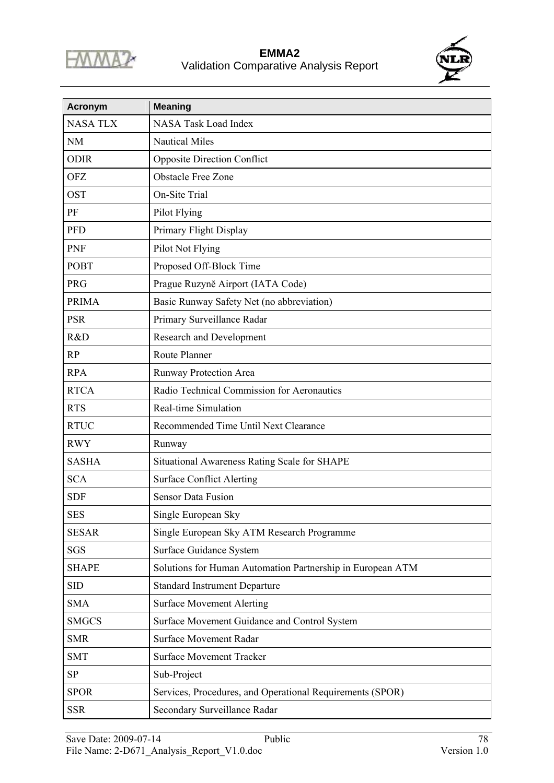



| <b>Acronym</b>  | <b>Meaning</b>                                             |
|-----------------|------------------------------------------------------------|
| <b>NASA TLX</b> | <b>NASA Task Load Index</b>                                |
| <b>NM</b>       | <b>Nautical Miles</b>                                      |
| <b>ODIR</b>     | <b>Opposite Direction Conflict</b>                         |
| <b>OFZ</b>      | <b>Obstacle Free Zone</b>                                  |
| <b>OST</b>      | On-Site Trial                                              |
| PF              | Pilot Flying                                               |
| <b>PFD</b>      | Primary Flight Display                                     |
| <b>PNF</b>      | Pilot Not Flying                                           |
| <b>POBT</b>     | Proposed Off-Block Time                                    |
| <b>PRG</b>      | Prague Ruzyně Airport (IATA Code)                          |
| <b>PRIMA</b>    | Basic Runway Safety Net (no abbreviation)                  |
| <b>PSR</b>      | Primary Surveillance Radar                                 |
| R&D             | <b>Research and Development</b>                            |
| RP              | <b>Route Planner</b>                                       |
| <b>RPA</b>      | Runway Protection Area                                     |
| <b>RTCA</b>     | Radio Technical Commission for Aeronautics                 |
| <b>RTS</b>      | Real-time Simulation                                       |
| <b>RTUC</b>     | Recommended Time Until Next Clearance                      |
| <b>RWY</b>      | Runway                                                     |
| <b>SASHA</b>    | Situational Awareness Rating Scale for SHAPE               |
| <b>SCA</b>      | <b>Surface Conflict Alerting</b>                           |
| <b>SDF</b>      | <b>Sensor Data Fusion</b>                                  |
| <b>SES</b>      | Single European Sky                                        |
| <b>SESAR</b>    | Single European Sky ATM Research Programme                 |
| <b>SGS</b>      | Surface Guidance System                                    |
| <b>SHAPE</b>    | Solutions for Human Automation Partnership in European ATM |
| <b>SID</b>      | <b>Standard Instrument Departure</b>                       |
| <b>SMA</b>      | <b>Surface Movement Alerting</b>                           |
| <b>SMGCS</b>    | Surface Movement Guidance and Control System               |
| <b>SMR</b>      | Surface Movement Radar                                     |
| <b>SMT</b>      | <b>Surface Movement Tracker</b>                            |
| <b>SP</b>       | Sub-Project                                                |
| <b>SPOR</b>     | Services, Procedures, and Operational Requirements (SPOR)  |
| <b>SSR</b>      | Secondary Surveillance Radar                               |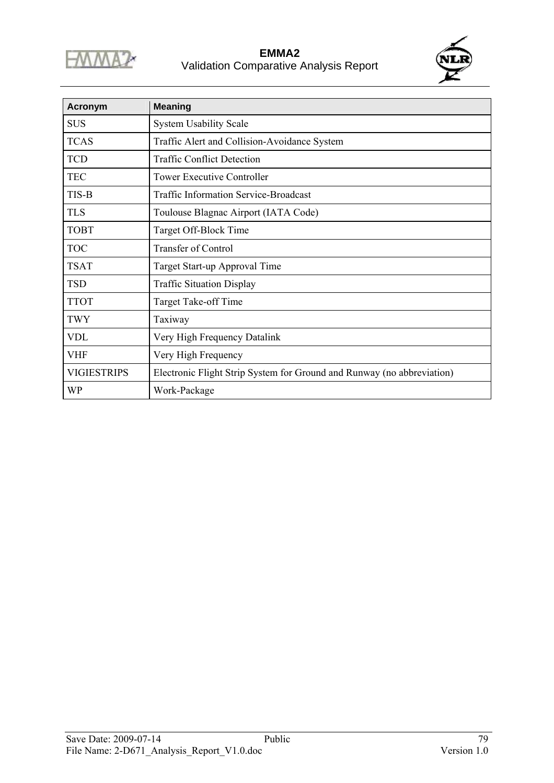

#### **EMMA2**  Validation Comparative Analysis Report



| <b>Acronym</b>     | <b>Meaning</b>                                                         |
|--------------------|------------------------------------------------------------------------|
| <b>SUS</b>         | <b>System Usability Scale</b>                                          |
| <b>TCAS</b>        | Traffic Alert and Collision-Avoidance System                           |
| <b>TCD</b>         | <b>Traffic Conflict Detection</b>                                      |
| <b>TEC</b>         | <b>Tower Executive Controller</b>                                      |
| TIS-B              | <b>Traffic Information Service-Broadcast</b>                           |
| <b>TLS</b>         | Toulouse Blagnac Airport (IATA Code)                                   |
| <b>TOBT</b>        | Target Off-Block Time                                                  |
| <b>TOC</b>         | <b>Transfer of Control</b>                                             |
| <b>TSAT</b>        | Target Start-up Approval Time                                          |
| <b>TSD</b>         | <b>Traffic Situation Display</b>                                       |
| <b>TTOT</b>        | Target Take-off Time                                                   |
| <b>TWY</b>         | Taxiway                                                                |
| <b>VDL</b>         | Very High Frequency Datalink                                           |
| <b>VHF</b>         | Very High Frequency                                                    |
| <b>VIGIESTRIPS</b> | Electronic Flight Strip System for Ground and Runway (no abbreviation) |
| WP                 | Work-Package                                                           |